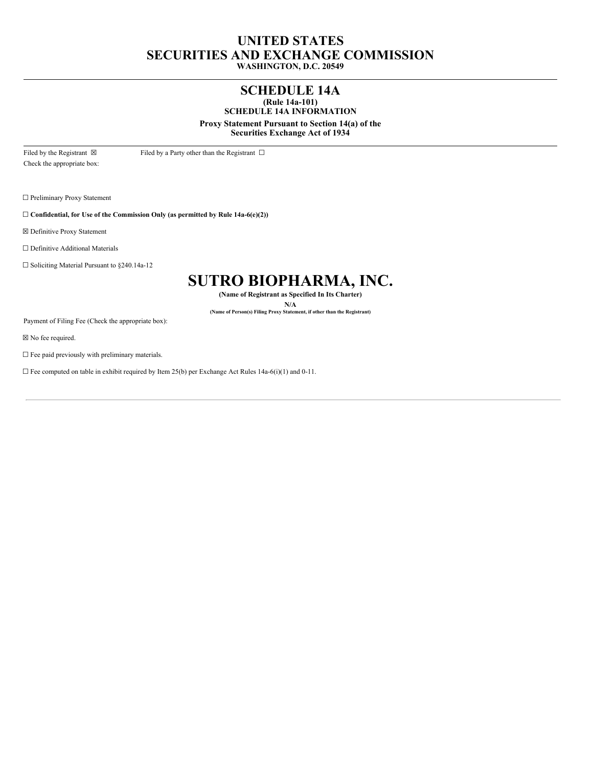# **UNITED STATES SECURITIES AND EXCHANGE COMMISSION WASHINGTON, D.C. 20549**

# **SCHEDULE 14A**

**(Rule 14a-101) SCHEDULE 14A INFORMATION**

**Proxy Statement Pursuant to Section 14(a) of the**

**Securities Exchange Act of 1934**

Filed by the Registrant  $\boxtimes$  Filed by a Party other than the Registrant  $\Box$ Check the appropriate box:

☐ Preliminary Proxy Statement

☐ **Confidential, for Use of the Commission Only (as permitted by Rule 14a-6(e)(2))**

☒ Definitive Proxy Statement

☐ Definitive Additional Materials

☐ Soliciting Material Pursuant to §240.14a-12

# **SUTRO BIOPHARMA, INC.**

**(Name of Registrant as Specified In Its Charter)**

**N/A (Name of Person(s) Filing Proxy Statement, if other than the Registrant)**

Payment of Filing Fee (Check the appropriate box):

☒ No fee required.

 $\square$  Fee paid previously with preliminary materials.

 $\Box$  Fee computed on table in exhibit required by Item 25(b) per Exchange Act Rules 14a-6(i)(1) and 0-11.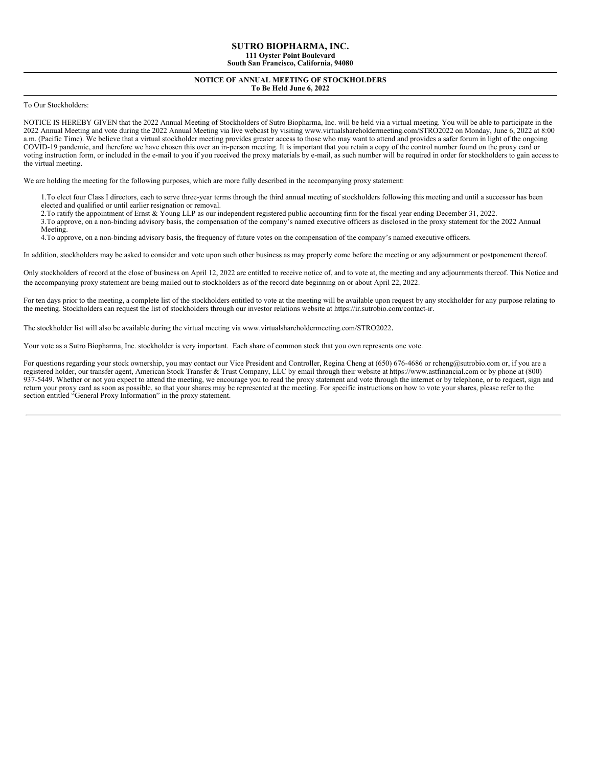# **NOTICE OF ANNUAL MEETING OF STOCKHOLDERS To Be Held June 6, 2022**

To Our Stockholders:

NOTICE IS HEREBY GIVEN that the 2022 Annual Meeting of Stockholders of Sutro Biopharma, Inc. will be held via a virtual meeting. You will be able to participate in the 2022 Annual Meeting and vote during the 2022 Annual Meeting via live webcast by visiting www.virtualshareholdermeeting.com/STRO2022 on Monday, June 6, 2022 at 8:00 a.m. (Pacific Time). We believe that a virtual stockholder meeting provides greater access to those who may want to attend and provides a safer forum in light of the ongoing COVID-19 pandemic, and therefore we have chosen this over an in-person meeting. It is important that you retain a copy of the control number found on the proxy card or voting instruction form, or included in the e-mail to you if you received the proxy materials by e-mail, as such number will be required in order for stockholders to gain access to the virtual meeting.

We are holding the meeting for the following purposes, which are more fully described in the accompanying proxy statement:

1. To elect four Class I directors, each to serve three-year terms through the third annual meeting of stockholders following this meeting and until a successor has been elected and qualified or until earlier resignation or removal.

2.To ratify the appointment of Ernst & Young LLP as our independent registered public accounting firm for the fiscal year ending December 31, 2022.

3.To approve, on a non-binding advisory basis, the compensation of the company's named executive officers as disclosed in the proxy statement for the 2022 Annual

Meeting.

4.To approve, on a non-binding advisory basis, the frequency of future votes on the compensation of the company's named executive officers.

In addition, stockholders may be asked to consider and vote upon such other business as may properly come before the meeting or any adjournment or postponement thereof.

Only stockholders of record at the close of business on April 12, 2022 are entitled to receive notice of, and to vote at, the meeting and any adjournments thereof. This Notice and the accompanying proxy statement are being mailed out to stockholders as of the record date beginning on or about April 22, 2022.

For ten days prior to the meeting, a complete list of the stockholders entitled to vote at the meeting will be available upon request by any stockholder for any purpose relating to the meeting. Stockholders can request the list of stockholders through our investor relations website at https://ir.sutrobio.com/contact-ir.

The stockholder list will also be available during the virtual meeting via www.virtualshareholdermeeting.com/STRO2022.

Your vote as a Sutro Biopharma, Inc. stockholder is very important. Each share of common stock that you own represents one vote.

For questions regarding your stock ownership, you may contact our Vice President and Controller, Regina Cheng at (650) 676-4686 or rcheng@sutrobio.com or, if you are a registered holder, our transfer agent, American Stock Transfer & Trust Company, LLC by email through their website at https://www.astfinancial.com or by phone at (800) 937-5449. Whether or not you expect to attend the meeting, we encourage you to read the proxy statement and vote through the internet or by telephone, or to request, sign and return your proxy card as soon as possible, so that your shares may be represented at the meeting. For specific instructions on how to vote your shares, please refer to the section entitled "General Proxy Information" in the proxy statement.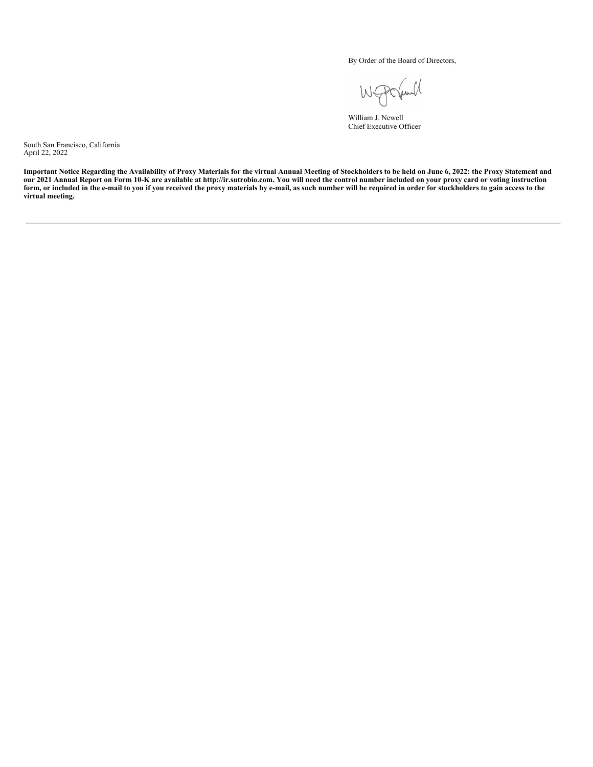By Order of the Board of Directors,

und WE

William J. Newell Chief Executive Officer

South San Francisco, California April 22, 2022

Important Notice Regarding the Availability of Proxy Materials for the virtual Annual Meeting of Stockholders to be held on June 6, 2022: the Proxy Statement and our 2021 Annual Report on Form 10-K are available at http://ir.sutrobio.com. You will need the control number included on your proxy card or voting instruction form, or included in the e-mail to you if you received the proxy materials by e-mail, as such number will be required in order for stockholders to gain access to the **virtual meeting.**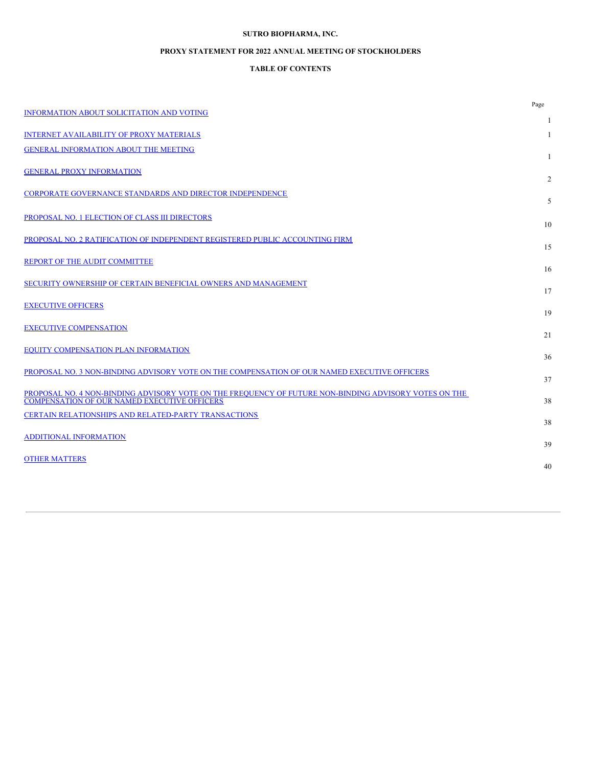# **SUTRO BIOPHARMA, INC.**

# **PROXY STATEMENT FOR 2022 ANNUAL MEETING OF STOCKHOLDERS**

# **TABLE OF CONTENTS**

| <b>INFORMATION ABOUT SOLICITATION AND VOTING</b>                                                                                                             | Page |
|--------------------------------------------------------------------------------------------------------------------------------------------------------------|------|
|                                                                                                                                                              | 1    |
| <b>INTERNET AVAILABILITY OF PROXY MATERIALS</b>                                                                                                              | 1    |
| <b>GENERAL INFORMATION ABOUT THE MEETING</b>                                                                                                                 | 1    |
| <b>GENERAL PROXY INFORMATION</b>                                                                                                                             | 2    |
| <b>CORPORATE GOVERNANCE STANDARDS AND DIRECTOR INDEPENDENCE</b>                                                                                              |      |
|                                                                                                                                                              | 5    |
| PROPOSAL NO. 1 ELECTION OF CLASS III DIRECTORS                                                                                                               | 10   |
| PROPOSAL NO. 2 RATIFICATION OF INDEPENDENT REGISTERED PUBLIC ACCOUNTING FIRM                                                                                 |      |
| REPORT OF THE AUDIT COMMITTEE                                                                                                                                | 15   |
|                                                                                                                                                              | 16   |
| SECURITY OWNERSHIP OF CERTAIN BENEFICIAL OWNERS AND MANAGEMENT                                                                                               | 17   |
| <b>EXECUTIVE OFFICERS</b>                                                                                                                                    |      |
|                                                                                                                                                              | 19   |
| <b>EXECUTIVE COMPENSATION</b>                                                                                                                                | 21   |
| EQUITY COMPENSATION PLAN INFORMATION                                                                                                                         | 36   |
| PROPOSAL NO. 3 NON-BINDING ADVISORY VOTE ON THE COMPENSATION OF OUR NAMED EXECUTIVE OFFICERS                                                                 |      |
|                                                                                                                                                              | 37   |
| PROPOSAL NO. 4 NON-BINDING ADVISORY VOTE ON THE FREQUENCY OF FUTURE NON-BINDING ADVISORY VOTES ON THE<br><b>COMPENSATION OF OUR NAMED EXECUTIVE OFFICERS</b> | 38   |
| <b>CERTAIN RELATIONSHIPS AND RELATED-PARTY TRANSACTIONS</b>                                                                                                  |      |
| <b>ADDITIONAL INFORMATION</b>                                                                                                                                | 38   |
|                                                                                                                                                              | 39   |
| <b>OTHER MATTERS</b>                                                                                                                                         | 40   |
|                                                                                                                                                              |      |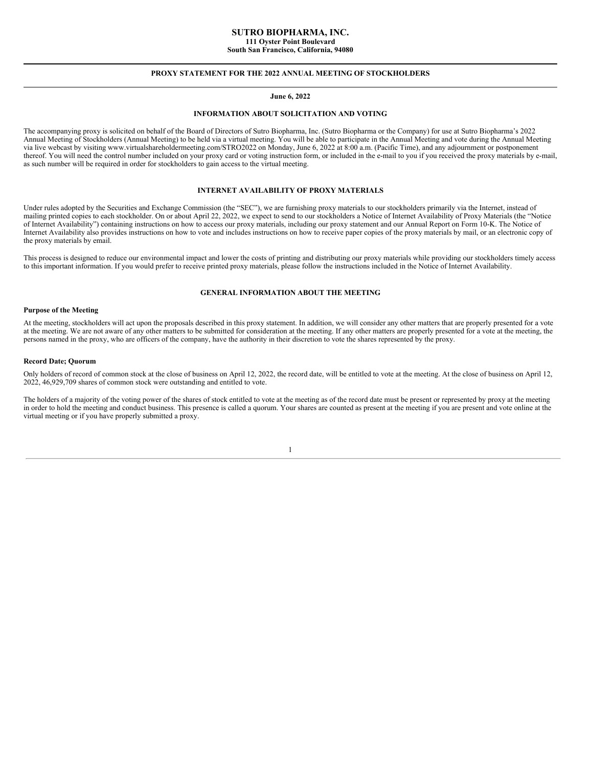### **SUTRO BIOPHARMA, INC. 111 Oyster Point Boulevard South San Francisco, California, 94080**

# **PROXY STATEMENT FOR THE 2022 ANNUAL MEETING OF STOCKHOLDERS**

# **June 6, 2022**

### **INFORMATION ABOUT SOLICITATION AND VOTING**

<span id="page-4-0"></span>The accompanying proxy is solicited on behalf of the Board of Directors of Sutro Biopharma, Inc. (Sutro Biopharma or the Company) for use at Sutro Biopharma's 2022 Annual Meeting of Stockholders (Annual Meeting) to be held via a virtual meeting. You will be able to participate in the Annual Meeting and vote during the Annual Meeting via live webcast by visiting www.virtualshareholdermeeting.com/STRO2022 on Monday, June 6, 2022 at 8:00 a.m. (Pacific Time), and any adjournment or postponement thereof. You will need the control number included on your proxy card or voting instruction form, or included in the e-mail to you if you received the proxy materials by e-mail, as such number will be required in order for stockholders to gain access to the virtual meeting.

# **INTERNET AVAILABILITY OF PROXY MATERIALS**

<span id="page-4-1"></span>Under rules adopted by the Securities and Exchange Commission (the "SEC"), we are furnishing proxy materials to our stockholders primarily via the Internet, instead of mailing printed copies to each stockholder. On or about April 22, 2022, we expect to send to our stockholders a Notice of Internet Availability of Proxy Materials (the "Notice of Internet Availability") containing instructions on how to access our proxy materials, including our proxy statement and our Annual Report on Form 10-K. The Notice of Internet Availability also provides instructions on how to vote and includes instructions on how to receive paper copies of the proxy materials by mail, or an electronic copy of the proxy materials by email.

This process is designed to reduce our environmental impact and lower the costs of printing and distributing our proxy materials while providing our stockholders timely access to this important information. If you would prefer to receive printed proxy materials, please follow the instructions included in the Notice of Internet Availability.

### <span id="page-4-2"></span>**GENERAL INFORMATION ABOUT THE MEETING**

#### **Purpose of the Meeting**

At the meeting, stockholders will act upon the proposals described in this proxy statement. In addition, we will consider any other matters that are properly presented for a vote at the meeting. We are not aware of any other matters to be submitted for consideration at the meeting. If any other matters are properly presented for a vote at the meeting, the persons named in the proxy, who are officers of the company, have the authority in their discretion to vote the shares represented by the proxy.

#### **Record Date; Quorum**

Only holders of record of common stock at the close of business on April 12, 2022, the record date, will be entitled to vote at the meeting. At the close of business on April 12, 2022, 46,929,709 shares of common stock were outstanding and entitled to vote.

The holders of a majority of the voting power of the shares of stock entitled to vote at the meeting as of the record date must be present or represented by proxy at the meeting in order to hold the meeting and conduct business. This presence is called a quorum. Your shares are counted as present at the meeting if you are present and vote online at the virtual meeting or if you have properly submitted a proxy.

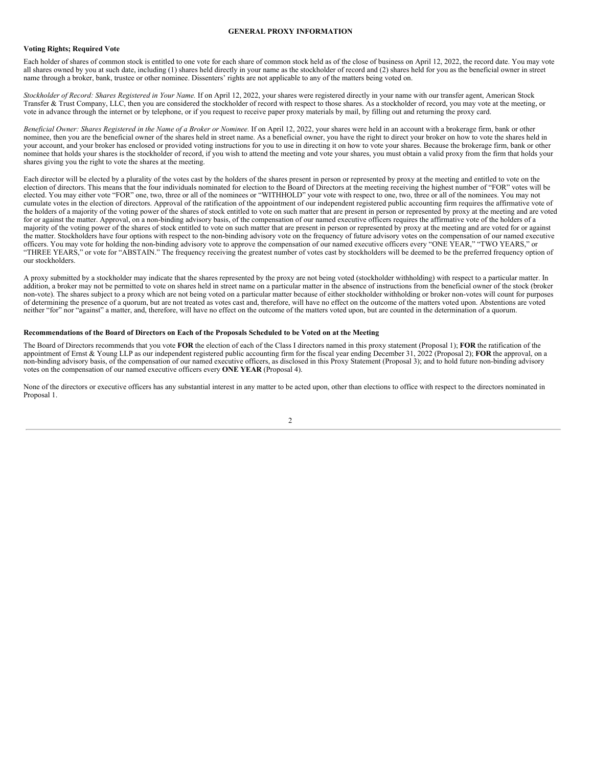# **GENERAL PROXY INFORMATION**

### <span id="page-5-0"></span>**Voting Rights; Required Vote**

Each holder of shares of common stock is entitled to one vote for each share of common stock held as of the close of business on April 12, 2022, the record date. You may vote all shares owned by you at such date, including (1) shares held directly in your name as the stockholder of record and (2) shares held for you as the beneficial owner in street name through a broker, bank, trustee or other nominee. Dissenters' rights are not applicable to any of the matters being voted on.

*Stockholder of Record: Shares Registered in Your Name.* If on April 12, 2022, your shares were registered directly in your name with our transfer agent, American Stock Transfer & Trust Company, LLC, then you are considered the stockholder of record with respect to those shares. As a stockholder of record, you may vote at the meeting, or vote in advance through the internet or by telephone, or if you request to receive paper proxy materials by mail, by filling out and returning the proxy card.

Beneficial Owner: Shares Registered in the Name of a Broker or Nominee. If on April 12, 2022, your shares were held in an account with a brokerage firm, bank or other nominee, then you are the beneficial owner of the shares held in street name. As a beneficial owner, you have the right to direct your broker on how to vote the shares held in your account, and your broker has enclosed or provided voting instructions for you to use in directing it on how to vote your shares. Because the brokerage firm, bank or other nominee that holds your shares is the stockholder of record, if you wish to attend the meeting and vote your shares, you must obtain a valid proxy from the firm that holds your shares giving you the right to vote the shares at the meeting.

Each director will be elected by a plurality of the votes cast by the holders of the shares present in person or represented by proxy at the meeting and entitled to vote on the election of directors. This means that the four individuals nominated for election to the Board of Directors at the meeting receiving the highest number of "FOR" votes will be elected. You may either vote "FOR" one, two, three or all of the nominees or "WITHHOLD" your vote with respect to one, two, three or all of the nominees. You may not cumulate votes in the election of directors. Approval of the ratification of the appointment of our independent registered public accounting firm requires the affirmative vote of the holders of a majority of the voting power of the shares of stock entitled to vote on such matter that are present in person or represented by proxy at the meeting and are voted for or against the matter. Approval, on a non-binding advisory basis, of the compensation of our named executive officers requires the affirmative vote of the holders of a majority of the voting power of the shares of stock entitled to vote on such matter that are present in person or represented by proxy at the meeting and are voted for or against the matter. Stockholders have four options with respect to the non-binding advisory vote on the frequency of future advisory votes on the compensation of our named executive officers. You may vote for holding the non-binding advisory vote to approve the compensation of our named executive officers every "ONE YEAR," "TWO YEARS," or "THREE YEARS," or vote for "ABSTAIN." The frequency receiving the greatest number of votes cast by stockholders will be deemed to be the preferred frequency option of our stockholders.

A proxy submitted by a stockholder may indicate that the shares represented by the proxy are not being voted (stockholder withholding) with respect to a particular matter. In addition, a broker may not be permitted to vote on shares held in street name on a particular matter in the absence of instructions from the beneficial owner of the stock (broker non-vote). The shares subject to a proxy which are not being voted on a particular matter because of either stockholder withholding or broker non-votes will count for purposes of determining the presence of a quorum, but are not treated as votes cast and, therefore, will have no effect on the outcome of the matters voted upon. Abstentions are voted neither "for" nor "against" a matter, and, therefore, will have no effect on the outcome of the matters voted upon, but are counted in the determination of a quorum.

### Recommendations of the Board of Directors on Each of the Proposals Scheduled to be Voted on at the Meeting

The Board of Directors recommends that you vote **FOR** the election of each of the Class I directors named in this proxy statement (Proposal 1); **FOR** the ratification of the appointment of Ernst & Young LLP as our independent registered public accounting firm for the fiscal year ending December 31, 2022 (Proposal 2); **FOR** the approval, on a non-binding advisory basis, of the compensation of our named executive officers, as disclosed in this Proxy Statement (Proposal 3); and to hold future non-binding advisory votes on the compensation of our named executive officers every **ONE YEAR** (Proposal 4).

None of the directors or executive officers has any substantial interest in any matter to be acted upon, other than elections to office with respect to the directors nominated in Proposal 1.

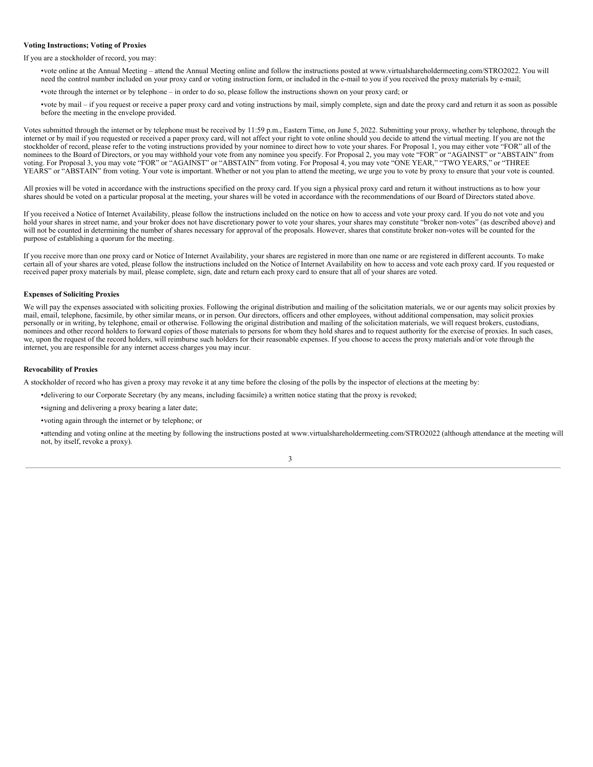### **Voting Instructions; Voting of Proxies**

If you are a stockholder of record, you may:

- •vote online at the Annual Meeting attend the Annual Meeting online and follow the instructions posted at www.virtualshareholdermeeting.com/STRO2022. You will need the control number included on your proxy card or voting instruction form, or included in the e-mail to you if you received the proxy materials by e-mail;
- •vote through the internet or by telephone in order to do so, please follow the instructions shown on your proxy card; or
- •vote by mail if you request or receive a paper proxy card and voting instructions by mail, simply complete, sign and date the proxy card and return it as soon as possible before the meeting in the envelope provided.

Votes submitted through the internet or by telephone must be received by 11:59 p.m., Eastern Time, on June 5, 2022. Submitting your proxy, whether by telephone, through the internet or by mail if you requested or received a paper proxy card, will not affect your right to vote online should you decide to attend the virtual meeting. If you are not the stockholder of record, please refer to the voting instructions provided by your nominee to direct how to vote your shares. For Proposal 1, you may either vote "FOR" all of the nominees to the Board of Directors, or you may withhold your vote from any nominee you specify. For Proposal 2, you may vote "FOR" or "AGAINST" or "ABSTAIN" from voting. For Proposal 3, you may vote "FOR" or "AGAINST" or "ABSTAIN" from voting. For Proposal 4, you may vote "ONE YEAR," "TWO YEARS," or "THREE YEARS" or "ABSTAIN" from voting. Your vote is important. Whether or not you plan to attend the meeting, we urge you to vote by proxy to ensure that your vote is counted.

All proxies will be voted in accordance with the instructions specified on the proxy card. If you sign a physical proxy card and return it without instructions as to how your shares should be voted on a particular proposal at the meeting, your shares will be voted in accordance with the recommendations of our Board of Directors stated above.

If you received a Notice of Internet Availability, please follow the instructions included on the notice on how to access and vote your proxy card. If you do not vote and you hold your shares in street name, and your broker does not have discretionary power to vote your shares, your shares may constitute "broker non-votes" (as described above) and will not be counted in determining the number of shares necessary for approval of the proposals. However, shares that constitute broker non-votes will be counted for the purpose of establishing a quorum for the meeting.

If you receive more than one proxy card or Notice of Internet Availability, your shares are registered in more than one name or are registered in different accounts. To make certain all of your shares are voted, please follow the instructions included on the Notice of Internet Availability on how to access and vote each proxy card. If you requested or received paper proxy materials by mail, please complete, sign, date and return each proxy card to ensure that all of your shares are voted.

### **Expenses of Soliciting Proxies**

We will pay the expenses associated with soliciting proxies. Following the original distribution and mailing of the solicitation materials, we or our agents may solicit proxies by mail, email, telephone, facsimile, by other similar means, or in person. Our directors, officers and other employees, without additional compensation, may solicit proxies personally or in writing, by telephone, email or otherwise. Following the original distribution and mailing of the solicitation materials, we will request brokers, custodians, nominees and other record holders to forward copies of those materials to persons for whom they hold shares and to request authority for the exercise of proxies. In such cases, we, upon the request of the record holders, will reimburse such holders for their reasonable expenses. If you choose to access the proxy materials and/or vote through the internet, you are responsible for any internet access charges you may incur.

### **Revocability of Proxies**

A stockholder of record who has given a proxy may revoke it at any time before the closing of the polls by the inspector of elections at the meeting by:

- •delivering to our Corporate Secretary (by any means, including facsimile) a written notice stating that the proxy is revoked;
- •signing and delivering a proxy bearing a later date;
- •voting again through the internet or by telephone; or

•attending and voting online at the meeting by following the instructions posted at www.virtualshareholdermeeting.com/STRO2022 (although attendance at the meeting will not, by itself, revoke a proxy).

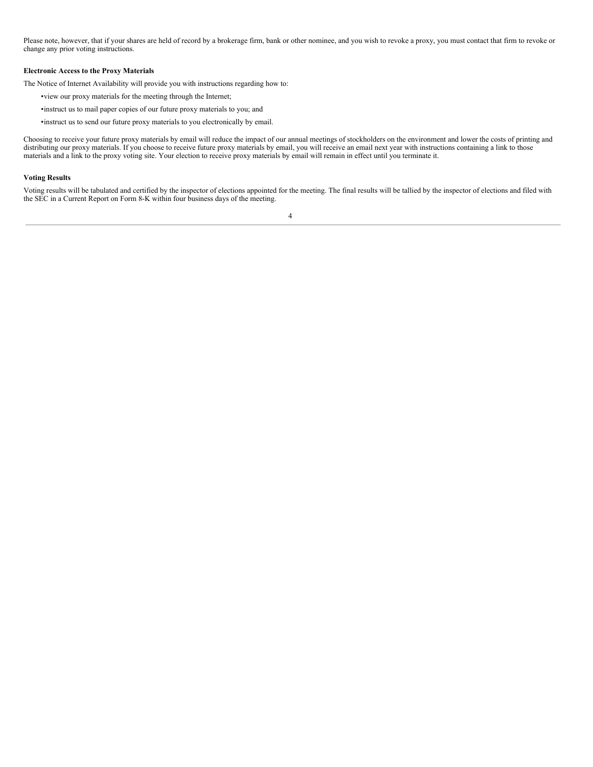Please note, however, that if your shares are held of record by a brokerage firm, bank or other nominee, and you wish to revoke a proxy, you must contact that firm to revoke or change any prior voting instructions.

# **Electronic Access to the Proxy Materials**

The Notice of Internet Availability will provide you with instructions regarding how to:

- •view our proxy materials for the meeting through the Internet;
- •instruct us to mail paper copies of our future proxy materials to you; and
- •instruct us to send our future proxy materials to you electronically by email.

Choosing to receive your future proxy materials by email will reduce the impact of our annual meetings of stockholders on the environment and lower the costs of printing and distributing our proxy materials. If you choose to receive future proxy materials by email, you will receive an email next year with instructions containing a link to those materials and a link to the proxy voting site. Your election to receive proxy materials by email will remain in effect until you terminate it.

#### **Voting Results**

Voting results will be tabulated and certified by the inspector of elections appointed for the meeting. The final results will be tallied by the inspector of elections and filed with the SEC in a Current Report on Form 8-K within four business days of the meeting.

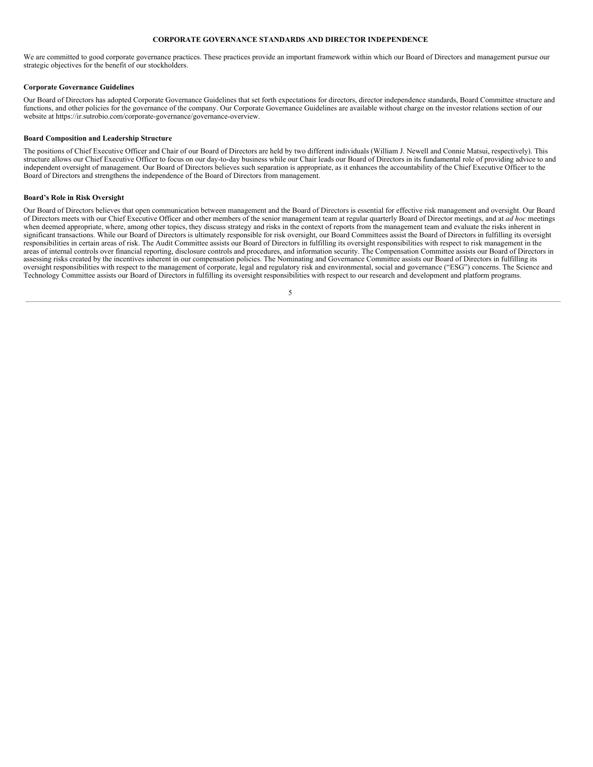### <span id="page-8-0"></span>**CORPORATE GOVERNANCE STANDARDS AND DIRECTOR INDEPENDENCE**

We are committed to good corporate governance practices. These practices provide an important framework within which our Board of Directors and management pursue our strategic objectives for the benefit of our stockholders.

### **Corporate Governance Guidelines**

Our Board of Directors has adopted Corporate Governance Guidelines that set forth expectations for directors, director independence standards, Board Committee structure and functions, and other policies for the governance of the company. Our Corporate Governance Guidelines are available without charge on the investor relations section of our website at https://ir.sutrobio.com/corporate-governance/governance-overview.

### **Board Composition and Leadership Structure**

The positions of Chief Executive Officer and Chair of our Board of Directors are held by two different individuals (William J. Newell and Connie Matsui, respectively). This structure allows our Chief Executive Officer to focus on our day-to-day business while our Chair leads our Board of Directors in its fundamental role of providing advice to and independent oversight of management. Our Board of Directors believes such separation is appropriate, as it enhances the accountability of the Chief Executive Officer to the Board of Directors and strengthens the independence of the Board of Directors from management.

### **Board's Role in Risk Oversight**

Our Board of Directors believes that open communication between management and the Board of Directors is essential for effective risk management and oversight. Our Board of Directors meets with our Chief Executive Officer and other members of the senior management team at regular quarterly Board of Director meetings, and at *ad hoc* meetings when deemed appropriate, where, among other topics, they discuss strategy and risks in the context of reports from the management team and evaluate the risks inherent in significant transactions. While our Board of Directors is ultimately responsible for risk oversight, our Board Committees assist the Board of Directors in fulfilling its oversight responsibilities in certain areas of risk. The Audit Committee assists our Board of Directors in fulfilling its oversight responsibilities with respect to risk management in the areas of internal controls over financial reporting, disclosure controls and procedures, and information security. The Compensation Committee assists our Board of Directors in assessing risks created by the incentives inherent in our compensation policies. The Nominating and Governance Committee assists our Board of Directors in fulfilling its oversight responsibilities with respect to the management of corporate, legal and regulatory risk and environmental, social and governance ("ESG") concerns. The Science and Technology Committee assists our Board of Directors in fulfilling its oversight responsibilities with respect to our research and development and platform programs.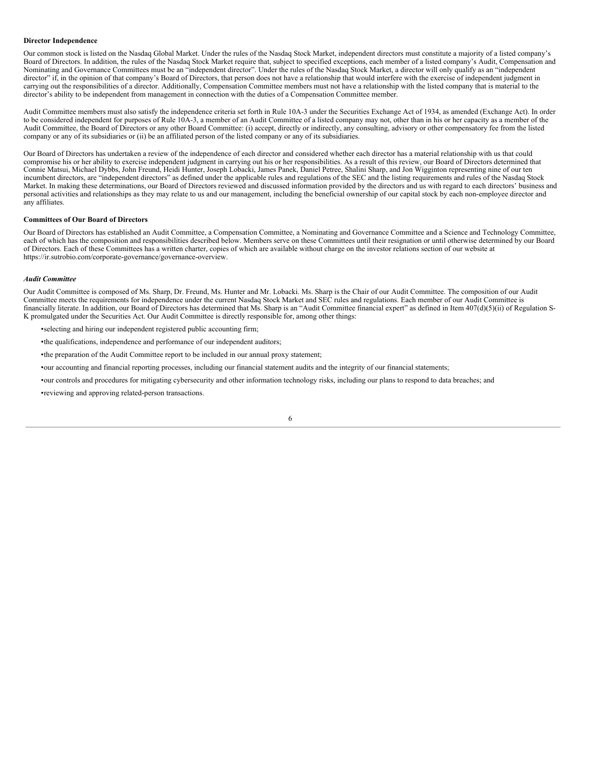# **Director Independence**

Our common stock is listed on the Nasdaq Global Market. Under the rules of the Nasdaq Stock Market, independent directors must constitute a majority of a listed company's Board of Directors. In addition, the rules of the Nasdaq Stock Market require that, subject to specified exceptions, each member of a listed company's Audit, Compensation and Nominating and Governance Committees must be an "independent director". Under the rules of the Nasdaq Stock Market, a director will only qualify as an "independent director" if, in the opinion of that company's Board of Directors, that person does not have a relationship that would interfere with the exercise of independent judgment in carrying out the responsibilities of a director. Additionally, Compensation Committee members must not have a relationship with the listed company that is material to the director's ability to be independent from management in connection with the duties of a Compensation Committee member.

Audit Committee members must also satisfy the independence criteria set forth in Rule 10A-3 under the Securities Exchange Act of 1934, as amended (Exchange Act). In order to be considered independent for purposes of Rule 10A-3, a member of an Audit Committee of a listed company may not, other than in his or her capacity as a member of the Audit Committee, the Board of Directors or any other Board Committee: (i) accept, directly or indirectly, any consulting, advisory or other compensatory fee from the listed company or any of its subsidiaries or (ii) be an affiliated person of the listed company or any of its subsidiaries.

Our Board of Directors has undertaken a review of the independence of each director and considered whether each director has a material relationship with us that could compromise his or her ability to exercise independent judgment in carrying out his or her responsibilities. As a result of this review, our Board of Directors determined that Connie Matsui, Michael Dybbs, John Freund, Heidi Hunter, Joseph Lobacki, James Panek, Daniel Petree, Shalini Sharp, and Jon Wigginton representing nine of our ten incumbent directors, are "independent directors" as defined under the applicable rules and regulations of the SEC and the listing requirements and rules of the Nasdaq Stock Market. In making these determinations, our Board of Directors reviewed and discussed information provided by the directors and us with regard to each directors' business and personal activities and relationships as they may relate to us and our management, including the beneficial ownership of our capital stock by each non-employee director and any affiliates.

# **Committees of Our Board of Directors**

Our Board of Directors has established an Audit Committee, a Compensation Committee, a Nominating and Governance Committee and a Science and Technology Committee, each of which has the composition and responsibilities described below. Members serve on these Committees until their resignation or until otherwise determined by our Board of Directors. Each of these Committees has a written charter, copies of which are available without charge on the investor relations section of our website at https://ir.sutrobio.com/corporate-governance/governance-overview.

### *Audit Committee*

Our Audit Committee is composed of Ms. Sharp, Dr. Freund, Ms. Hunter and Mr. Lobacki. Ms. Sharp is the Chair of our Audit Committee. The composition of our Audit Committee meets the requirements for independence under the current Nasdaq Stock Market and SEC rules and regulations. Each member of our Audit Committee is financially literate. In addition, our Board of Directors has determined that Ms. Sharp is an "Audit Committee financial expert" as defined in Item 407(d)(5)(ii) of Regulation S-K promulgated under the Securities Act. Our Audit Committee is directly responsible for, among other things:

- •selecting and hiring our independent registered public accounting firm;
- •the qualifications, independence and performance of our independent auditors;
- •the preparation of the Audit Committee report to be included in our annual proxy statement;
- •our accounting and financial reporting processes, including our financial statement audits and the integrity of our financial statements;
- •our controls and procedures for mitigating cybersecurity and other information technology risks, including our plans to respond to data breaches; and
- •reviewing and approving related-person transactions.

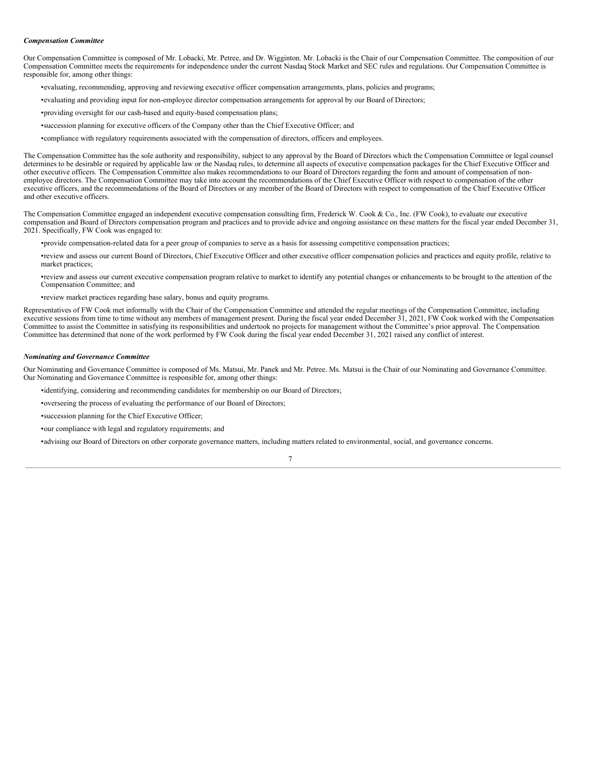### *Compensation Committee*

Our Compensation Committee is composed of Mr. Lobacki, Mr. Petree, and Dr. Wigginton. Mr. Lobacki is the Chair of our Compensation Committee. The composition of our Compensation Committee meets the requirements for independence under the current Nasdaq Stock Market and SEC rules and regulations. Our Compensation Committee is responsible for, among other things:

- •evaluating, recommending, approving and reviewing executive officer compensation arrangements, plans, policies and programs;
- •evaluating and providing input for non-employee director compensation arrangements for approval by our Board of Directors;
- •providing oversight for our cash-based and equity-based compensation plans;
- •succession planning for executive officers of the Company other than the Chief Executive Officer; and
- •compliance with regulatory requirements associated with the compensation of directors, officers and employees.

The Compensation Committee has the sole authority and responsibility, subject to any approval by the Board of Directors which the Compensation Committee or legal counsel determines to be desirable or required by applicable law or the Nasdaq rules, to determine all aspects of executive compensation packages for the Chief Executive Officer and other executive officers. The Compensation Committee also makes recommendations to our Board of Directors regarding the form and amount of compensation of nonemployee directors. The Compensation Committee may take into account the recommendations of the Chief Executive Officer with respect to compensation of the other executive officers, and the recommendations of the Board of Directors or any member of the Board of Directors with respect to compensation of the Chief Executive Officer and other executive officers.

The Compensation Committee engaged an independent executive compensation consulting firm, Frederick W. Cook & Co., Inc. (FW Cook), to evaluate our executive compensation and Board of Directors compensation program and practices and to provide advice and ongoing assistance on these matters for the fiscal year ended December 31, 2021. Specifically, FW Cook was engaged to:

- •provide compensation-related data for a peer group of companies to serve as a basis for assessing competitive compensation practices;
- •review and assess our current Board of Directors, Chief Executive Officer and other executive officer compensation policies and practices and equity profile, relative to market practices;
- •review and assess our current executive compensation program relative to market to identify any potential changes or enhancements to be brought to the attention of the Compensation Committee; and
- •review market practices regarding base salary, bonus and equity programs.

Representatives of FW Cook met informally with the Chair of the Compensation Committee and attended the regular meetings of the Compensation Committee, including executive sessions from time to time without any members of management present. During the fiscal year ended December 31, 2021, FW Cook worked with the Compensation Committee to assist the Committee in satisfying its responsibilities and undertook no projects for management without the Committee's prior approval. The Compensation Committee has determined that none of the work performed by FW Cook during the fiscal year ended December 31, 2021 raised any conflict of interest.

#### *Nominating and Governance Committee*

Our Nominating and Governance Committee is composed of Ms. Matsui, Mr. Panek and Mr. Petree. Ms. Matsui is the Chair of our Nominating and Governance Committee. Our Nominating and Governance Committee is responsible for, among other things:

- •identifying, considering and recommending candidates for membership on our Board of Directors;
- •overseeing the process of evaluating the performance of our Board of Directors;
- •succession planning for the Chief Executive Officer;
- •our compliance with legal and regulatory requirements; and

•advising our Board of Directors on other corporate governance matters, including matters related to environmental, social, and governance concerns.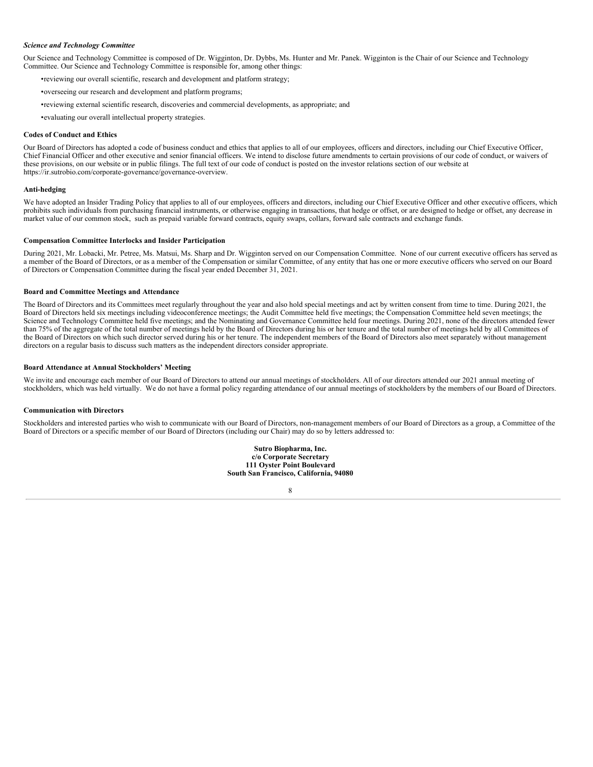### *Science and Technology Committee*

Our Science and Technology Committee is composed of Dr. Wigginton, Dr. Dybbs, Ms. Hunter and Mr. Panek. Wigginton is the Chair of our Science and Technology Committee. Our Science and Technology Committee is responsible for, among other things:

- •reviewing our overall scientific, research and development and platform strategy;
- •overseeing our research and development and platform programs;
- •reviewing external scientific research, discoveries and commercial developments, as appropriate; and
- •evaluating our overall intellectual property strategies.

### **Codes of Conduct and Ethics**

Our Board of Directors has adopted a code of business conduct and ethics that applies to all of our employees, officers and directors, including our Chief Executive Officer, Chief Financial Officer and other executive and senior financial officers. We intend to disclose future amendments to certain provisions of our code of conduct, or waivers of these provisions, on our website or in public filings. The full text of our code of conduct is posted on the investor relations section of our website at https://ir.sutrobio.com/corporate-governance/governance-overview.

### **Anti-hedging**

We have adopted an Insider Trading Policy that applies to all of our employees, officers and directors, including our Chief Executive Officer and other executive officers, which prohibits such individuals from purchasing financial instruments, or otherwise engaging in transactions, that hedge or offset, or are designed to hedge or offset, any decrease in market value of our common stock, such as prepaid variable forward contracts, equity swaps, collars, forward sale contracts and exchange funds.

### **Compensation Committee Interlocks and Insider Participation**

During 2021, Mr. Lobacki, Mr. Petree, Ms. Matsui, Ms. Sharp and Dr. Wigginton served on our Compensation Committee. None of our current executive officers has served as a member of the Board of Directors, or as a member of the Compensation or similar Committee, of any entity that has one or more executive officers who served on our Board of Directors or Compensation Committee during the fiscal year ended December 31, 2021.

### **Board and Committee Meetings and Attendance**

The Board of Directors and its Committees meet regularly throughout the year and also hold special meetings and act by written consent from time to time. During 2021, the Board of Directors held six meetings including videoconference meetings; the Audit Committee held five meetings; the Compensation Committee held seven meetings; the Science and Technology Committee held five meetings; and the Nominating and Governance Committee held four meetings. During 2021, none of the directors attended fewer than 75% of the aggregate of the total number of meetings held by the Board of Directors during his or her tenure and the total number of meetings held by all Committees of the Board of Directors on which such director served during his or her tenure. The independent members of the Board of Directors also meet separately without management directors on a regular basis to discuss such matters as the independent directors consider appropriate.

### **Board Attendance at Annual Stockholders' Meeting**

We invite and encourage each member of our Board of Directors to attend our annual meetings of stockholders. All of our directors attended our 2021 annual meeting of stockholders, which was held virtually. We do not have a formal policy regarding attendance of our annual meetings of stockholders by the members of our Board of Directors.

### **Communication with Directors**

Stockholders and interested parties who wish to communicate with our Board of Directors, non-management members of our Board of Directors as a group, a Committee of the Board of Directors or a specific member of our Board of Directors (including our Chair) may do so by letters addressed to:

> **Sutro Biopharma, Inc. c/o Corporate Secretary 111 Oyster Point Boulevard South San Francisco, California, 94080**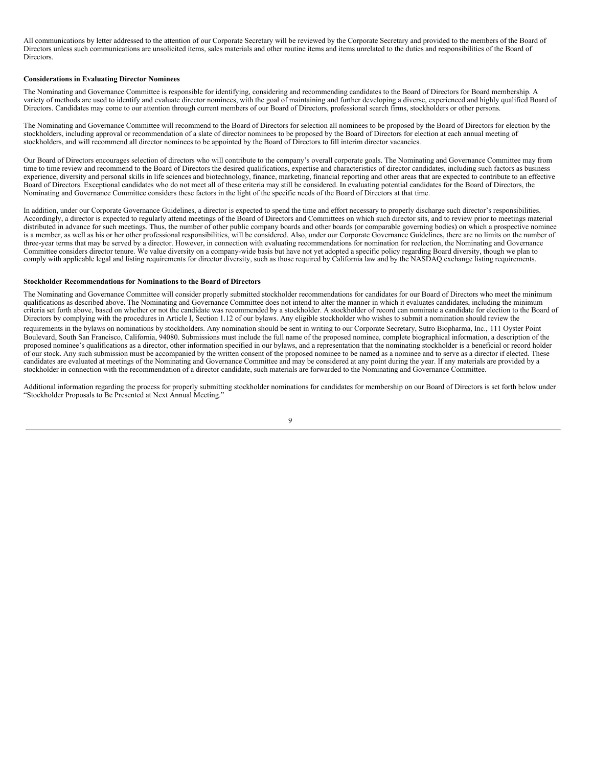All communications by letter addressed to the attention of our Corporate Secretary will be reviewed by the Corporate Secretary and provided to the members of the Board of Directors unless such communications are unsolicited items, sales materials and other routine items and items unrelated to the duties and responsibilities of the Board of **Directors** 

### **Considerations in Evaluating Director Nominees**

The Nominating and Governance Committee is responsible for identifying, considering and recommending candidates to the Board of Directors for Board membership. A variety of methods are used to identify and evaluate director nominees, with the goal of maintaining and further developing a diverse, experienced and highly qualified Board of Directors. Candidates may come to our attention through current members of our Board of Directors, professional search firms, stockholders or other persons.

The Nominating and Governance Committee will recommend to the Board of Directors for selection all nominees to be proposed by the Board of Directors for election by the stockholders, including approval or recommendation of a slate of director nominees to be proposed by the Board of Directors for election at each annual meeting of stockholders, and will recommend all director nominees to be appointed by the Board of Directors to fill interim director vacancies.

Our Board of Directors encourages selection of directors who will contribute to the company's overall corporate goals. The Nominating and Governance Committee may from time to time review and recommend to the Board of Directors the desired qualifications, expertise and characteristics of director candidates, including such factors as business experience, diversity and personal skills in life sciences and biotechnology, finance, marketing, financial reporting and other areas that are expected to contribute to an effective Board of Directors. Exceptional candidates who do not meet all of these criteria may still be considered. In evaluating potential candidates for the Board of Directors, the Nominating and Governance Committee considers these factors in the light of the specific needs of the Board of Directors at that time.

In addition, under our Corporate Governance Guidelines, a director is expected to spend the time and effort necessary to properly discharge such director's responsibilities. Accordingly, a director is expected to regularly attend meetings of the Board of Directors and Committees on which such director sits, and to review prior to meetings material distributed in advance for such meetings. Thus, the number of other public company boards and other boards (or comparable governing bodies) on which a prospective nominee is a member, as well as his or her other professional responsibilities, will be considered. Also, under our Corporate Governance Guidelines, there are no limits on the number of three-year terms that may be served by a director. However, in connection with evaluating recommendations for nomination for reelection, the Nominating and Governance Committee considers director tenure. We value diversity on a company-wide basis but have not yet adopted a specific policy regarding Board diversity, though we plan to comply with applicable legal and listing requirements for director diversity, such as those required by California law and by the NASDAQ exchange listing requirements.

### **Stockholder Recommendations for Nominations to the Board of Directors**

The Nominating and Governance Committee will consider properly submitted stockholder recommendations for candidates for our Board of Directors who meet the minimum qualifications as described above. The Nominating and Governance Committee does not intend to alter the manner in which it evaluates candidates, including the minimum criteria set forth above, based on whether or not the candidate was recommended by a stockholder. A stockholder of record can nominate a candidate for election to the Board of Directors by complying with the procedures in Article I, Section 1.12 of our bylaws. Any eligible stockholder who wishes to submit a nomination should review the

requirements in the bylaws on nominations by stockholders. Any nomination should be sent in writing to our Corporate Secretary, Sutro Biopharma, Inc., 111 Oyster Point Boulevard, South San Francisco, California, 94080. Submissions must include the full name of the proposed nominee, complete biographical information, a description of the proposed nominee's qualifications as a director, other information specified in our bylaws, and a representation that the nominating stockholder is a beneficial or record holder of our stock. Any such submission must be accompanied by the written consent of the proposed nominee to be named as a nominee and to serve as a director if elected. These candidates are evaluated at meetings of the Nominating and Governance Committee and may be considered at any point during the year. If any materials are provided by a stockholder in connection with the recommendation of a director candidate, such materials are forwarded to the Nominating and Governance Committee.

Additional information regarding the process for properly submitting stockholder nominations for candidates for membership on our Board of Directors is set forth below under "Stockholder Proposals to Be Presented at Next Annual Meeting."

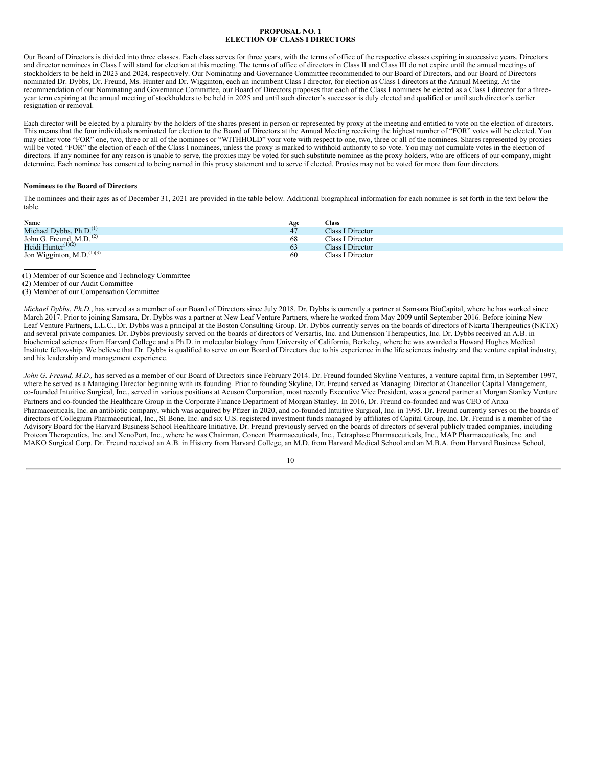### **PROPOSAL NO. 1 ELECTION OF CLASS I DIRECTORS**

<span id="page-13-0"></span>Our Board of Directors is divided into three classes. Each class serves for three years, with the terms of office of the respective classes expiring in successive years. Directors and director nominees in Class I will stand for election at this meeting. The terms of office of directors in Class II and Class III do not expire until the annual meetings of stockholders to be held in 2023 and 2024, respectively. Our Nominating and Governance Committee recommended to our Board of Directors, and our Board of Directors nominated Dr. Dybbs, Dr. Freund, Ms. Hunter and Dr. Wigginton, each an incumbent Class I director, for election as Class I directors at the Annual Meeting. At the recommendation of our Nominating and Governance Committee, our Board of Directors proposes that each of the Class I nominees be elected as a Class I director for a threeyear term expiring at the annual meeting of stockholders to be held in 2025 and until such director's successor is duly elected and qualified or until such director's earlier resignation or removal.

Each director will be elected by a plurality by the holders of the shares present in person or represented by proxy at the meeting and entitled to vote on the election of directors. This means that the four individuals nominated for election to the Board of Directors at the Annual Meeting receiving the highest number of "FOR" votes will be elected. You may either vote "FOR" one, two, three or all of the nominees or "WITHHOLD" your vote with respect to one, two, three or all of the nominees. Shares represented by proxies will be voted "FOR" the election of each of the Class I nominees, unless the proxy is marked to withhold authority to so vote. You may not cumulate votes in the election of directors. If any nominee for any reason is unable to serve, the proxies may be voted for such substitute nominee as the proxy holders, who are officers of our company, might determine. Each nominee has consented to being named in this proxy statement and to serve if elected. Proxies may not be voted for more than four directors.

### **Nominees to the Board of Directors**

The nominees and their ages as of December 31, 2021 are provided in the table below. Additional biographical information for each nominee is set forth in the text below the table.

| Name                                  | Age | <b>Class</b>     |
|---------------------------------------|-----|------------------|
| Michael Dybbs, $Ph.D.(1)$             | 47  | Class I Director |
| John G. Freund, M.D. <sup>(2)</sup>   | 68  | Class I Director |
| Heidi Hunter $(1)(2)$                 | 63  | Class I Director |
| Jon Wigginton, M.D. <sup>(1)(3)</sup> | -60 | Class I Director |

(1) Member of our Science and Technology Committee

(3) Member of our Compensation Committee

*Michael Dybbs*, *Ph.D*., has served as a member of our Board of Directors since July 2018. Dr. Dybbs is currently a partner at Samsara BioCapital, where he has worked since March 2017. Prior to joining Samsara, Dr. Dybbs was a partner at New Leaf Venture Partners, where he worked from May 2009 until September 2016. Before joining New Leaf Venture Partners, L.L.C., Dr. Dybbs was a principal at the Boston Consulting Group. Dr. Dybbs currently serves on the boards of directors of Nkarta Therapeutics (NKTX) and several private companies. Dr. Dybbs previously served on the boards of directors of Versartis, Inc. and Dimension Therapeutics, Inc. Dr. Dybbs received an A.B. in biochemical sciences from Harvard College and a Ph.D. in molecular biology from University of California, Berkeley, where he was awarded a Howard Hughes Medical Institute fellowship. We believe that Dr. Dybbs is qualified to serve on our Board of Directors due to his experience in the life sciences industry and the venture capital industry, and his leadership and management experience.

*John G. Freund, M.D.,* has served as a member of our Board of Directors since February 2014. Dr. Freund founded Skyline Ventures, a venture capital firm, in September 1997, where he served as a Managing Director beginning with its founding. Prior to founding Skyline, Dr. Freund served as Managing Director at Chancellor Capital Management, co-founded Intuitive Surgical, Inc., served in various positions at Acuson Corporation, most recently Executive Vice President, was a general partner at Morgan Stanley Venture Partners and co-founded the Healthcare Group in the Corporate Finance Department of Morgan Stanley. In 2016, Dr. Freund co-founded and was CEO of Arixa Pharmaceuticals, Inc. an antibiotic company, which was acquired by Pfizer in 2020, and co-founded Intuitive Surgical, Inc. in 1995. Dr. Freund currently serves on the boards of directors of Collegium Pharmaceutical, Inc., SI Bone, Inc. and six U.S. registered investment funds managed by affiliates of Capital Group, Inc. Dr. Freund is a member of the Advisory Board for the Harvard Business School Healthcare Initiative. Dr. Freund previously served on the boards of directors of several publicly traded companies, including Proteon Therapeutics, Inc. and XenoPort, Inc., where he was Chairman, Concert Pharmaceuticals, Inc., Tetraphase Pharmaceuticals, Inc., MAP Pharmaceuticals, Inc. and MAKO Surgical Corp. Dr. Freund received an A.B. in History from Harvard College, an M.D. from Harvard Medical School and an M.B.A. from Harvard Business School,

<sup>(2)</sup> Member of our Audit Committee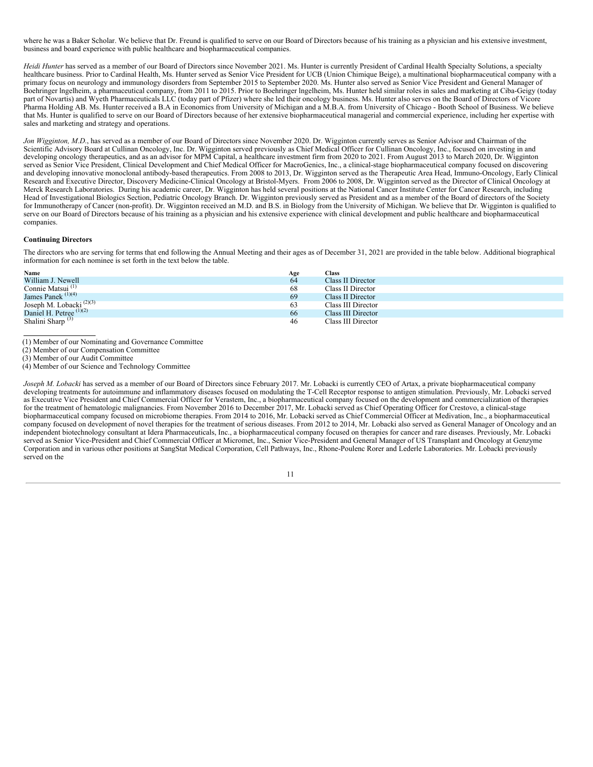where he was a Baker Scholar. We believe that Dr. Freund is qualified to serve on our Board of Directors because of his training as a physician and his extensive investment, business and board experience with public healthcare and biopharmaceutical companies.

*Heidi Hunter* has served as a member of our Board of Directors since November 2021. Ms. Hunter is currently President of Cardinal Health Specialty Solutions, a specialty healthcare business. Prior to Cardinal Health, Ms. Hunter served as Senior Vice President for UCB (Union Chimique Beige), a multinational biopharmaceutical company with a primary focus on neurology and immunology disorders from September 2015 to September 2020. Ms. Hunter also served as Senior Vice President and General Manager of Boehringer lngelheim, a pharmaceutical company, from 2011 to 2015. Prior to Boehringer lngelheim, Ms. Hunter held similar roles in sales and marketing at Ciba-Geigy (today part of Novartis) and Wyeth Pharmaceuticals LLC (today part of Pfizer) where she led their oncology business. Ms. Hunter also serves on the Board of Directors of Vicore Pharma Holding AB. Ms. Hunter received a B.A in Economics from University of Michigan and a M.B.A. from University of Chicago - Booth School of Business. We believe that Ms. Hunter is qualified to serve on our Board of Directors because of her extensive biopharmaceutical managerial and commercial experience, including her expertise with sales and marketing and strategy and operations.

*Jon Wigginton, M.D.*, has served as a member of our Board of Directors since November 2020. Dr. Wigginton currently serves as Senior Advisor and Chairman of the Scientific Advisory Board at Cullinan Oncology, Inc. Dr. Wigginton served previously as Chief Medical Officer for Cullinan Oncology, Inc., focused on investing in and developing oncology therapeutics, and as an advisor for MPM Capital, a healthcare investment firm from 2020 to 2021. From August 2013 to March 2020, Dr. Wigginton served as Senior Vice President, Clinical Development and Chief Medical Officer for MacroGenics, Inc., a clinical-stage biopharmaceutical company focused on discovering and developing innovative monoclonal antibody-based therapeutics. From 2008 to 2013, Dr. Wigginton served as the Therapeutic Area Head, Immuno-Oncology, Early Clinical Research and Executive Director, Discovery Medicine-Clinical Oncology at Bristol-Myers. From 2006 to 2008, Dr. Wigginton served as the Director of Clinical Oncology at Merck Research Laboratories. During his academic career, Dr. Wigginton has held several positions at the National Cancer Institute Center for Cancer Research, including Head of Investigational Biologics Section, Pediatric Oncology Branch. Dr. Wigginton previously served as President and as a member of the Board of directors of the Society for Immunotherapy of Cancer (non-profit). Dr. Wigginton received an M.D. and B.S. in Biology from the University of Michigan. We believe that Dr. Wigginton is qualified to serve on our Board of Directors because of his training as a physician and his extensive experience with clinical development and public healthcare and biopharmaceutical companies.

### **Continuing Directors**

The directors who are serving for terms that end following the Annual Meeting and their ages as of December 31, 2021 are provided in the table below. Additional biographical information for each nominee is set forth in the text below the table.

| Name                                | Age | <b>Class</b>       |
|-------------------------------------|-----|--------------------|
| William J. Newell                   | 64  | Class II Director  |
| Connie Matsui <sup>(1)</sup>        | 68  | Class II Director  |
| James Panek $(1)(4)$                | 69  | Class II Director  |
| Joseph M. Lobacki <sup>(2)(3)</sup> | 63  | Class III Director |
| Daniel H. Petree $(1)(2)$           | 66  | Class III Director |
| Shalini Sharp $(3)$                 | 46  | Class III Director |

(1) Member of our Nominating and Governance Committee

(2) Member of our Compensation Committee

(3) Member of our Audit Committee

(4) Member of our Science and Technology Committee

*Joseph M. Lobacki* has served as a member of our Board of Directors since February 2017. Mr. Lobacki is currently CEO of Artax, a private biopharmaceutical company developing treatments for autoimmune and inflammatory diseases focused on modulating the T-Cell Receptor response to antigen stimulation. Previously, Mr. Lobacki served as Executive Vice President and Chief Commercial Officer for Verastem, Inc., a biopharmaceutical company focused on the development and commercialization of therapies for the treatment of hematologic malignancies. From November 2016 to December 2017, Mr. Lobacki served as Chief Operating Officer for Crestovo, a clinical-stage biopharmaceutical company focused on microbiome therapies. From 2014 to 2016, Mr. Lobacki served as Chief Commercial Officer at Medivation, Inc., a biopharmaceutical company focused on development of novel therapies for the treatment of serious diseases. From 2012 to 2014, Mr. Lobacki also served as General Manager of Oncology and an independent biotechnology consultant at Idera Pharmaceuticals, Inc., a biopharmaceutical company focused on therapies for cancer and rare diseases. Previously, Mr. Lobacki served as Senior Vice-President and Chief Commercial Officer at Micromet, Inc., Senior Vice-President and General Manager of US Transplant and Oncology at Genzyme Corporation and in various other positions at SangStat Medical Corporation, Cell Pathways, Inc., Rhone-Poulenc Rorer and Lederle Laboratories. Mr. Lobacki previously served on the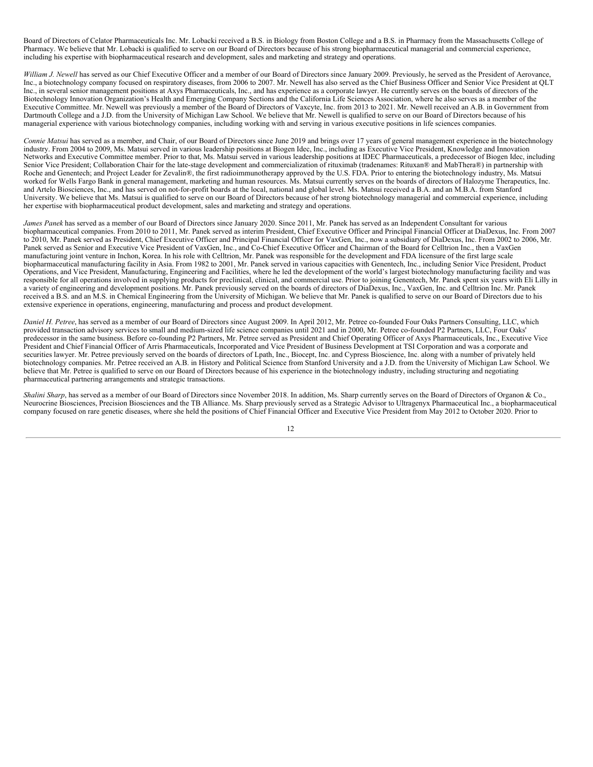Board of Directors of Celator Pharmaceuticals Inc. Mr. Lobacki received a B.S. in Biology from Boston College and a B.S. in Pharmacy from the Massachusetts College of Pharmacy. We believe that Mr. Lobacki is qualified to serve on our Board of Directors because of his strong biopharmaceutical managerial and commercial experience, including his expertise with biopharmaceutical research and development, sales and marketing and strategy and operations.

William *J. Newell* has served as our Chief Executive Officer and a member of our Board of Directors since January 2009. Previously, he served as the President of Aerovance, Inc., a biotechnology company focused on respiratory diseases, from 2006 to 2007. Mr. Newell has also served as the Chief Business Officer and Senior Vice President at QLT Inc., in several senior management positions at Axys Pharmaceuticals, Inc., and has experience as a corporate lawyer. He currently serves on the boards of directors of the Biotechnology Innovation Organization's Health and Emerging Company Sections and the California Life Sciences Association, where he also serves as a member of the Executive Committee. Mr. Newell was previously a member of the Board of Directors of Vaxcyte, Inc. from 2013 to 2021. Mr. Newell received an A.B. in Government from Dartmouth College and a J.D. from the University of Michigan Law School. We believe that Mr. Newell is qualified to serve on our Board of Directors because of his managerial experience with various biotechnology companies, including working with and serving in various executive positions in life sciences companies.

*Connie Matsui* has served as a member, and Chair, of our Board of Directors since June 2019 and brings over 17 years of general management experience in the biotechnology industry. From 2004 to 2009, Ms. Matsui served in various leadership positions at Biogen Idec, Inc., including as Executive Vice President, Knowledge and Innovation Networks and Executive Committee member. Prior to that, Ms. Matsui served in various leadership positions at IDEC Pharmaceuticals, a predecessor of Biogen Idec, including Senior Vice President; Collaboration Chair for the late-stage development and commercialization of rituximab (tradenames: Rituxan® and MabThera®) in partnership with Roche and Genentech; and Project Leader for Zevalin®, the first radioimmunotherapy approved by the U.S. FDA. Prior to entering the biotechnology industry, Ms. Matsui worked for Wells Fargo Bank in general management, marketing and human resources. Ms. Matsui currently serves on the boards of directors of Halozyme Therapeutics, Inc. and Artelo Biosciences, Inc., and has served on not-for-profit boards at the local, national and global level. Ms. Matsui received a B.A. and an M.B.A. from Stanford University. We believe that Ms. Matsui is qualified to serve on our Board of Directors because of her strong biotechnology managerial and commercial experience, including her expertise with biopharmaceutical product development, sales and marketing and strategy and operations.

*James Panek* has served as a member of our Board of Directors since January 2020. Since 2011, Mr. Panek has served as an Independent Consultant for various biopharmaceutical companies. From 2010 to 2011, Mr. Panek served as interim President, Chief Executive Officer and Principal Financial Officer at DiaDexus, Inc. From 2007 to 2010, Mr. Panek served as President, Chief Executive Officer and Principal Financial Officer for VaxGen, Inc., now a subsidiary of DiaDexus, Inc. From 2002 to 2006, Mr. Panek served as Senior and Executive Vice President of VaxGen, Inc., and Co-Chief Executive Officer and Chairman of the Board for Celltrion Inc., then a VaxGen manufacturing joint venture in Inchon, Korea. In his role with Celltrion, Mr. Panek was responsible for the development and FDA licensure of the first large scale biopharmaceutical manufacturing facility in Asia. From 1982 to 2001, Mr. Panek served in various capacities with Genentech, Inc., including Senior Vice President, Product Operations, and Vice President, Manufacturing, Engineering and Facilities, where he led the development of the world's largest biotechnology manufacturing facility and was responsible for all operations involved in supplying products for preclinical, clinical, and commercial use. Prior to joining Genentech, Mr. Panek spent six years with Eli Lilly in a variety of engineering and development positions. Mr. Panek previously served on the boards of directors of DiaDexus, Inc., VaxGen, Inc. and Celltrion Inc. Mr. Panek received a B.S. and an M.S. in Chemical Engineering from the University of Michigan. We believe that Mr. Panek is qualified to serve on our Board of Directors due to his extensive experience in operations, engineering, manufacturing and process and product development.

*Daniel H. Petree*, has served as a member of our Board of Directors since August 2009. In April 2012, Mr. Petree co-founded Four Oaks Partners Consulting, LLC, which provided transaction advisory services to small and medium-sized life science companies until 2021 and in 2000, Mr. Petree co-founded P2 Partners, LLC, Four Oaks' predecessor in the same business. Before co-founding P2 Partners, Mr. Petree served as President and Chief Operating Officer of Axys Pharmaceuticals, Inc., Executive Vice President and Chief Financial Officer of Arris Pharmaceuticals, Incorporated and Vice President of Business Development at TSI Corporation and was a corporate and securities lawyer. Mr. Petree previously served on the boards of directors of Lpath, Inc., Biocept, Inc. and Cypress Bioscience, Inc. along with a number of privately held biotechnology companies. Mr. Petree received an A.B. in History and Political Science from Stanford University and a J.D. from the University of Michigan Law School. We believe that Mr. Petree is qualified to serve on our Board of Directors because of his experience in the biotechnology industry, including structuring and negotiating pharmaceutical partnering arrangements and strategic transactions.

*Shalini Sharp*, has served as a member of our Board of Directors since November 2018. In addition, Ms. Sharp currently serves on the Board of Directors of Organon & Co., Neurocrine Biosciences, Precision Biosciences and the TB Alliance. Ms. Sharp previously served as a Strategic Advisor to Ultragenyx Pharmaceutical Inc., a biopharmaceutical company focused on rare genetic diseases, where she held the positions of Chief Financial Officer and Executive Vice President from May 2012 to October 2020. Prior to

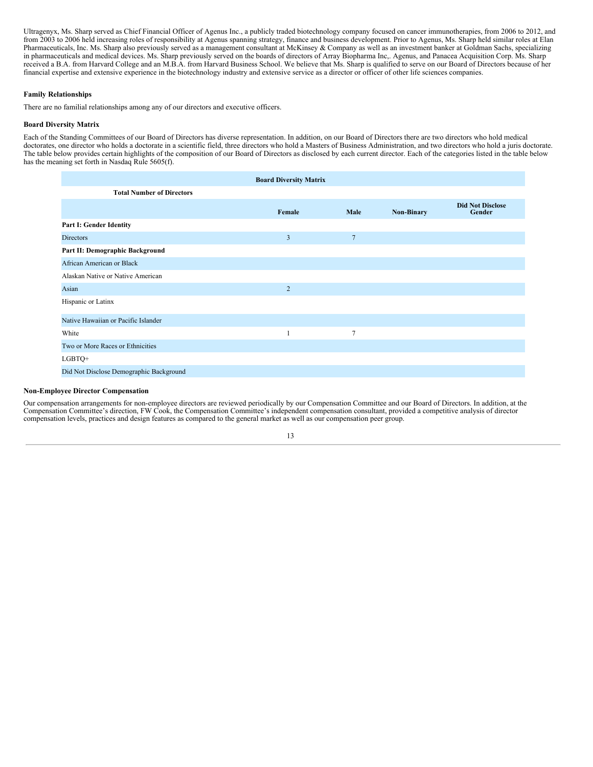Ultragenyx, Ms. Sharp served as Chief Financial Officer of Agenus Inc., a publicly traded biotechnology company focused on cancer immunotherapies, from 2006 to 2012, and from 2003 to 2006 held increasing roles of responsibility at Agenus spanning strategy, finance and business development. Prior to Agenus, Ms. Sharp held similar roles at Elan Pharmaceuticals, Inc. Ms. Sharp also previously served as a management consultant at McKinsey & Company as well as an investment banker at Goldman Sachs, specializing in pharmaceuticals and medical devices. Ms. Sharp previously served on the boards of directors of Array Biopharma Inc,. Agenus, and Panacea Acquisition Corp. Ms. Sharp received a B.A. from Harvard College and an M.B.A. from Harvard Business School. We believe that Ms. Sharp is qualified to serve on our Board of Directors because of her financial expertise and extensive experience in the biotechnology industry and extensive service as a director or officer of other life sciences companies.

# **Family Relationships**

There are no familial relationships among any of our directors and executive officers.

# **Board Diversity Matrix**

Each of the Standing Committees of our Board of Directors has diverse representation. In addition, on our Board of Directors there are two directors who hold medical doctorates, one director who holds a doctorate in a scientific field, three directors who hold a Masters of Business Administration, and two directors who hold a juris doctorate. The table below provides certain highlights of the composition of our Board of Directors as disclosed by each current director. Each of the categories listed in the table below has the meaning set forth in Nasdaq Rule 5605(f).

|                                         | <b>Board Diversity Matrix</b> |                 |                   |                                   |
|-----------------------------------------|-------------------------------|-----------------|-------------------|-----------------------------------|
| <b>Total Number of Directors</b>        |                               |                 |                   |                                   |
|                                         | Female                        | Male            | <b>Non-Binary</b> | <b>Did Not Disclose</b><br>Gender |
| Part I: Gender Identity                 |                               |                 |                   |                                   |
| <b>Directors</b>                        | 3                             | $7\phantom{.0}$ |                   |                                   |
| Part II: Demographic Background         |                               |                 |                   |                                   |
| African American or Black               |                               |                 |                   |                                   |
| Alaskan Native or Native American       |                               |                 |                   |                                   |
| Asian                                   | $\overline{c}$                |                 |                   |                                   |
| Hispanic or Latinx                      |                               |                 |                   |                                   |
| Native Hawaiian or Pacific Islander     |                               |                 |                   |                                   |
| White                                   | $\mathbf{1}$                  | $\overline{7}$  |                   |                                   |
| Two or More Races or Ethnicities        |                               |                 |                   |                                   |
| LGBTQ+                                  |                               |                 |                   |                                   |
| Did Not Disclose Demographic Background |                               |                 |                   |                                   |

# **Non-Employee Director Compensation**

Our compensation arrangements for non-employee directors are reviewed periodically by our Compensation Committee and our Board of Directors. In addition, at the Compensation Committee's direction, FW Cook, the Compensation Committee's independent compensation consultant, provided a competitive analysis of director compensation levels, practices and design features as compared to the general market as well as our compensation peer group.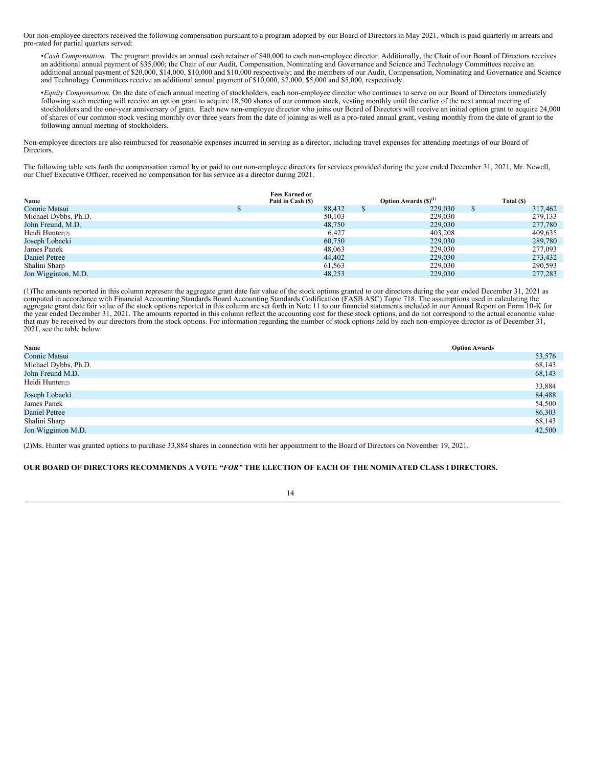Our non-employee directors received the following compensation pursuant to a program adopted by our Board of Directors in May 2021, which is paid quarterly in arrears and pro-rated for partial quarters served:

•*Cash Compensation.* The program provides an annual cash retainer of \$40,000 to each non-employee director. Additionally, the Chair of our Board of Directors receives an additional annual payment of \$35,000; the Chair of our Audit, Compensation, Nominating and Governance and Science and Technology Committees receive an additional annual payment of \$20,000, \$14,000, \$10,000 and \$10,000 respectively; and the members of our Audit, Compensation, Nominating and Governance and Science and Technology Committees receive an additional annual payment of \$10,000, \$7,000, \$5,000 and \$5,000, respectively.

•*Equity Compensation.* On the date of each annual meeting of stockholders, each non-employee director who continues to serve on our Board of Directors immediately following such meeting will receive an option grant to acquire 18,500 shares of our common stock, vesting monthly until the earlier of the next annual meeting of stockholders and the one-year anniversary of grant. Each new non-employee director who joins our Board of Directors will receive an initial option grant to acquire 24,000 of shares of our common stock vesting monthly over three years from the date of joining as well as a pro-rated annual grant, vesting monthly from the date of grant to the following annual meeting of stockholders.

Non-employee directors are also reimbursed for reasonable expenses incurred in serving as a director, including travel expenses for attending meetings of our Board of Directors.

The following table sets forth the compensation earned by or paid to our non-employee directors for services provided during the year ended December 31, 2021. Mr. Newell, our Chief Executive Officer, received no compensation for his service as a director during 2021.

|                      | <b>Fees Earned or</b> |                           |   |            |
|----------------------|-----------------------|---------------------------|---|------------|
| Name                 | Paid in Cash (\$)     | Option Awards $(S)^{(1)}$ |   | Total (\$) |
| Connie Matsui        | 88.432                | 229,030                   | S | 317,462    |
| Michael Dybbs, Ph.D. | 50,103                | 229,030                   |   | 279,133    |
| John Freund, M.D.    | 48,750                | 229,030                   |   | 277,780    |
| Heidi Hunter(2)      | 6,427                 | 403,208                   |   | 409,635    |
| Joseph Lobacki       | 60,750                | 229,030                   |   | 289,780    |
| James Panek          | 48,063                | 229,030                   |   | 277,093    |
| <b>Daniel Petree</b> | 44,402                | 229,030                   |   | 273,432    |
| Shalini Sharp        | 61,563                | 229,030                   |   | 290,593    |
| Jon Wigginton, M.D.  | 48.253                | 229,030                   |   | 277,283    |

(1)The amounts reported in this column represent the aggregate grant date fair value of the stock options granted to our directors during the year ended December 31, 2021 as computed in accordance with Financial Accounting Standards Board Accounting Standards Codification (FASB ASC) Topic 718. The assumptions used in calculating the aggregate grant date fair value of the stock options reported in this column are set forth in Note 11 to our financial statements included in our Annual Report on Form 10-K for the year ended December 31, 2021. The amounts reported in this column reflect the accounting cost for these stock options, and do not correspond to the actual economic value that may be received by our directors from the stock options. For information regarding the number of stock options held by each non-employee director as of December 31, 2021, see the table below.

| Name                 | <b>Option Awards</b> |
|----------------------|----------------------|
| Connie Matsui        | 53,576               |
| Michael Dybbs, Ph.D. | 68,143               |
| John Freund M.D.     | 68,143               |
| Heidi Hunter(2)      | 33,884               |
| Joseph Lobacki       | 84,488               |
| James Panek          | 54,500               |
| Daniel Petree        | 86,303               |
| Shalini Sharp        | 68,143               |
| Jon Wigginton M.D.   | 42,500               |

(2)Ms. Hunter was granted options to purchase 33,884 shares in connection with her appointment to the Board of Directors on November 19, 2021.

# OUR BOARD OF DIRECTORS RECOMMENDS A VOTE "FOR" THE ELECTION OF EACH OF THE NOMINATED CLASS I DIRECTORS.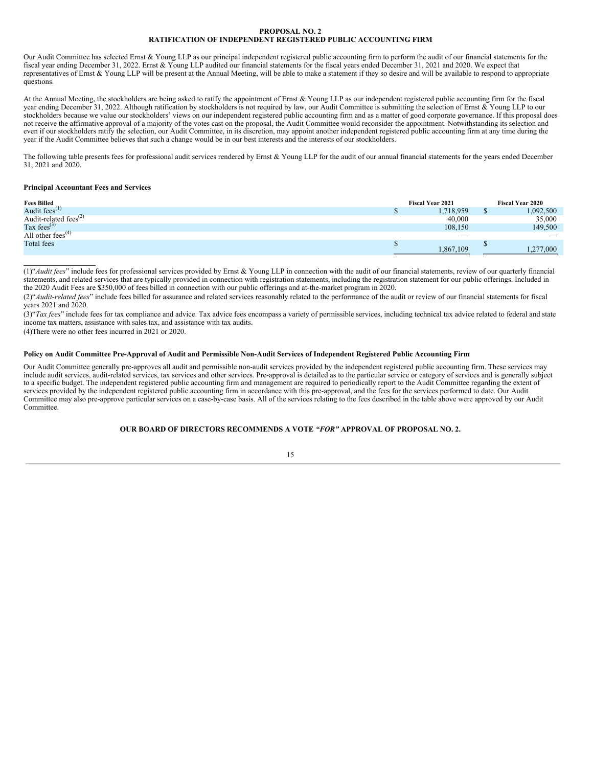### **PROPOSAL NO. 2 RATIFICATION OF INDEPENDENT REGISTERED PUBLIC ACCOUNTING FIRM**

<span id="page-18-0"></span>Our Audit Committee has selected Ernst & Young LLP as our principal independent registered public accounting firm to perform the audit of our financial statements for the fiscal year ending December 31, 2022. Ernst & Young LLP audited our financial statements for the fiscal years ended December 31, 2021 and 2020. We expect that representatives of Ernst & Young LLP will be present at the Annual Meeting, will be able to make a statement if they so desire and will be available to respond to appropriate questions.

At the Annual Meeting, the stockholders are being asked to ratify the appointment of Ernst & Young LLP as our independent registered public accounting firm for the fiscal year ending December 31, 2022. Although ratification by stockholders is not required by law, our Audit Committee is submitting the selection of Ernst & Young LLP to our stockholders because we value our stockholders' views on our independent registered public accounting firm and as a matter of good corporate governance. If this proposal does not receive the affirmative approval of a majority of the votes cast on the proposal, the Audit Committee would reconsider the appointment. Notwithstanding its selection and even if our stockholders ratify the selection, our Audit Committee, in its discretion, may appoint another independent registered public accounting firm at any time during the year if the Audit Committee believes that such a change would be in our best interests and the interests of our stockholders.

The following table presents fees for professional audit services rendered by Ernst & Young LLP for the audit of our annual financial statements for the years ended December 31, 2021 and 2020.

# **Principal Accountant Fees and Services**

| <b>Fees Billed</b>                         |   | <b>Fiscal Year 2021</b>  | <b>Fiscal Year 2020</b> |
|--------------------------------------------|---|--------------------------|-------------------------|
| Audit fees <sup><math>(1)</math></sup>     | w | 1,718,959                | 1,092,500               |
| Audit-related fees <sup>(2)</sup>          |   | 40,000                   | 35,000                  |
| Tax fees $^{(3)}$                          |   | 108,150                  | 149,500                 |
| All other fees <sup><math>(4)</math></sup> |   | $\overline{\phantom{a}}$ |                         |
| <b>Total</b> fees                          |   |                          |                         |
|                                            |   | 1,867,109                | 1.277.000               |

(1)"*Audit fees*" include fees for professional services provided by Ernst & Young LLP in connection with the audit of our financial statements, review of our quarterly financial statements, and related services that are typically provided in connection with registration statements, including the registration statement for our public offerings. Included in the 2020 Audit Fees are \$350,000 of fees billed in connection with our public offerings and at-the-market program in 2020.

(2)"*Audit-related fees*" include fees billed for assurance and related services reasonably related to the performance of the audit or review of our financial statements for fiscal years 2021 and 2020.

(3)"Tax fees" include fees for tax compliance and advice. Tax advice fees encompass a variety of permissible services, including technical tax advice related to federal and state income tax matters, assistance with sales tax, and assistance with tax audits.

(4)There were no other fees incurred in 2021 or 2020.

# Policy on Audit Committee Pre-Approval of Audit and Permissible Non-Audit Services of Independent Registered Public Accounting Firm

Our Audit Committee generally pre-approves all audit and permissible non-audit services provided by the independent registered public accounting firm. These services may include audit services, audit-related services, tax services and other services. Pre-approval is detailed as to the particular service or category of services and is generally subject to a specific budget. The independent registered public accounting firm and management are required to periodically report to the Audit Committee regarding the extent of services provided by the independent registered public accounting firm in accordance with this pre-approval, and the fees for the services performed to date. Our Audit Committee may also pre-approve particular services on a case-by-case basis. All of the services relating to the fees described in the table above were approved by our Audit Committee.

# **OUR BOARD OF DIRECTORS RECOMMENDS A VOTE** *"FOR"* **APPROVAL OF PROPOSAL NO. 2.**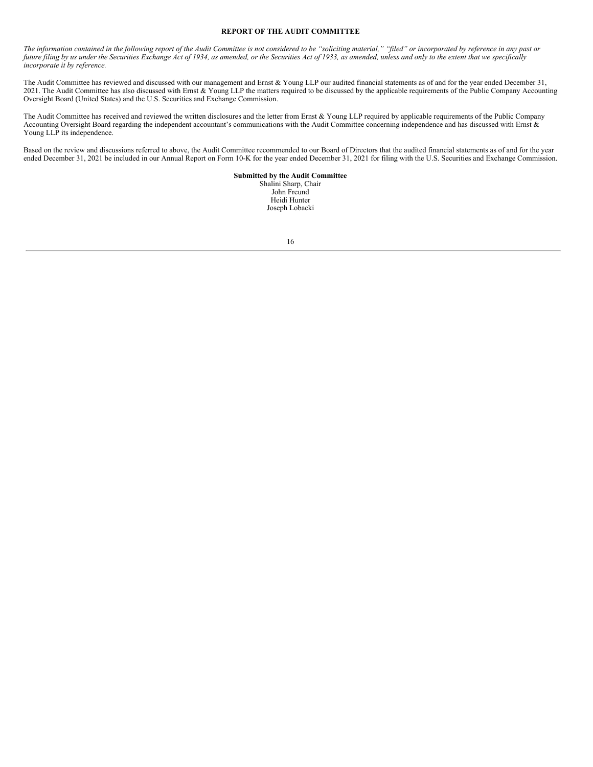# **REPORT OF THE AUDIT COMMITTEE**

<span id="page-19-0"></span>The information contained in the following report of the Audit Committee is not considered to be "soliciting material," "filed" or incorporated by reference in any past or future filing by us under the Securities Exchange Act of 1934, as amended, or the Securities Act of 1933, as amended, unless and only to the extent that we specifically *incorporate it by reference.*

The Audit Committee has reviewed and discussed with our management and Ernst & Young LLP our audited financial statements as of and for the year ended December 31, 2021. The Audit Committee has also discussed with Ernst & Young LLP the matters required to be discussed by the applicable requirements of the Public Company Accounting Oversight Board (United States) and the U.S. Securities and Exchange Commission.

The Audit Committee has received and reviewed the written disclosures and the letter from Ernst & Young LLP required by applicable requirements of the Public Company Accounting Oversight Board regarding the independent accountant's communications with the Audit Committee concerning independence and has discussed with Ernst & Young LLP its independence.

Based on the review and discussions referred to above, the Audit Committee recommended to our Board of Directors that the audited financial statements as of and for the year ended December 31, 2021 be included in our Annual Report on Form 10-K for the year ended December 31, 2021 for filing with the U.S. Securities and Exchange Commission.

> **Submitted by the Audit Committee** Shalini Sharp, Chair John Freund Heidi Hunter Joseph Lobacki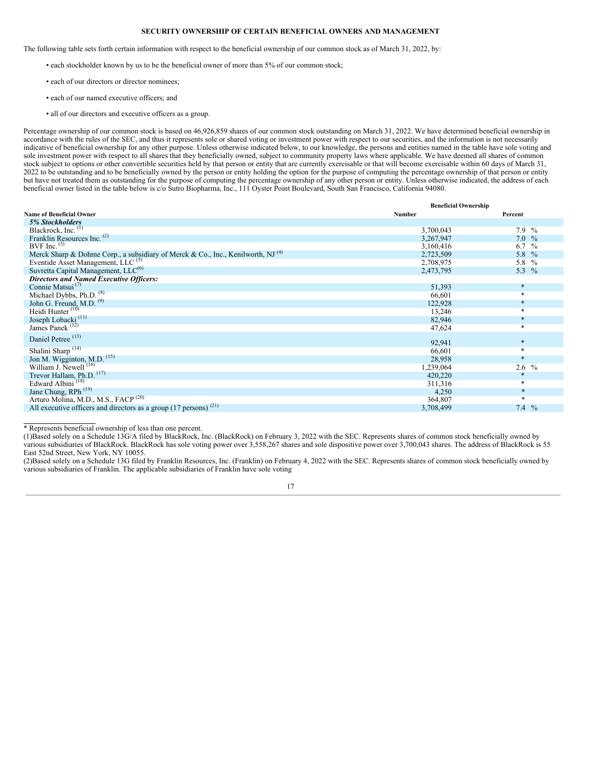# **SECURITY OWNERSHIP OF CERTAIN BENEFICIAL OWNERS AND MANAGEMENT**

<span id="page-20-0"></span>The following table sets forth certain information with respect to the beneficial ownership of our common stock as of March 31, 2022, by:

- each stockholder known by us to be the beneficial owner of more than 5% of our common stock;
- each of our directors or director nominees;
- each of our named executive officers; and
- all of our directors and executive officers as a group.

Percentage ownership of our common stock is based on 46,926,859 shares of our common stock outstanding on March 31, 2022. We have determined beneficial ownership in accordance with the rules of the SEC, and thus it represents sole or shared voting or investment power with respect to our securities, and the information is not necessarily indicative of beneficial ownership for any other purpose. Unless otherwise indicated below, to our knowledge, the persons and entities named in the table have sole voting and sole investment power with respect to all shares that they beneficially owned, subject to community property laws where applicable. We have deemed all shares of common stock subject to options or other convertible securities held by that person or entity that are currently exercisable or that will become exercisable within 60 days of March 31, 2022 to be outstanding and to be beneficially owned by the person or entity holding the option for the purpose of computing the percentage ownership of that person or entity but have not treated them as outstanding for the purpose of computing the percentage ownership of any other person or entity. Unless otherwise indicated, the address of each beneficial owner listed in the table below is c/o Sutro Biopharma, Inc., 111 Oyster Point Boulevard, South San Francisco, California 94080.

|                                                                                             | <b>Beneficial Ownership</b> |          |
|---------------------------------------------------------------------------------------------|-----------------------------|----------|
| <b>Name of Beneficial Owner</b>                                                             | Number                      | Percent  |
| <b>5% Stockholders</b>                                                                      |                             |          |
| Blackrock, Inc. (1)                                                                         | 3,700,043                   | $7.9\%$  |
| Franklin Resources Inc. (2)                                                                 | 3,267,947                   | $7.0\%$  |
| BVF Inc. $(3)$                                                                              | 3,160,416                   | 6.7 $\%$ |
| Merck Sharp & Dohme Corp., a subsidiary of Merck & Co., Inc., Kenilworth, NJ <sup>(4)</sup> | 2,723,509                   | 5.8 %    |
| Eventide Asset Management, LLC <sup>(5)</sup>                                               | 2,708,975                   | 5.8 %    |
| Suvretta Capital Management, LLC <sup>(6)</sup>                                             | 2,473,795                   | 5.3 $%$  |
| <b>Directors and Named Executive Officers:</b>                                              |                             |          |
| Connie Matsui <sup>(7)</sup>                                                                | 51,393                      | $\ast$   |
| Michael Dybbs, Ph.D. <sup>(8)</sup>                                                         | 66,601                      | $*$      |
| John G. Freund, M.D. <sup>(9)</sup>                                                         | 122,928                     | $\ast$   |
| Heidi Hunter <sup>(10)</sup>                                                                | 13,246                      | *        |
| Joseph Lobacki <sup>(11)</sup>                                                              | 82,946                      | $\ast$   |
| James Panek <sup>(12)</sup>                                                                 | 47,624                      | $\ast$   |
| Daniel Petree <sup>(13)</sup>                                                               | 92,941                      | $\ast$   |
| Shalini Sharp <sup>(14)</sup>                                                               | 66,601                      | $\ast$   |
| Jon M. Wigginton, M.D. <sup>(15)</sup>                                                      | 28,958                      | $\star$  |
| William J. Newell <sup>(16)</sup>                                                           | 1,239,064                   | $2.6\%$  |
| Trevor Hallam, Ph.D. <sup>(17)</sup>                                                        | 420,220                     | $\ast$   |
| Edward Albini <sup>(18)</sup>                                                               | 311,316                     | *        |
| Jane Chung, RPh <sup>(19)</sup>                                                             | 4,250                       | $\ast$   |
| Arturo Molina, M.D., M.S., FACP <sup>(20)</sup>                                             | 364,807                     | $\ast$   |
| All executive officers and directors as a group $(17 \text{ persons})^{(21)}$               | 3,708,499                   | 7.4 $\%$ |

\* Represents beneficial ownership of less than one percent.

(1)Based solely on a Schedule 13G/A filed by BlackRock, Inc. (BlackRock) on February 3, 2022 with the SEC. Represents shares of common stock beneficially owned by various subsidiaries of BlackRock. BlackRock has sole voting power over 3,558,267 shares and sole dispositive power over 3,700,043 shares. The address of BlackRock is 55 East 52nd Street, New York, NY 10055.

(2)Based solely on a Schedule 13G filed by Franklin Resources, Inc. (Franklin) on February 4, 2022 with the SEC. Represents shares of common stock beneficially owned by various subsidiaries of Franklin. The applicable subsidiaries of Franklin have sole voting

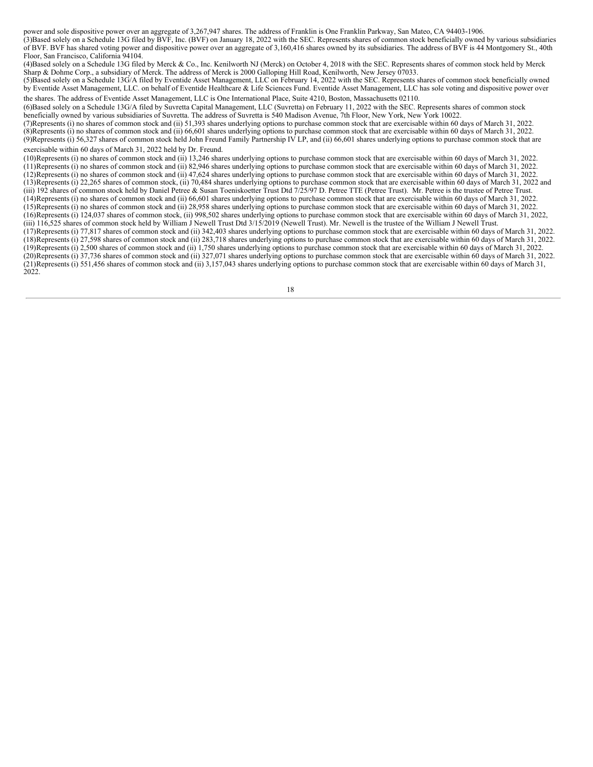power and sole dispositive power over an aggregate of 3,267,947 shares. The address of Franklin is One Franklin Parkway, San Mateo, CA 94403-1906. (3)Based solely on a Schedule 13G filed by BVF, Inc. (BVF) on January 18, 2022 with the SEC. Represents shares of common stock beneficially owned by various subsidiaries of BVF. BVF has shared voting power and dispositive power over an aggregate of 3,160,416 shares owned by its subsidiaries. The address of BVF is 44 Montgomery St., 40th Floor, San Francisco, California 94104.

(4)Based solely on a Schedule 13G filed by Merck & Co., Inc. Kenilworth NJ (Merck) on October 4, 2018 with the SEC. Represents shares of common stock held by Merck Sharp & Dohme Corp., a subsidiary of Merck. The address of Merck is 2000 Galloping Hill Road, Kenilworth, New Jersey 07033.

(5)Based solely on a Schedule 13G/A filed by Eventide Asset Management, LLC on February 14, 2022 with the SEC. Represents shares of common stock beneficially owned by Eventide Asset Management, LLC. on behalf of Eventide Healthcare & Life Sciences Fund. Eventide Asset Management, LLC has sole voting and dispositive power over the shares. The address of Eventide Asset Management, LLC is One International Place, Suite 4210, Boston, Massachusetts 02110.

(6)Based solely on a Schedule 13G/A filed by Suvretta Capital Management, LLC (Suvretta) on February 11, 2022 with the SEC. Represents shares of common stock beneficially owned by various subsidiaries of Suvretta. The address of Suvretta is 540 Madison Avenue, 7th Floor, New York, New York 10022.

(7)Represents (i) no shares of common stock and (ii) 51,393 shares underlying options to purchase common stock that are exercisable within 60 days of March 31, 2022. (8)Represents (i) no shares of common stock and (ii) 66,601 shares underlying options to purchase common stock that are exercisable within 60 days of March 31, 2022. (9)Represents (i) 56,327 shares of common stock held John Freund Family Partnership IV LP, and (ii) 66,601 shares underlying options to purchase common stock that are exercisable within 60 days of March 31, 2022 held by Dr. Freund.

(10)Represents (i) no shares of common stock and (ii) 13,246 shares underlying options to purchase common stock that are exercisable within 60 days of March 31, 2022.

(11)Represents (i) no shares of common stock and (ii) 82,946 shares underlying options to purchase common stock that are exercisable within 60 days of March 31, 2022.  $(12)$ Represents (i) no shares of common stock and (ii) 47,624 shares underlying options to purchase common stock that are exercisable within 60 days of March 31, 2022.

(13)Represents (i) 22,265 shares of common stock, (ii) 70,484 shares underlying options to purchase common stock that are exercisable within 60 days of March 31, 2022 and (iii) 192 shares of common stock held by Daniel Petree & Susan Toeniskoetter Trust Dtd 7/25/97 D. Petree TTE (Petree Trust). Mr. Petree is the trustee of Petree Trust.

(14)Represents (i) no shares of common stock and (ii) 66,601 shares underlying options to purchase common stock that are exercisable within 60 days of March 31, 2022.

(15)Represents (i) no shares of common stock and (ii) 28,958 shares underlying options to purchase common stock that are exercisable within 60 days of March 31, 2022. (16)Represents (i) 124,037 shares of common stock, (ii) 998,502 shares underlying options to purchase common stock that are exercisable within 60 days of March 31, 2022,

(iii) 116,525 shares of common stock held by William J Newell Trust Dtd 3/15/2019 (Newell Trust). Mr. Newell is the trustee of the William J Newell Trust.

(17)Represents (i) 77,817 shares of common stock and (ii) 342,403 shares underlying options to purchase common stock that are exercisable within 60 days of March 31, 2022. (18)Represents (i) 27,598 shares of common stock and (ii) 283,718 shares underlying options to purchase common stock that are exercisable within 60 days of March 31, 2022. (19)Represents (i) 2,500 shares of common stock and (ii) 1,750 shares underlying options to purchase common stock that are exercisable within 60 days of March 31, 2022. (20)Represents (i) 37,736 shares of common stock and (ii) 327,071 shares underlying options to purchase common stock that are exercisable within 60 days of March 31, 2022.  $(21)$ Represents (i) 551,456 shares of common stock and (ii) 3,157,043 shares underlying options to purchase common stock that are exercisable within 60 days of March 31, 2022.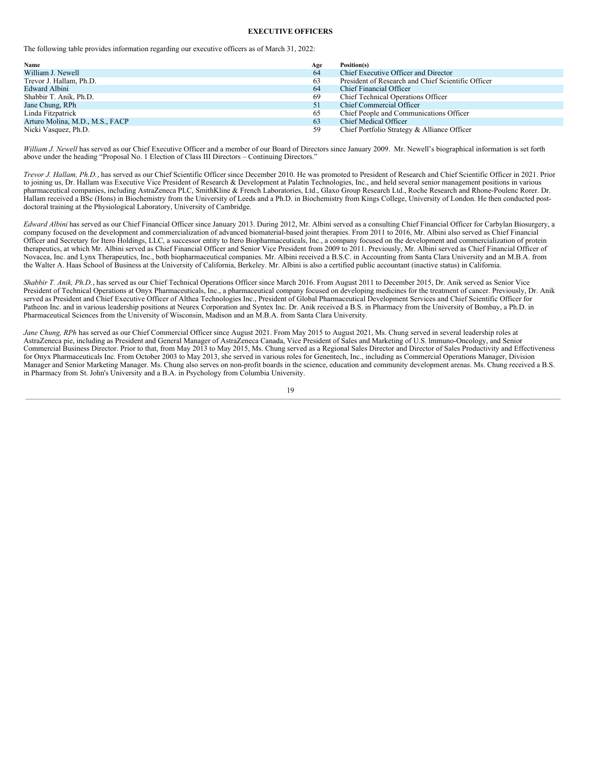# **EXECUTIVE OFFICERS**

<span id="page-22-0"></span>The following table provides information regarding our executive officers as of March 31, 2022:

| Name                            | Age | Position(s)                                        |
|---------------------------------|-----|----------------------------------------------------|
| William J. Newell               | 64  | Chief Executive Officer and Director               |
| Trevor J. Hallam, Ph.D.         | 63  | President of Research and Chief Scientific Officer |
| Edward Albini                   | 64  | Chief Financial Officer                            |
| Shabbir T. Anik, Ph.D.          | -69 | Chief Technical Operations Officer                 |
| Jane Chung, RPh                 | -51 | Chief Commercial Officer                           |
| Linda Fitzpatrick               | 65  | Chief People and Communications Officer            |
| Arturo Molina, M.D., M.S., FACP | 63  | <b>Chief Medical Officer</b>                       |
| Nicki Vasquez, Ph.D.            | 59  | Chief Portfolio Strategy & Alliance Officer        |

*William J. Newell* has served as our Chief Executive Officer and a member of our Board of Directors since January 2009. Mr. Newell's biographical information is set forth above under the heading "Proposal No. 1 Election of Class III Directors – Continuing Directors."

*Trevor J. Hallam, Ph.D.*, has served as our Chief Scientific Officer since December 2010. He was promoted to President of Research and Chief Scientific Officer in 2021. Prior to joining us, Dr. Hallam was Executive Vice President of Research & Development at Palatin Technologies, Inc., and held several senior management positions in various pharmaceutical companies, including AstraZeneca PLC, SmithKline & French Laboratories, Ltd., Glaxo Group Research Ltd., Roche Research and Rhone-Poulenc Rorer. Dr. Hallam received a BSc (Hons) in Biochemistry from the University of Leeds and a Ph.D. in Biochemistry from Kings College, University of London. He then conducted postdoctoral training at the Physiological Laboratory, University of Cambridge.

*Edward Albini* has served as our Chief Financial Officer since January 2013. During 2012, Mr. Albini served as a consulting Chief Financial Officer for Carbylan Biosurgery, a company focused on the development and commercialization of advanced biomaterial-based joint therapies. From 2011 to 2016, Mr. Albini also served as Chief Financial Officer and Secretary for Itero Holdings, LLC, a successor entity to Itero Biopharmaceuticals, Inc., a company focused on the development and commercialization of protein therapeutics, at which Mr. Albini served as Chief Financial Officer and Senior Vice President from 2009 to 2011. Previously, Mr. Albini served as Chief Financial Officer of Novacea, Inc. and Lynx Therapeutics, Inc., both biopharmaceutical companies. Mr. Albini received a B.S.C. in Accounting from Santa Clara University and an M.B.A. from the Walter A. Haas School of Business at the University of California, Berkeley. Mr. Albini is also a certified public accountant (inactive status) in California.

*Shabbir T. Anik, Ph.D.*, has served as our Chief Technical Operations Officer since March 2016. From August 2011 to December 2015, Dr. Anik served as Senior Vice President of Technical Operations at Onyx Pharmaceuticals, Inc., a pharmaceutical company focused on developing medicines for the treatment of cancer. Previously, Dr. Anik served as President and Chief Executive Officer of Althea Technologies Inc., President of Global Pharmaceutical Development Services and Chief Scientific Officer for Patheon Inc. and in various leadership positions at Neurex Corporation and Syntex Inc. Dr. Anik received a B.S. in Pharmacy from the University of Bombay, a Ph.D. in Pharmaceutical Sciences from the University of Wisconsin, Madison and an M.B.A. from Santa Clara University.

*Jane Chung, RPh* has served as our Chief Commercial Officer since August 2021. From May 2015 to August 2021, Ms. Chung served in several leadership roles at AstraZeneca pie, including as President and General Manager of AstraZeneca Canada, Vice President of Sales and Marketing of U.S. lmmuno-Oncology, and Senior Commercial Business Director. Prior to that, from May 2013 to May 2015, Ms. Chung served as a Regional Sales Director and Director of Sales Productivity and Effectiveness for Onyx Pharmaceuticals Inc. From October 2003 to May 2013, she served in various roles for Genentech, Inc., including as Commercial Operations Manager, Division Manager and Senior Marketing Manager. Ms. Chung also serves on non-profit boards in the science, education and community development arenas. Ms. Chung received a B.S. in Pharmacy from St. John's University and a B.A. in Psychology from Columbia University.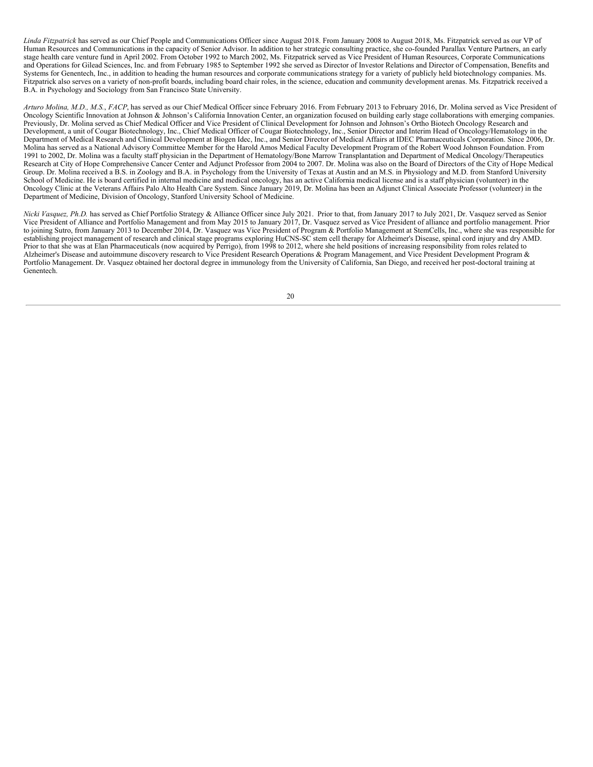*Linda Fitzpatrick* has served as our Chief People and Communications Officer since August 2018. From January 2008 to August 2018, Ms. Fitzpatrick served as our VP of Human Resources and Communications in the capacity of Senior Advisor. In addition to her strategic consulting practice, she co-founded Parallax Venture Partners, an early stage health care venture fund in April 2002. From October 1992 to March 2002, Ms. Fitzpatrick served as Vice President of Human Resources, Corporate Communications and Operations for Gilead Sciences, Inc. and from February 1985 to September 1992 she served as Director of Investor Relations and Director of Compensation, Benefits and Systems for Genentech, Inc., in addition to heading the human resources and corporate communications strategy for a variety of publicly held biotechnology companies. Ms. Fitzpatrick also serves on a variety of non-profit boards, including board chair roles, in the science, education and community development arenas. Ms. Fitzpatrick received a B.A. in Psychology and Sociology from San Francisco State University.

*Arturo Molina, M.D., M.S.*, *FACP*, has served as our Chief Medical Officer since February 2016. From February 2013 to February 2016, Dr. Molina served as Vice President of Oncology Scientific Innovation at Johnson & Johnson's California Innovation Center, an organization focused on building early stage collaborations with emerging companies. Previously, Dr. Molina served as Chief Medical Officer and Vice President of Clinical Development for Johnson and Johnson's Ortho Biotech Oncology Research and Development, a unit of Cougar Biotechnology, Inc., Chief Medical Officer of Cougar Biotechnology, Inc., Senior Director and Interim Head of Oncology/Hematology in the Department of Medical Research and Clinical Development at Biogen Idec, Inc., and Senior Director of Medical Affairs at IDEC Pharmaceuticals Corporation. Since 2006, Dr. Molina has served as a National Advisory Committee Member for the Harold Amos Medical Faculty Development Program of the Robert Wood Johnson Foundation. From 1991 to 2002, Dr. Molina was a faculty staff physician in the Department of Hematology/Bone Marrow Transplantation and Department of Medical Oncology/Therapeutics Research at City of Hope Comprehensive Cancer Center and Adjunct Professor from 2004 to 2007. Dr. Molina was also on the Board of Directors of the City of Hope Medical Group. Dr. Molina received a B.S. in Zoology and B.A. in Psychology from the University of Texas at Austin and an M.S. in Physiology and M.D. from Stanford University School of Medicine. He is board certified in internal medicine and medical oncology, has an active California medical license and is a staff physician (volunteer) in the Oncology Clinic at the Veterans Affairs Palo Alto Health Care System. Since January 2019, Dr. Molina has been an Adjunct Clinical Associate Professor (volunteer) in the Department of Medicine, Division of Oncology, Stanford University School of Medicine.

*Nicki Vasquez, Ph.D.* has served as Chief Portfolio Strategy & Alliance Officer since July 2021. Prior to that, from January 2017 to July 2021, Dr. Vasquez served as Senior Vice President of Alliance and Portfolio Management and from May 2015 to January 2017, Dr. Vasquez served as Vice President of alliance and portfolio management. Prior to joining Sutro, from January 2013 to December 2014, Dr. Vasquez was Vice President of Program & Portfolio Management at StemCells, Inc., where she was responsible for establishing project management of research and clinical stage programs exploring HuCNS-SC stem cell therapy for Alzheimer's Disease, spinal cord injury and dry AMD. Prior to that she was at Elan Pharmaceuticals (now acquired by Perrigo), from 1998 to 2012, where she held positions of increasing responsibility from roles related to Alzheimer's Disease and autoimmune discovery research to Vice President Research Operations & Program Management, and Vice President Development Program & Portfolio Management. Dr. Vasquez obtained her doctoral degree in immunology from the University of California, San Diego, and received her post-doctoral training at Genentech.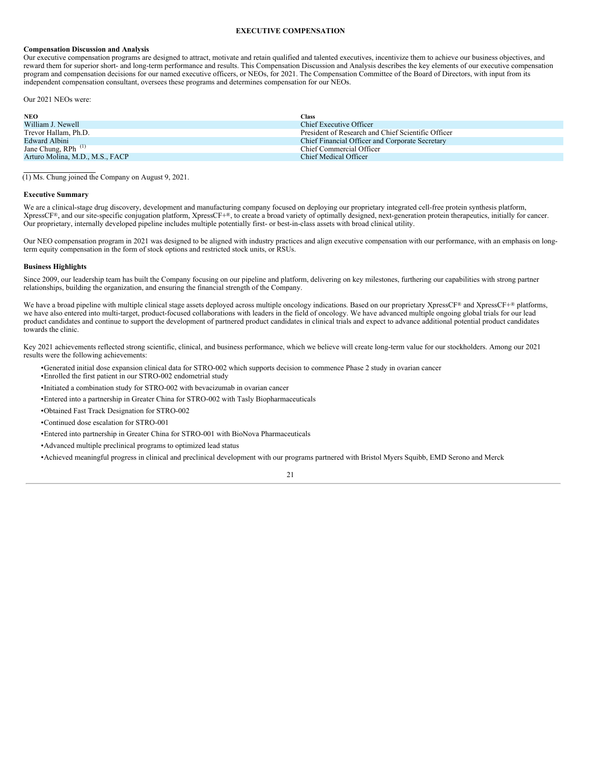# **EXECUTIVE COMPENSATION**

### <span id="page-24-0"></span>**Compensation Discussion and Analysis**

Our executive compensation programs are designed to attract, motivate and retain qualified and talented executives, incentivize them to achieve our business objectives, and reward them for superior short- and long-term performance and results. This Compensation Discussion and Analysis describes the key elements of our executive compensation program and compensation decisions for our named executive officers, or NEOs, for 2021. The Compensation Committee of the Board of Directors, with input from its independent compensation consultant, oversees these programs and determines compensation for our NEOs.

Our 2021 NEOs were:

| <b>NEO</b>                      | Class                                              |
|---------------------------------|----------------------------------------------------|
| William J. Newell               | Chief Executive Officer                            |
| Trevor Hallam, Ph.D.            | President of Research and Chief Scientific Officer |
| Edward Albini                   | Chief Financial Officer and Corporate Secretary    |
| Jane Chung, RPh <sup>(1)</sup>  | Chief Commercial Officer                           |
| Arturo Molina, M.D., M.S., FACP | Chief Medical Officer                              |

(1) Ms. Chung joined the Company on August 9, 2021.

### **Executive Summary**

We are a clinical-stage drug discovery, development and manufacturing company focused on deploying our proprietary integrated cell-free protein synthesis platform, XpressCF®, and our site-specific conjugation platform, XpressCF+®, to create a broad variety of optimally designed, next-generation protein therapeutics, initially for cancer. Our proprietary, internally developed pipeline includes multiple potentially first- or best-in-class assets with broad clinical utility.

Our NEO compensation program in 2021 was designed to be aligned with industry practices and align executive compensation with our performance, with an emphasis on longterm equity compensation in the form of stock options and restricted stock units, or RSUs.

### **Business Highlights**

Since 2009, our leadership team has built the Company focusing on our pipeline and platform, delivering on key milestones, furthering our capabilities with strong partner relationships, building the organization, and ensuring the financial strength of the Company.

We have a broad pipeline with multiple clinical stage assets deployed across multiple oncology indications. Based on our proprietary XpressCF® and XpressCF+® platforms, we have also entered into multi-target, product-focused collaborations with leaders in the field of oncology. We have advanced multiple ongoing global trials for our lead product candidates and continue to support the development of partnered product candidates in clinical trials and expect to advance additional potential product candidates towards the clinic.

Key 2021 achievements reflected strong scientific, clinical, and business performance, which we believe will create long-term value for our stockholders. Among our 2021 results were the following achievements:

- •Generated initial dose expansion clinical data for STRO-002 which supports decision to commence Phase 2 study in ovarian cancer •Enrolled the first patient in our STRO-002 endometrial study
- •Initiated a combination study for STRO-002 with bevacizumab in ovarian cancer
- •Entered into a partnership in Greater China for STRO-002 with Tasly Biopharmaceuticals
- •Obtained Fast Track Designation for STRO-002
- •Continued dose escalation for STRO-001
- •Entered into partnership in Greater China for STRO-001 with BioNova Pharmaceuticals
- •Advanced multiple preclinical programs to optimized lead status
- •Achieved meaningful progress in clinical and preclinical development with our programs partnered with Bristol Myers Squibb, EMD Serono and Merck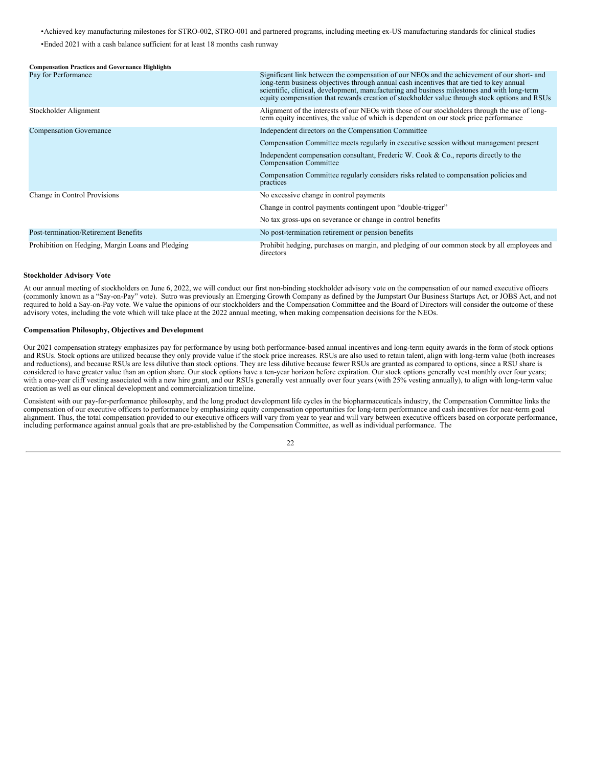•Achieved key manufacturing milestones for STRO-002, STRO-001 and partnered programs, including meeting ex-US manufacturing standards for clinical studies

•Ended 2021 with a cash balance sufficient for at least 18 months cash runway

| <b>Compensation Practices and Governance Highlights</b> |                                                                                                                                                                                                                                                                                                                                                                                         |
|---------------------------------------------------------|-----------------------------------------------------------------------------------------------------------------------------------------------------------------------------------------------------------------------------------------------------------------------------------------------------------------------------------------------------------------------------------------|
| Pay for Performance                                     | Significant link between the compensation of our NEOs and the achievement of our short- and<br>long-term business objectives through annual cash incentives that are tied to key annual<br>scientific, clinical, development, manufacturing and business milestones and with long-term<br>equity compensation that rewards creation of stockholder value through stock options and RSUs |
| Stockholder Alignment                                   | Alignment of the interests of our NEOs with those of our stockholders through the use of long-<br>term equity incentives, the value of which is dependent on our stock price performance                                                                                                                                                                                                |
| <b>Compensation Governance</b>                          | Independent directors on the Compensation Committee                                                                                                                                                                                                                                                                                                                                     |
|                                                         | Compensation Committee meets regularly in executive session without management present                                                                                                                                                                                                                                                                                                  |
|                                                         | Independent compensation consultant, Frederic W. Cook & Co., reports directly to the<br><b>Compensation Committee</b>                                                                                                                                                                                                                                                                   |
|                                                         | Compensation Committee regularly considers risks related to compensation policies and<br>practices                                                                                                                                                                                                                                                                                      |
| Change in Control Provisions                            | No excessive change in control payments                                                                                                                                                                                                                                                                                                                                                 |
|                                                         | Change in control payments contingent upon "double-trigger"                                                                                                                                                                                                                                                                                                                             |
|                                                         | No tax gross-ups on severance or change in control benefits                                                                                                                                                                                                                                                                                                                             |
| Post-termination/Retirement Benefits                    | No post-termination retirement or pension benefits                                                                                                                                                                                                                                                                                                                                      |
| Prohibition on Hedging, Margin Loans and Pledging       | Prohibit hedging, purchases on margin, and pledging of our common stock by all employees and<br>directors                                                                                                                                                                                                                                                                               |

### **Stockholder Advisory Vote**

At our annual meeting of stockholders on June 6, 2022, we will conduct our first non-binding stockholder advisory vote on the compensation of our named executive officers (commonly known as a "Say-on-Pay" vote). Sutro was previously an Emerging Growth Company as defined by the Jumpstart Our Business Startups Act, or JOBS Act, and not required to hold a Say-on-Pay vote. We value the opinions of our stockholders and the Compensation Committee and the Board of Directors will consider the outcome of these advisory votes, including the vote which will take place at the 2022 annual meeting, when making compensation decisions for the NEOs.

# **Compensation Philosophy, Objectives and Development**

Our 2021 compensation strategy emphasizes pay for performance by using both performance-based annual incentives and long-term equity awards in the form of stock options and RSUs. Stock options are utilized because they only provide value if the stock price increases. RSUs are also used to retain talent, align with long-term value (both increases and reductions), and because RSUs are less dilutive than stock options. They are less dilutive because fewer RSUs are granted as compared to options, since a RSU share is considered to have greater value than an option share. Our stock options have a ten-year horizon before expiration. Our stock options generally vest monthly over four years; with a one-year cliff vesting associated with a new hire grant, and our RSUs generally vest annually over four years (with 25% vesting annually), to align with long-term value creation as well as our clinical development and commercialization timeline.

Consistent with our pay-for-performance philosophy, and the long product development life cycles in the biopharmaceuticals industry, the Compensation Committee links the compensation of our executive officers to performance by emphasizing equity compensation opportunities for long-term performance and cash incentives for near-term goal alignment. Thus, the total compensation provided to our executive officers will vary from year to year and will vary between executive officers based on corporate performance, including performance against annual goals that are pre-established by the Compensation Committee, as well as individual performance. The

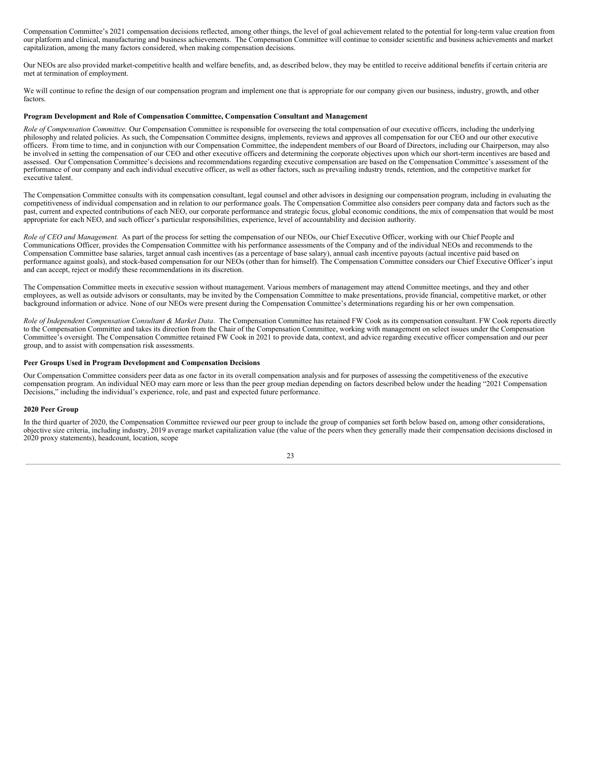Compensation Committee's 2021 compensation decisions reflected, among other things, the level of goal achievement related to the potential for long-term value creation from our platform and clinical, manufacturing and business achievements. The Compensation Committee will continue to consider scientific and business achievements and market capitalization, among the many factors considered, when making compensation decisions.

Our NEOs are also provided market-competitive health and welfare benefits, and, as described below, they may be entitled to receive additional benefits if certain criteria are met at termination of employment.

We will continue to refine the design of our compensation program and implement one that is appropriate for our company given our business, industry, growth, and other factors.

### **Program Development and Role of Compensation Committee, Compensation Consultant and Management**

*Role of Compensation Committee.* Our Compensation Committee is responsible for overseeing the total compensation of our executive officers, including the underlying philosophy and related policies. As such, the Compensation Committee designs, implements, reviews and approves all compensation for our CEO and our other executive officers. From time to time, and in conjunction with our Compensation Committee, the independent members of our Board of Directors, including our Chairperson, may also be involved in setting the compensation of our CEO and other executive officers and determining the corporate objectives upon which our short-term incentives are based and assessed. Our Compensation Committee's decisions and recommendations regarding executive compensation are based on the Compensation Committee's assessment of the performance of our company and each individual executive officer, as well as other factors, such as prevailing industry trends, retention, and the competitive market for executive talent.

The Compensation Committee consults with its compensation consultant, legal counsel and other advisors in designing our compensation program, including in evaluating the competitiveness of individual compensation and in relation to our performance goals. The Compensation Committee also considers peer company data and factors such as the past, current and expected contributions of each NEO, our corporate performance and strategic focus, global economic conditions, the mix of compensation that would be most appropriate for each NEO, and such officer's particular responsibilities, experience, level of accountability and decision authority.

*Role of CEO and Management.* As part of the process for setting the compensation of our NEOs, our Chief Executive Officer, working with our Chief People and Communications Officer, provides the Compensation Committee with his performance assessments of the Company and of the individual NEOs and recommends to the Compensation Committee base salaries, target annual cash incentives (as a percentage of base salary), annual cash incentive payouts (actual incentive paid based on performance against goals), and stock-based compensation for our NEOs (other than for himself). The Compensation Committee considers our Chief Executive Officer's input and can accept, reject or modify these recommendations in its discretion.

The Compensation Committee meets in executive session without management. Various members of management may attend Committee meetings, and they and other employees, as well as outside advisors or consultants, may be invited by the Compensation Committee to make presentations, provide financial, competitive market, or other background information or advice. None of our NEOs were present during the Compensation Committee's determinations regarding his or her own compensation.

*Role of Independent Compensation Consultant & Market Data*. The Compensation Committee has retained FW Cook as its compensation consultant. FW Cook reports directly to the Compensation Committee and takes its direction from the Chair of the Compensation Committee, working with management on select issues under the Compensation Committee's oversight. The Compensation Committee retained FW Cook in 2021 to provide data, context, and advice regarding executive officer compensation and our peer group, and to assist with compensation risk assessments.

### **Peer Groups Used in Program Development and Compensation Decisions**

Our Compensation Committee considers peer data as one factor in its overall compensation analysis and for purposes of assessing the competitiveness of the executive compensation program. An individual NEO may earn more or less than the peer group median depending on factors described below under the heading "2021 Compensation Decisions," including the individual's experience, role, and past and expected future performance.

### **2020 Peer Group**

In the third quarter of 2020, the Compensation Committee reviewed our peer group to include the group of companies set forth below based on, among other considerations, objective size criteria, including industry, 2019 average market capitalization value (the value of the peers when they generally made their compensation decisions disclosed in 2020 proxy statements), headcount, location, scope

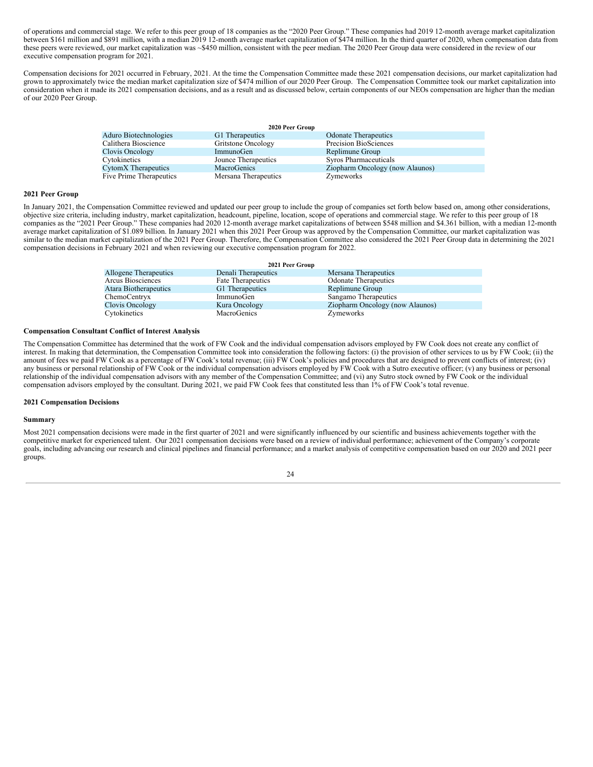of operations and commercial stage. We refer to this peer group of 18 companies as the "2020 Peer Group." These companies had 2019 12-month average market capitalization between \$161 million and \$891 million, with a median 2019 12-month average market capitalization of \$474 million. In the third quarter of 2020, when compensation data from these peers were reviewed, our market capitalization was ~\$450 million, consistent with the peer median. The 2020 Peer Group data were considered in the review of our executive compensation program for 2021.

Compensation decisions for 2021 occurred in February, 2021. At the time the Compensation Committee made these 2021 compensation decisions, our market capitalization had grown to approximately twice the median market capitalization size of \$474 million of our 2020 Peer Group. The Compensation Committee took our market capitalization into consideration when it made its 2021 compensation decisions, and as a result and as discussed below, certain components of our NEOs compensation are higher than the median of our 2020 Peer Group.

| 2020 Peer Group         |                      |                                 |  |  |
|-------------------------|----------------------|---------------------------------|--|--|
| Aduro Biotechnologies   | G1 Therapeutics      | <b>Odonate Therapeutics</b>     |  |  |
| Calithera Bioscience    | Gritstone Oncology   | Precision BioSciences           |  |  |
| Clovis Oncology         | ImmunoGen            | Replimune Group                 |  |  |
| Cytokinetics            | Jounce Therapeutics  | Syros Pharmaceuticals           |  |  |
| CytomX Therapeutics     | <b>MacroGenics</b>   | Ziopharm Oncology (now Alaunos) |  |  |
| Five Prime Therapeutics | Mersana Therapeutics | Zymeworks                       |  |  |

### **2021 Peer Group**

In January 2021, the Compensation Committee reviewed and updated our peer group to include the group of companies set forth below based on, among other considerations, objective size criteria, including industry, market capitalization, headcount, pipeline, location, scope of operations and commercial stage. We refer to this peer group of 18 companies as the "2021 Peer Group." These companies had 2020 12-month average market capitalizations of between \$548 million and \$4.361 billion, with a median 12-month average market capitalization of \$1.089 billion. In January 2021 when this 2021 Peer Group was approved by the Compensation Committee, our market capitalization was similar to the median market capitalization of the 2021 Peer Group. Therefore, the Compensation Committee also considered the 2021 Peer Group data in determining the 2021 compensation decisions in February 2021 and when reviewing our executive compensation program for 2022.

| 2021 Peer Group       |                     |                                 |  |  |  |  |  |
|-----------------------|---------------------|---------------------------------|--|--|--|--|--|
| Allogene Therapeutics | Denali Therapeutics | Mersana Therapeutics            |  |  |  |  |  |
| Arcus Biosciences     | Fate Therapeutics   | <b>Odonate Therapeutics</b>     |  |  |  |  |  |
| Atara Biotherapeutics | G1 Therapeutics     | Replimune Group                 |  |  |  |  |  |
| ChemoCentryx          | ImmunoGen           | Sangamo Therapeutics            |  |  |  |  |  |
| Clovis Oncology       | Kura Oncology       | Ziopharm Oncology (now Alaunos) |  |  |  |  |  |
| Cytokinetics          | MacroGenics         | Zymeworks                       |  |  |  |  |  |

### **Compensation Consultant Conflict of Interest Analysis**

The Compensation Committee has determined that the work of FW Cook and the individual compensation advisors employed by FW Cook does not create any conflict of interest. In making that determination, the Compensation Committee took into consideration the following factors: (i) the provision of other services to us by FW Cook; (ii) the amount of fees we paid FW Cook as a percentage of FW Cook's total revenue; (iii) FW Cook's policies and procedures that are designed to prevent conflicts of interest; (iv) any business or personal relationship of FW Cook or the individual compensation advisors employed by FW Cook with a Sutro executive officer; (v) any business or personal relationship of the individual compensation advisors with any member of the Compensation Committee; and (vi) any Sutro stock owned by FW Cook or the individual compensation advisors employed by the consultant. During 2021, we paid FW Cook fees that constituted less than 1% of FW Cook's total revenue.

### **2021 Compensation Decisions**

### **Summary**

Most 2021 compensation decisions were made in the first quarter of 2021 and were significantly influenced by our scientific and business achievements together with the competitive market for experienced talent. Our 2021 compensation decisions were based on a review of individual performance; achievement of the Company's corporate goals, including advancing our research and clinical pipelines and financial performance; and a market analysis of competitive compensation based on our 2020 and 2021 peer groups.

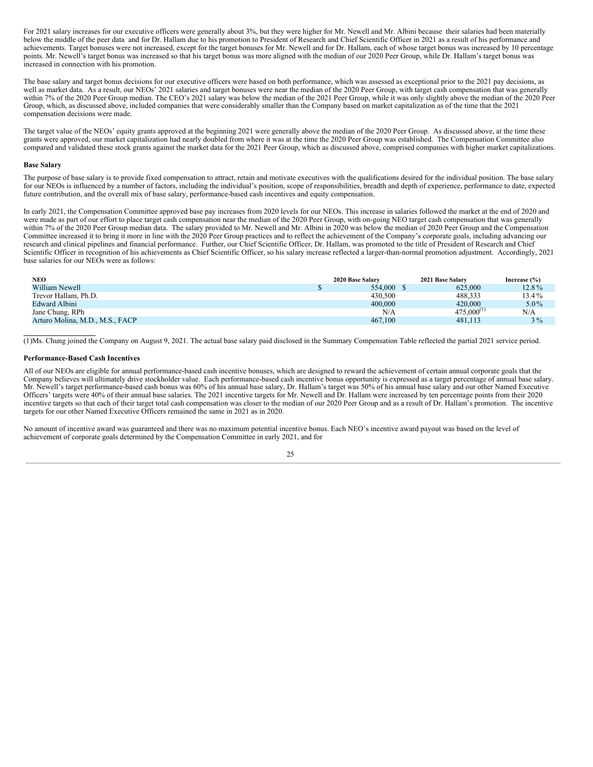For 2021 salary increases for our executive officers were generally about 3%, but they were higher for Mr. Newell and Mr. Albini because their salaries had been materially below the middle of the peer data and for Dr. Hallam due to his promotion to President of Research and Chief Scientific Officer in 2021 as a result of his performance and achievements. Target bonuses were not increased, except for the target bonuses for Mr. Newell and for Dr. Hallam, each of whose target bonus was increased by 10 percentage points. Mr. Newell's target bonus was increased so that his target bonus was more aligned with the median of our 2020 Peer Group, while Dr. Hallam's target bonus was increased in connection with his promotion.

The base salary and target bonus decisions for our executive officers were based on both performance, which was assessed as exceptional prior to the 2021 pay decisions, as well as market data. As a result, our NEOs' 2021 salaries and target bonuses were near the median of the 2020 Peer Group, with target cash compensation that was generally within 7% of the 2020 Peer Group median. The CEO's 2021 salary was below the median of the 2021 Peer Group, while it was only slightly above the median of the 2020 Peer Group, which, as discussed above, included companies that were considerably smaller than the Company based on market capitalization as of the time that the 2021 compensation decisions were made.

The target value of the NEOs' equity grants approved at the beginning 2021 were generally above the median of the 2020 Peer Group. As discussed above, at the time these grants were approved, our market capitalization had nearly doubled from where it was at the time the 2020 Peer Group was established. The Compensation Committee also compared and validated these stock grants against the market data for the 2021 Peer Group, which as discussed above, comprised companies with higher market capitalizations.

### **Base Salary**

The purpose of base salary is to provide fixed compensation to attract, retain and motivate executives with the qualifications desired for the individual position. The base salary for our NEOs is influenced by a number of factors, including the individual's position, scope of responsibilities, breadth and depth of experience, performance to date, expected future contribution, and the overall mix of base salary, performance-based cash incentives and equity compensation.

In early 2021, the Compensation Committee approved base pay increases from 2020 levels for our NEOs. This increase in salaries followed the market at the end of 2020 and were made as part of our effort to place target cash compensation near the median of the 2020 Peer Group, with on-going NEO target cash compensation that was generally within 7% of the 2020 Peer Group median data. The salary provided to Mr. Newell and Mr. Albini in 2020 was below the median of 2020 Peer Group and the Compensation Committee increased it to bring it more in line with the 2020 Peer Group practices and to reflect the achievement of the Company's corporate goals, including advancing our research and clinical pipelines and financial performance. Further, our Chief Scientific Officer, Dr. Hallam, was promoted to the title of President of Research and Chief Scientific Officer in recognition of his achievements as Chief Scientific Officer, so his salary increase reflected a larger-than-normal promotion adjustment. Accordingly, 2021 base salaries for our NEOs were as follows:

| <b>NEO</b>                      | 2020 Base Salary | 2021 Base Salary | Increase $(\% )$ |
|---------------------------------|------------------|------------------|------------------|
| William Newell                  | 554,000          | 625,000          | 12.8%            |
| Trevor Hallam, Ph.D.            | 430,500          | 488.333          | 13.4%            |
| Edward Albini                   | 400,000          | 420,000          | $5.0\%$          |
| Jane Chung, RPh                 | N/A              | $475,000^{(1)}$  | N/A              |
| Arturo Molina, M.D., M.S., FACP | 467,100          | 481.113          | $3\%$            |

(1)Ms. Chung joined the Company on August 9, 2021. The actual base salary paid disclosed in the Summary Compensation Table reflected the partial 2021 service period.

### **Performance-Based Cash Incentives**

All of our NEOs are eligible for annual performance-based cash incentive bonuses, which are designed to reward the achievement of certain annual corporate goals that the Company believes will ultimately drive stockholder value. Each performance-based cash incentive bonus opportunity is expressed as a target percentage of annual base salary. Mr. Newell's target performance-based cash bonus was 60% of his annual base salary, Dr. Hallam's target was 50% of his annual base salary and our other Named Executive Officers' targets were 40% of their annual base salaries. The 2021 incentive targets for Mr. Newell and Dr. Hallam were increased by ten percentage points from their 2020 incentive targets so that each of their target total cash compensation was closer to the median of our 2020 Peer Group and as a result of Dr. Hallam's promotion. The incentive targets for our other Named Executive Officers remained the same in 2021 as in 2020.

No amount of incentive award was guaranteed and there was no maximum potential incentive bonus. Each NEO's incentive award payout was based on the level of achievement of corporate goals determined by the Compensation Committee in early 2021, and for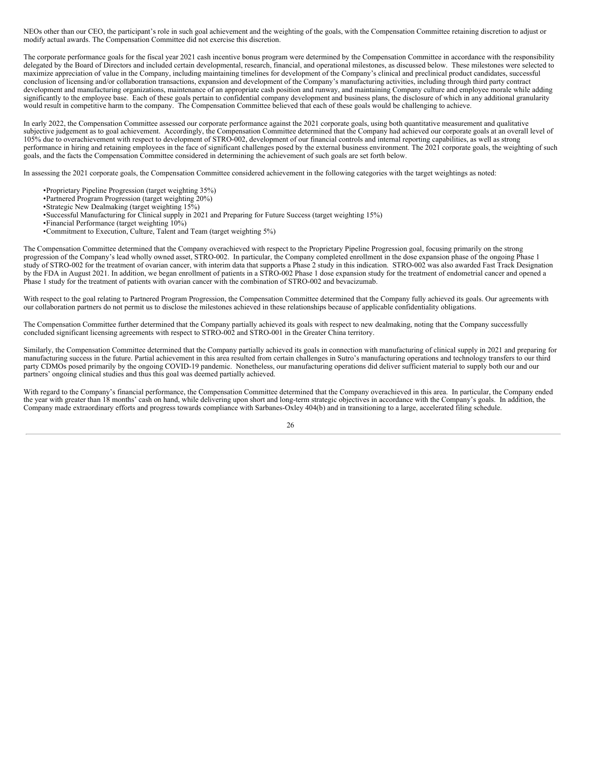NEOs other than our CEO, the participant's role in such goal achievement and the weighting of the goals, with the Compensation Committee retaining discretion to adjust or modify actual awards. The Compensation Committee did not exercise this discretion.

The corporate performance goals for the fiscal year 2021 cash incentive bonus program were determined by the Compensation Committee in accordance with the responsibility delegated by the Board of Directors and included certain developmental, research, financial, and operational milestones, as discussed below. These milestones were selected to maximize appreciation of value in the Company, including maintaining timelines for development of the Company's clinical and preclinical product candidates, successful conclusion of licensing and/or collaboration transactions, expansion and development of the Company's manufacturing activities, including through third party contract development and manufacturing organizations, maintenance of an appropriate cash position and runway, and maintaining Company culture and employee morale while adding significantly to the employee base. Each of these goals pertain to confidential company development and business plans, the disclosure of which in any additional granularity would result in competitive harm to the company. The Compensation Committee believed that each of these goals would be challenging to achieve.

In early 2022, the Compensation Committee assessed our corporate performance against the 2021 corporate goals, using both quantitative measurement and qualitative subjective judgement as to goal achievement. Accordingly, the Compensation Committee determined that the Company had achieved our corporate goals at an overall level of 105% due to overachievement with respect to development of STRO‑002, development of our financial controls and internal reporting capabilities, as well as strong performance in hiring and retaining employees in the face of significant challenges posed by the external business environment. The 2021 corporate goals, the weighting of such goals, and the facts the Compensation Committee considered in determining the achievement of such goals are set forth below.

In assessing the 2021 corporate goals, the Compensation Committee considered achievement in the following categories with the target weightings as noted:

- •Proprietary Pipeline Progression (target weighting 35%)
- •Partnered Program Progression (target weighting 20%)
- •Strategic New Dealmaking (target weighting 15%)
- •Successful Manufacturing for Clinical supply in 2021 and Preparing for Future Success (target weighting 15%)
- •Financial Performance (target weighting 10%)
- •Commitment to Execution, Culture, Talent and Team (target weighting 5%)

The Compensation Committee determined that the Company overachieved with respect to the Proprietary Pipeline Progression goal, focusing primarily on the strong progression of the Company's lead wholly owned asset, STRO-002. In particular, the Company completed enrollment in the dose expansion phase of the ongoing Phase 1 study of STRO-002 for the treatment of ovarian cancer, with interim data that supports a Phase 2 study in this indication. STRO-002 was also awarded Fast Track Designation by the FDA in August 2021. In addition, we began enrollment of patients in a STRO-002 Phase 1 dose expansion study for the treatment of endometrial cancer and opened a Phase 1 study for the treatment of patients with ovarian cancer with the combination of STRO-002 and bevacizumab.

With respect to the goal relating to Partnered Program Progression, the Compensation Committee determined that the Company fully achieved its goals. Our agreements with our collaboration partners do not permit us to disclose the milestones achieved in these relationships because of applicable confidentiality obligations.

The Compensation Committee further determined that the Company partially achieved its goals with respect to new dealmaking, noting that the Company successfully concluded significant licensing agreements with respect to STRO-002 and STRO-001 in the Greater China territory.

Similarly, the Compensation Committee determined that the Company partially achieved its goals in connection with manufacturing of clinical supply in 2021 and preparing for manufacturing success in the future. Partial achievement in this area resulted from certain challenges in Sutro's manufacturing operations and technology transfers to our third party CDMOs posed primarily by the ongoing COVID-19 pandemic. Nonetheless, our manufacturing operations did deliver sufficient material to supply both our and our partners' ongoing clinical studies and thus this goal was deemed partially achieved.

With regard to the Company's financial performance, the Compensation Committee determined that the Company overachieved in this area. In particular, the Company ended the year with greater than 18 months' cash on hand, while delivering upon short and long-term strategic objectives in accordance with the Company's goals. In addition, the Company made extraordinary efforts and progress towards compliance with Sarbanes-Oxley 404(b) and in transitioning to a large, accelerated filing schedule.

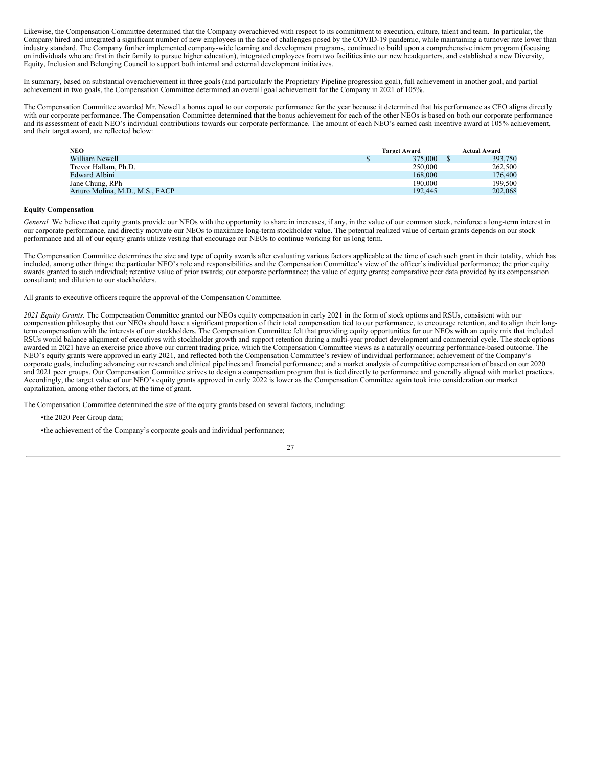Likewise, the Compensation Committee determined that the Company overachieved with respect to its commitment to execution, culture, talent and team. In particular, the Company hired and integrated a significant number of new employees in the face of challenges posed by the COVID-19 pandemic, while maintaining a turnover rate lower than industry standard. The Company further implemented company-wide learning and development programs, continued to build upon a comprehensive intern program (focusing on individuals who are first in their family to pursue higher education), integrated employees from two facilities into our new headquarters, and established a new Diversity, Equity, Inclusion and Belonging Council to support both internal and external development initiatives.

In summary, based on substantial overachievement in three goals (and particularly the Proprietary Pipeline progression goal), full achievement in another goal, and partial achievement in two goals, the Compensation Committee determined an overall goal achievement for the Company in 2021 of 105%.

The Compensation Committee awarded Mr. Newell a bonus equal to our corporate performance for the year because it determined that his performance as CEO aligns directly with our corporate performance. The Compensation Committee determined that the bonus achievement for each of the other NEOs is based on both our corporate performance and its assessment of each NEO's individual contributions towards our corporate performance. The amount of each NEO's earned cash incentive award at 105% achievement, and their target award, are reflected below:

| <b>NEO</b>                      | <b>Target Award</b> | <b>Actual Award</b> |         |
|---------------------------------|---------------------|---------------------|---------|
| William Newell                  | 375,000             |                     | 393,750 |
| Trevor Hallam, Ph.D.            | 250,000             |                     | 262,500 |
| <b>Edward Albini</b>            | 168,000             |                     | 176,400 |
| Jane Chung, RPh                 | 190,000             |                     | 199.500 |
| Arturo Molina, M.D., M.S., FACP | 192.445             |                     | 202,068 |

### **Equity Compensation**

General. We believe that equity grants provide our NEOs with the opportunity to share in increases, if any, in the value of our common stock, reinforce a long-term interest in our corporate performance, and directly motivate our NEOs to maximize long-term stockholder value. The potential realized value of certain grants depends on our stock performance and all of our equity grants utilize vesting that encourage our NEOs to continue working for us long term.

The Compensation Committee determines the size and type of equity awards after evaluating various factors applicable at the time of each such grant in their totality, which has included, among other things: the particular NEO's role and responsibilities and the Compensation Committee's view of the officer's individual performance; the prior equity awards granted to such individual; retentive value of prior awards; our corporate performance; the value of equity grants; comparative peer data provided by its compensation consultant; and dilution to our stockholders.

All grants to executive officers require the approval of the Compensation Committee.

*2021 Equity Grants.* The Compensation Committee granted our NEOs equity compensation in early 2021 in the form of stock options and RSUs, consistent with our compensation philosophy that our NEOs should have a significant proportion of their total compensation tied to our performance, to encourage retention, and to align their longterm compensation with the interests of our stockholders. The Compensation Committee felt that providing equity opportunities for our NEOs with an equity mix that included RSUs would balance alignment of executives with stockholder growth and support retention during a multi-year product development and commercial cycle. The stock options awarded in 2021 have an exercise price above our current trading price, which the Compensation Committee views as a naturally occurring performance-based outcome. The NEO's equity grants were approved in early 2021, and reflected both the Compensation Committee's review of individual performance; achievement of the Company's corporate goals, including advancing our research and clinical pipelines and financial performance; and a market analysis of competitive compensation of based on our 2020 and 2021 peer groups. Our Compensation Committee strives to design a compensation program that is tied directly to performance and generally aligned with market practices. Accordingly, the target value of our NEO's equity grants approved in early 2022 is lower as the Compensation Committee again took into consideration our market capitalization, among other factors, at the time of grant.

The Compensation Committee determined the size of the equity grants based on several factors, including:

•the 2020 Peer Group data;

•the achievement of the Company's corporate goals and individual performance;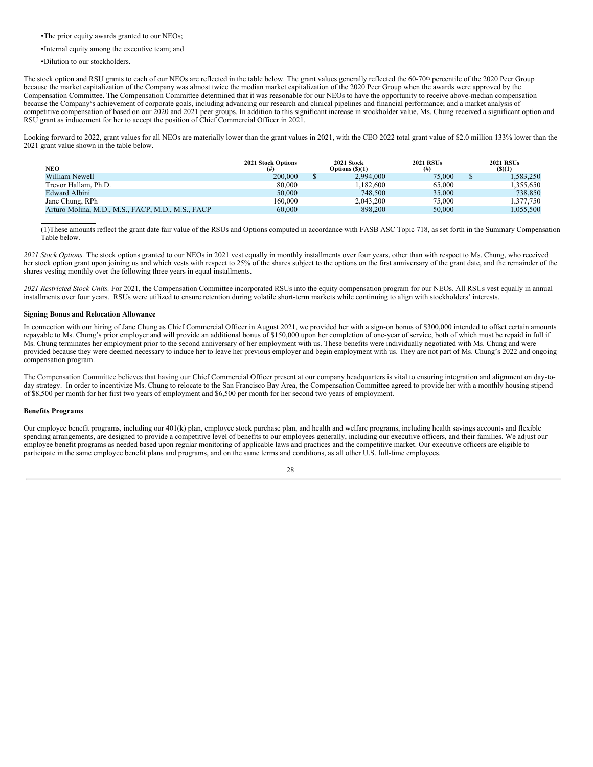•The prior equity awards granted to our NEOs;

•Internal equity among the executive team; and

•Dilution to our stockholders.

The stock option and RSU grants to each of our NEOs are reflected in the table below. The grant values generally reflected the 60-70<sup>th</sup> percentile of the 2020 Peer Group because the market capitalization of the Company was almost twice the median market capitalization of the 2020 Peer Group when the awards were approved by the Compensation Committee. The Compensation Committee determined that it was reasonable for our NEOs to have the opportunity to receive above-median compensation because the Company's achievement of corporate goals, including advancing our research and clinical pipelines and financial performance; and a market analysis of competitive compensation of based on our 2020 and 2021 peer groups. In addition to this significant increase in stockholder value, Ms. Chung received a significant option and RSU grant as inducement for her to accept the position of Chief Commercial Officer in 2021.

Looking forward to 2022, grant values for all NEOs are materially lower than the grant values in 2021, with the CEO 2022 total grant value of \$2.0 million 133% lower than the 2021 grant value shown in the table below.

| NEO                                               | 2021 Stock Options | 2021 Stock<br>Options $(S)(1)$ | <b>2021 RSUs</b><br>$^{(#)}$ | <b>2021 RSUs</b><br>$($ \$ $)(1)$ |
|---------------------------------------------------|--------------------|--------------------------------|------------------------------|-----------------------------------|
| William Newell                                    | 200,000            | 2.994.000                      | 75,000                       | 1,583,250                         |
| Trevor Hallam, Ph.D.                              | 80,000             | 1.182.600                      | 65,000                       | 1,355,650                         |
| Edward Albini                                     | 50,000             | 748,500                        | 35,000                       | 738,850                           |
| Jane Chung, RPh                                   | 160,000            | 2.043.200                      | 75,000                       | 1.377.750                         |
| Arturo Molina, M.D., M.S., FACP, M.D., M.S., FACP | 60,000             | 898,200                        | 50,000                       | 1,055,500                         |

(1)These amounts reflect the grant date fair value of the RSUs and Options computed in accordance with FASB ASC Topic 718, as set forth in the Summary Compensation Table below.

*2021 Stock Options.* The stock options granted to our NEOs in 2021 vest equally in monthly installments over four years, other than with respect to Ms. Chung, who received her stock option grant upon joining us and which vests with respect to 25% of the shares subject to the options on the first anniversary of the grant date, and the remainder of the shares vesting monthly over the following three years in equal installments.

*2021 Restricted Stock Units.* For 2021, the Compensation Committee incorporated RSUs into the equity compensation program for our NEOs. All RSUs vest equally in annual installments over four years. RSUs were utilized to ensure retention during volatile short-term markets while continuing to align with stockholders' interests.

### **Signing Bonus and Relocation Allowance**

In connection with our hiring of Jane Chung as Chief Commercial Officer in August 2021, we provided her with a sign-on bonus of \$300,000 intended to offset certain amounts repayable to Ms. Chung's prior employer and will provide an additional bonus of \$150,000 upon her completion of one-year of service, both of which must be repaid in full if Ms. Chung terminates her employment prior to the second anniversary of her employment with us. These benefits were individually negotiated with Ms. Chung and were provided because they were deemed necessary to induce her to leave her previous employer and begin employment with us. They are not part of Ms. Chung's 2022 and ongoing compensation program.

The Compensation Committee believes that having our Chief Commercial Officer present at our company headquarters is vital to ensuring integration and alignment on day-today strategy. In order to incentivize Ms. Chung to relocate to the San Francisco Bay Area, the Compensation Committee agreed to provide her with a monthly housing stipend of \$8,500 per month for her first two years of employment and \$6,500 per month for her second two years of employment.

#### **Benefits Programs**

Our employee benefit programs, including our 401(k) plan, employee stock purchase plan, and health and welfare programs, including health savings accounts and flexible spending arrangements, are designed to provide a competitive level of benefits to our employees generally, including our executive officers, and their families. We adjust our employee benefit programs as needed based upon regular monitoring of applicable laws and practices and the competitive market. Our executive officers are eligible to participate in the same employee benefit plans and programs, and on the same terms and conditions, as all other U.S. full-time employees.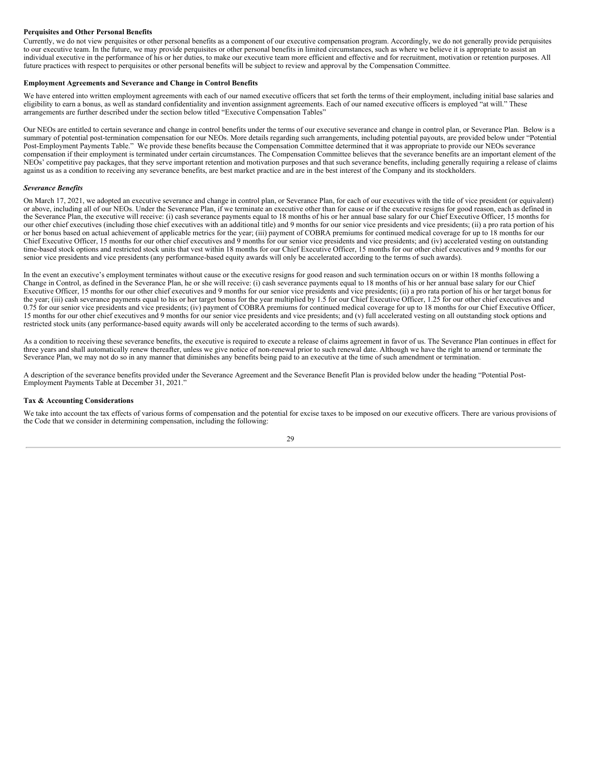# **Perquisites and Other Personal Benefits**

Currently, we do not view perquisites or other personal benefits as a component of our executive compensation program. Accordingly, we do not generally provide perquisites to our executive team. In the future, we may provide perquisites or other personal benefits in limited circumstances, such as where we believe it is appropriate to assist an individual executive in the performance of his or her duties, to make our executive team more efficient and effective and for recruitment, motivation or retention purposes. All future practices with respect to perquisites or other personal benefits will be subject to review and approval by the Compensation Committee.

#### **Employment Agreements and Severance and Change in Control Benefits**

We have entered into written employment agreements with each of our named executive officers that set forth the terms of their employment, including initial base salaries and eligibility to earn a bonus, as well as standard confidentiality and invention assignment agreements. Each of our named executive officers is employed "at will." These arrangements are further described under the section below titled "Executive Compensation Tables"

Our NEOs are entitled to certain severance and change in control benefits under the terms of our executive severance and change in control plan, or Severance Plan. Below is a summary of potential post-termination compensation for our NEOs. More details regarding such arrangements, including potential payouts, are provided below under "Potential Post-Employment Payments Table." We provide these benefits because the Compensation Committee determined that it was appropriate to provide our NEOs severance compensation if their employment is terminated under certain circumstances. The Compensation Committee believes that the severance benefits are an important element of the NEOs' competitive pay packages, that they serve important retention and motivation purposes and that such severance benefits, including generally requiring a release of claims against us as a condition to receiving any severance benefits, are best market practice and are in the best interest of the Company and its stockholders.

### *Severance Benefits*

On March 17, 2021, we adopted an executive severance and change in control plan, or Severance Plan, for each of our executives with the title of vice president (or equivalent) or above, including all of our NEOs. Under the Severance Plan, if we terminate an executive other than for cause or if the executive resigns for good reason, each as defined in the Severance Plan, the executive will receive: (i) cash severance payments equal to 18 months of his or her annual base salary for our Chief Executive Officer, 15 months for our other chief executives (including those chief executives with an additional title) and 9 months for our senior vice presidents and vice presidents; (ii) a pro rata portion of his or her bonus based on actual achievement of applicable metrics for the year; (iii) payment of COBRA premiums for continued medical coverage for up to 18 months for our Chief Executive Officer, 15 months for our other chief executives and 9 months for our senior vice presidents and vice presidents; and (iv) accelerated vesting on outstanding time-based stock options and restricted stock units that vest within 18 months for our Chief Executive Officer, 15 months for our other chief executives and 9 months for our senior vice presidents and vice presidents (any performance-based equity awards will only be accelerated according to the terms of such awards).

In the event an executive's employment terminates without cause or the executive resigns for good reason and such termination occurs on or within 18 months following a Change in Control, as defined in the Severance Plan, he or she will receive: (i) cash severance payments equal to 18 months of his or her annual base salary for our Chief Executive Officer, 15 months for our other chief executives and 9 months for our senior vice presidents and vice presidents; (ii) a pro rata portion of his or her target bonus for the year; (iii) cash severance payments equal to his or her target bonus for the year multiplied by 1.5 for our Chief Executive Officer, 1.25 for our other chief executives and 0.75 for our senior vice presidents and vice presidents; (iv) payment of COBRA premiums for continued medical coverage for up to 18 months for our Chief Executive Officer, 15 months for our other chief executives and 9 months for our senior vice presidents and vice presidents; and (v) full accelerated vesting on all outstanding stock options and restricted stock units (any performance-based equity awards will only be accelerated according to the terms of such awards).

As a condition to receiving these severance benefits, the executive is required to execute a release of claims agreement in favor of us. The Severance Plan continues in effect for three years and shall automatically renew thereafter, unless we give notice of non-renewal prior to such renewal date. Although we have the right to amend or terminate the Severance Plan, we may not do so in any manner that diminishes any benefits being paid to an executive at the time of such amendment or termination.

A description of the severance benefits provided under the Severance Agreement and the Severance Benefit Plan is provided below under the heading "Potential Post-Employment Payments Table at December 31, 2021."

### **Tax & Accounting Considerations**

We take into account the tax effects of various forms of compensation and the potential for excise taxes to be imposed on our executive officers. There are various provisions of the Code that we consider in determining compensation, including the following:

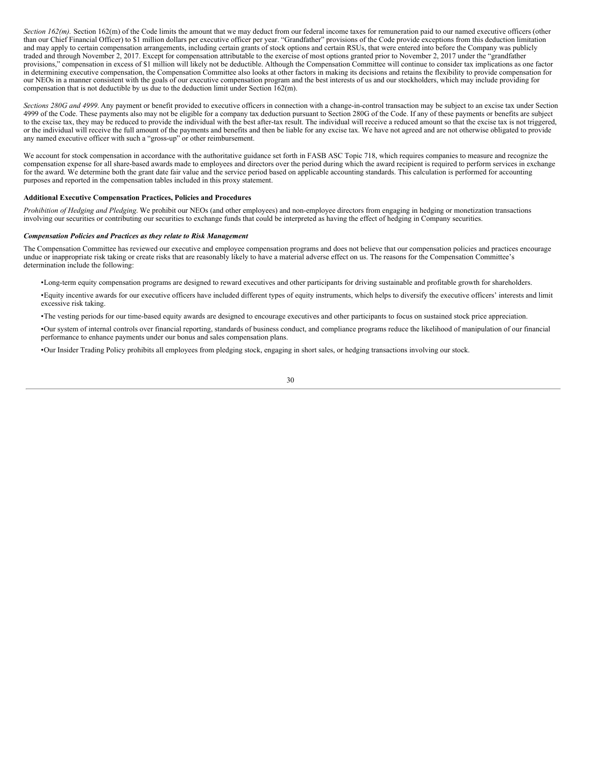*Section 162(m)*. Section 162(m) of the Code limits the amount that we may deduct from our federal income taxes for remuneration paid to our named executive officers (other than our Chief Financial Officer) to \$1 million dollars per executive officer per year. "Grandfather" provisions of the Code provide exceptions from this deduction limitation and may apply to certain compensation arrangements, including certain grants of stock options and certain RSUs, that were entered into before the Company was publicly traded and through November 2, 2017. Except for compensation attributable to the exercise of most options granted prior to November 2, 2017 under the "grandfather provisions," compensation in excess of \$1 million will likely not be deductible. Although the Compensation Committee will continue to consider tax implications as one factor in determining executive compensation, the Compensation Committee also looks at other factors in making its decisions and retains the flexibility to provide compensation for our NEOs in a manner consistent with the goals of our executive compensation program and the best interests of us and our stockholders, which may include providing for compensation that is not deductible by us due to the deduction limit under Section 162(m).

*Sections 280G and 4999*. Any payment or benefit provided to executive officers in connection with a change-in-control transaction may be subject to an excise tax under Section 4999 of the Code. These payments also may not be eligible for a company tax deduction pursuant to Section 280G of the Code. If any of these payments or benefits are subject to the excise tax, they may be reduced to provide the individual with the best after-tax result. The individual will receive a reduced amount so that the excise tax is not triggered, or the individual will receive the full amount of the payments and benefits and then be liable for any excise tax. We have not agreed and are not otherwise obligated to provide any named executive officer with such a "gross-up" or other reimbursement.

We account for stock compensation in accordance with the authoritative guidance set forth in FASB ASC Topic 718, which requires companies to measure and recognize the compensation expense for all share-based awards made to employees and directors over the period during which the award recipient is required to perform services in exchange for the award. We determine both the grant date fair value and the service period based on applicable accounting standards. This calculation is performed for accounting purposes and reported in the compensation tables included in this proxy statement.

### **Additional Executive Compensation Practices, Policies and Procedures**

*Prohibition of Hedging and Pledging*. We prohibit our NEOs (and other employees) and non-employee directors from engaging in hedging or monetization transactions involving our securities or contributing our securities to exchange funds that could be interpreted as having the effect of hedging in Company securities.

### *Compensation Policies and Practices as they relate to Risk Management*

The Compensation Committee has reviewed our executive and employee compensation programs and does not believe that our compensation policies and practices encourage undue or inappropriate risk taking or create risks that are reasonably likely to have a material adverse effect on us. The reasons for the Compensation Committee's determination include the following:

•Long-term equity compensation programs are designed to reward executives and other participants for driving sustainable and profitable growth for shareholders.

•Equity incentive awards for our executive officers have included different types of equity instruments, which helps to diversify the executive officers' interests and limit excessive risk taking.

•The vesting periods for our time-based equity awards are designed to encourage executives and other participants to focus on sustained stock price appreciation.

•Our system of internal controls over financial reporting, standards of business conduct, and compliance programs reduce the likelihood of manipulation of our financial performance to enhance payments under our bonus and sales compensation plans.

•Our Insider Trading Policy prohibits all employees from pledging stock, engaging in short sales, or hedging transactions involving our stock.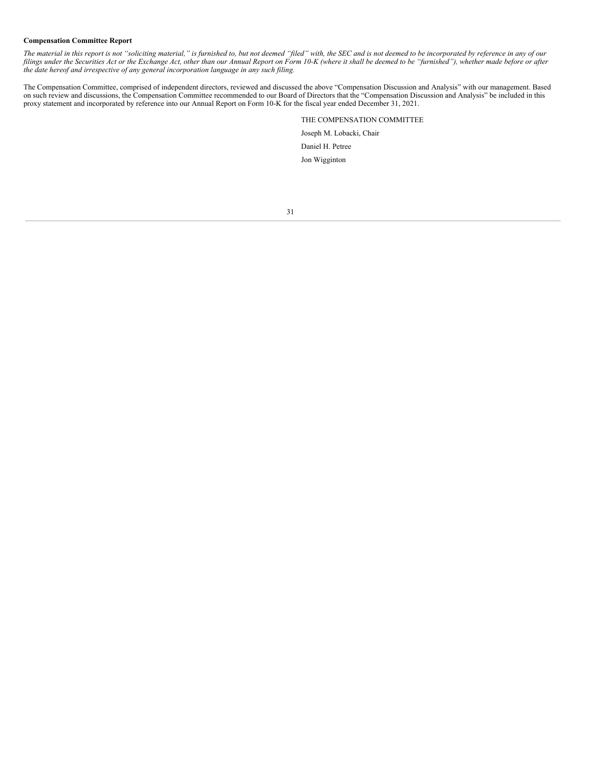# **Compensation Committee Report**

The material in this report is not "soliciting material," is furnished to, but not deemed "filed" with, the SEC and is not deemed to be incorporated by reference in any of our filings under the Securities Act or the Exchange Act, other than our Annual Report on Form 10-K (where it shall be deemed to be "furnished"), whether made before or after *the date hereof and irrespective of any general incorporation language in any such filing.*

The Compensation Committee, comprised of independent directors, reviewed and discussed the above "Compensation Discussion and Analysis" with our management. Based on such review and discussions, the Compensation Committee recommended to our Board of Directors that the "Compensation Discussion and Analysis" be included in this proxy statement and incorporated by reference into our Annual Report on Form 10-K for the fiscal year ended December 31, 2021.

> THE COMPENSATION COMMITTEE Joseph M. Lobacki, Chair Daniel H. Petree Jon Wigginton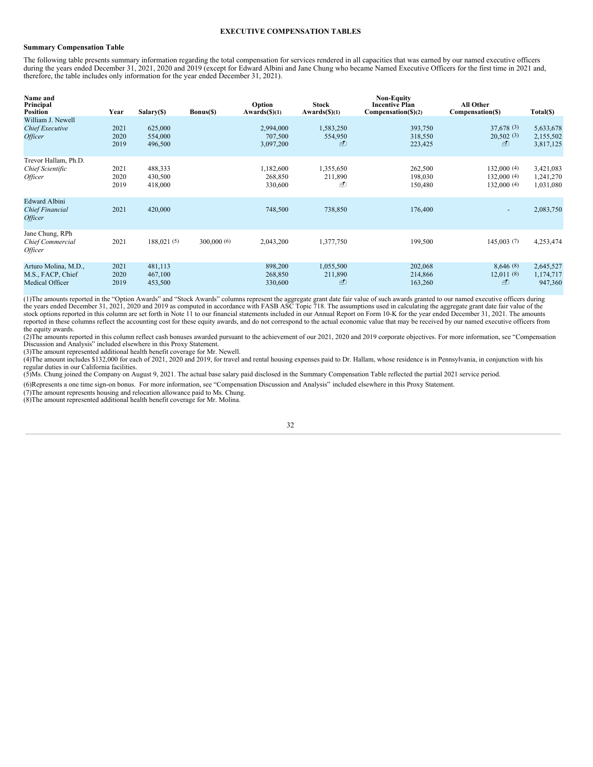# **EXECUTIVE COMPENSATION TABLES**

# **Summary Compensation Table**

The following table presents summary information regarding the total compensation for services rendered in all capacities that was earned by our named executive officers during the years ended December 31, 2021, 2020 and 2019 (except for Edward Albini and Jane Chung who became Named Executive Officers for the first time in 2021 and, therefore, the table includes only information for the year ended December 31, 2021).

| Name and<br>Principal<br><b>Position</b>                                | Year | Salary(\$)  | Bonus(\$)  | Option<br>Awards(S)(1) | <b>Stock</b><br>Awards(%)(1) | <b>Non-Equity</b><br><b>Incentive Plan</b><br>$Compenstation(\S)(2)$ | All Other<br>Compensation(\$) | Total(\$) |
|-------------------------------------------------------------------------|------|-------------|------------|------------------------|------------------------------|----------------------------------------------------------------------|-------------------------------|-----------|
| William J. Newell                                                       | 2021 | 625,000     |            | 2,994,000              | 1,583,250                    | 393,750                                                              | 37,678(3)                     | 5,633,678 |
| <b>Chief Executive</b>                                                  | 2020 | 554,000     |            | 707,500                | 554,950                      | 318,550                                                              | 20,502(3)                     | 2,155,502 |
| <i><b>Officer</b></i>                                                   | 2019 | 496,500     |            | 3,097,200              | ₫                            | 223,425                                                              | FD                            | 3,817,125 |
| Trevor Hallam, Ph.D.                                                    | 2021 | 488,333     |            | 1,182,600              | 1,355,650                    | 262,500                                                              | 132,000 (4)                   | 3,421,083 |
| Chief Scientific                                                        | 2020 | 430,500     |            | 268,850                | 211,890                      | 198,030                                                              | 132,000(4)                    | 1,241,270 |
| <i><b>Officer</b></i>                                                   | 2019 | 418,000     |            | 330,600                | ⊕                            | 150,480                                                              | 132,000(4)                    | 1,031,080 |
| <b>Edward Albini</b><br><b>Chief Financial</b><br><i><b>Officer</b></i> | 2021 | 420,000     |            | 748,500                | 738,850                      | 176,400                                                              |                               | 2,083,750 |
| Jane Chung, RPh<br>Chief Commercial<br><i><b>Officer</b></i>            | 2021 | 188,021 (5) | 300,000(6) | 2,043,200              | 1,377,750                    | 199,500                                                              | 145,003(7)                    | 4,253,474 |
| Arturo Molina, M.D.,                                                    | 2021 | 481,113     |            | 898,200                | 1,055,500                    | 202,068                                                              | 8,646(8)                      | 2,645,527 |
| M.S., FACP, Chief                                                       | 2020 | 467,100     |            | 268,850                | 211,890                      | 214,866                                                              | 12,011(8)                     | 1,174,717 |
| Medical Officer                                                         | 2019 | 453,500     |            | 330,600                | ₫                            | 163,260                                                              | FD                            | 947,360   |

(1)The amounts reported in the "Option Awards" and "Stock Awards" columns represent the aggregate grant date fair value of such awards granted to our named executive officers during<br>the years ended December 31, 2021, 2020 stock options reported in this column are set forth in Note 11 to our financial statements included in our Annual Report on Form 10-K for the year ended December 31, 2021. The amounts reported in these columns reflect the accounting cost for these equity awards, and do not correspond to the actual economic value that may be received by our named executive officers from the equity awards.

(2)The amounts reported in this column reflect cash bonuses awarded pursuant to the achievement of our 2021, 2020 and 2019 corporate objectives. For more information, see "Compensation Discussion and Analysis" included elsewhere in this Proxy Statement.

(3)The amount represented additional health benefit coverage for Mr. Newell.

(4)The amount includes \$132,000 for each of 2021, 2020 and 2019, for travel and rental housing expenses paid to Dr. Hallam, whose residence is in Pennsylvania, in conjunction with his regular duties in our California facilities.

(5)Ms. Chung joined the Company on August 9, 2021. The actual base salary paid disclosed in the Summary Compensation Table reflected the partial 2021 service period.

(6)Represents a one time sign-on bonus. For more information, see "Compensation Discussion and Analysis" included elsewhere in this Proxy Statement.

(7)The amount represents housing and relocation allowance paid to Ms. Chung.

(8)The amount represented additional health benefit coverage for Mr. Molina.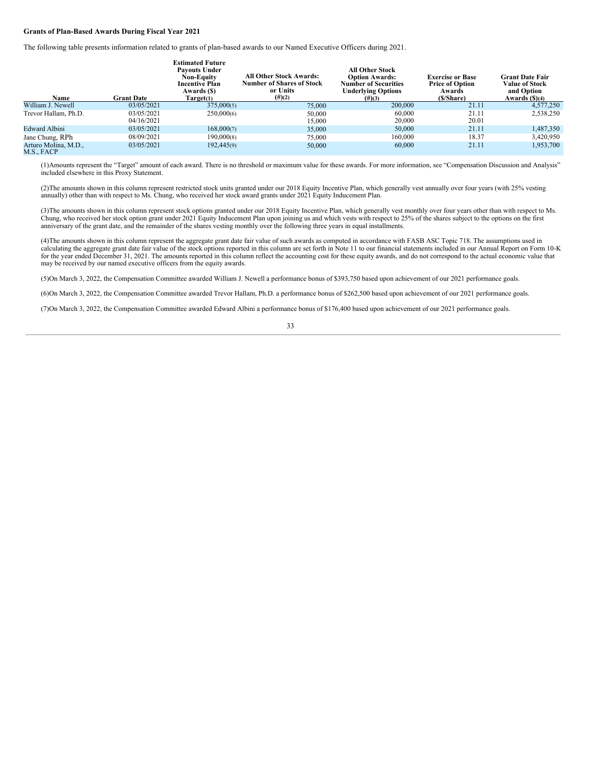### **Grants of Plan-Based Awards During Fiscal Year 2021**

The following table presents information related to grants of plan-based awards to our Named Executive Officers during 2021.

| Name                               | <b>Grant Date</b>        | <b>Estimated Future</b><br><b>Pavouts Under</b><br><b>Non-Equity</b><br><b>Incentive Plan</b><br>Awards (\$)<br>Target <sub>(1)</sub> | <b>All Other Stock Awards:</b><br><b>Number of Shares of Stock</b><br>or Units<br>$(\#)(2)$ | <b>All Other Stock</b><br><b>Option Awards:</b><br><b>Number of Securities</b><br><b>Underlying Options</b><br>$(\#)(3)$ | <b>Exercise or Base</b><br><b>Price of Option</b><br>Awards<br>(\$/Share) | <b>Grant Date Fair</b><br><b>Value of Stock</b><br>and Option<br>Awards (\$)(4) |
|------------------------------------|--------------------------|---------------------------------------------------------------------------------------------------------------------------------------|---------------------------------------------------------------------------------------------|--------------------------------------------------------------------------------------------------------------------------|---------------------------------------------------------------------------|---------------------------------------------------------------------------------|
| William J. Newell                  | 03/05/2021               | 375,000(5)                                                                                                                            | 75,000                                                                                      | 200,000                                                                                                                  | 21.11                                                                     | 4,577,250                                                                       |
| Trevor Hallam, Ph.D.               | 03/05/2021<br>04/16/2021 | 250,000(6)                                                                                                                            | 50,000<br>15,000                                                                            | 60,000<br>20,000                                                                                                         | 21.11<br>20.01                                                            | 2,538,250                                                                       |
| <b>Edward Albini</b>               | 03/05/2021               | 168,000(7)                                                                                                                            | 35,000                                                                                      | 50,000                                                                                                                   | 21.11                                                                     | 1,487,350                                                                       |
| Jane Chung, RPh                    | 08/09/2021               | 190,000(8)                                                                                                                            | 75,000                                                                                      | 160,000                                                                                                                  | 18.37                                                                     | 3,420,950                                                                       |
| Arturo Molina, M.D.,<br>M.S., FACP | 03/05/2021               | 192,445(9)                                                                                                                            | 50,000                                                                                      | 60,000                                                                                                                   | 21.11                                                                     | 1,953,700                                                                       |

(1)Amounts represent the "Target" amount of each award. There is no threshold or maximum value for these awards. For more information, see "Compensation Discussion and Analysis" included elsewhere in this Proxy Statement.

(2)The amounts shown in this column represent restricted stock units granted under our 2018 Equity Incentive Plan, which generally vest annually over four years (with 25% vesting annually) other than with respect to Ms. Chung, who received her stock award grants under 2021 Equity Inducement Plan.

(3)The amounts shown in this column represent stock options granted under our 2018 Equity Incentive Plan, which generally vest monthly over four years other than with respect to Ms. Chung, who received her stock option grant under 2021 Equity Inducement Plan upon joining us and which vests with respect to 25% of the shares subject to the options on the first anniversary of the grant date, and the rema

(4)The amounts shown in this column represent the aggregate grant date fair value of such awards as computed in accordance with FASB ASC Topic 718. The assumptions used in<br>calculating the aggregate grant date fair value of for the year ended December 31, 2021. The amounts reported in this column reflect the accounting cost for these equity awards, and do not correspond to the actual economic value that may be received by our named executive officers from the equity awards.

(5)On March 3, 2022, the Compensation Committee awarded William J. Newell a performance bonus of \$393,750 based upon achievement of our 2021 performance goals.

(6)On March 3, 2022, the Compensation Committee awarded Trevor Hallam, Ph.D. a performance bonus of \$262,500 based upon achievement of our 2021 performance goals.

(7)On March 3, 2022, the Compensation Committee awarded Edward Albini a performance bonus of \$176,400 based upon achievement of our 2021 performance goals.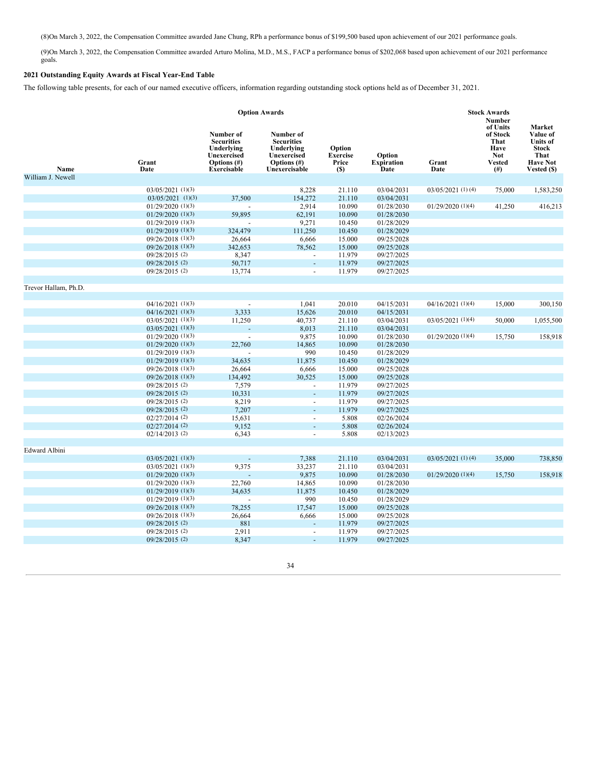(8)On March 3, 2022, the Compensation Committee awarded Jane Chung, RPh a performance bonus of \$199,500 based upon achievement of our 2021 performance goals.

(9)On March 3, 2022, the Compensation Committee awarded Arturo Molina, M.D., M.S., FACP a performance bonus of \$202,068 based upon achievement of our 2021 performance goals.

# **2021 Outstanding Equity Awards at Fiscal Year-End Table**

The following table presents, for each of our named executive officers, information regarding outstanding stock options held as of December 31, 2021.

|                      | <b>Option Awards</b>  |                                                                                                         |                                                                                                    |                                                  |                                     |                       | <b>Stock Awards</b><br><b>Number</b>                                            |                                                                                                 |
|----------------------|-----------------------|---------------------------------------------------------------------------------------------------------|----------------------------------------------------------------------------------------------------|--------------------------------------------------|-------------------------------------|-----------------------|---------------------------------------------------------------------------------|-------------------------------------------------------------------------------------------------|
| Name                 | Grant<br>Date         | Number of<br><b>Securities</b><br>Underlying<br><b>Unexercised</b><br>Options (#)<br><b>Exercisable</b> | Number of<br><b>Securities</b><br>Underlying<br><b>Unexercised</b><br>Options (#)<br>Unexercisable | Option<br><b>Exercise</b><br>Price<br><b>(S)</b> | Option<br><b>Expiration</b><br>Date | Grant<br>Date         | of Units<br>of Stock<br>That<br>Have<br><b>Not</b><br><b>Vested</b><br>$^{(#)}$ | Market<br>Value of<br><b>Units of</b><br><b>Stock</b><br>That<br><b>Have Not</b><br>Vested (\$) |
| William J. Newell    |                       |                                                                                                         |                                                                                                    |                                                  |                                     |                       |                                                                                 |                                                                                                 |
|                      | $03/05/2021$ (1)(3)   |                                                                                                         | 8,228                                                                                              | 21.110                                           | 03/04/2031                          | $03/05/2021$ (1)(4)   | 75,000                                                                          | 1,583,250                                                                                       |
|                      | $03/05/2021$ (1)(3)   | 37,500                                                                                                  | 154,272                                                                                            | 21.110                                           | 03/04/2031                          |                       |                                                                                 |                                                                                                 |
|                      | $01/29/2020$ $(1)(3)$ |                                                                                                         | 2,914                                                                                              | 10.090                                           | 01/28/2030                          | 01/29/2020(1)(4)      | 41,250                                                                          | 416,213                                                                                         |
|                      | $01/29/2020$ $(1)(3)$ | 59,895                                                                                                  | 62,191                                                                                             | 10.090                                           | 01/28/2030                          |                       |                                                                                 |                                                                                                 |
|                      | $01/29/2019$ (1)(3)   |                                                                                                         | 9,271                                                                                              | 10.450                                           | 01/28/2029                          |                       |                                                                                 |                                                                                                 |
|                      | $01/29/2019$ (1)(3)   | 324,479                                                                                                 | 111,250                                                                                            | 10.450                                           | 01/28/2029                          |                       |                                                                                 |                                                                                                 |
|                      | $09/26/2018$ (1)(3)   | 26,664                                                                                                  | 6,666                                                                                              | 15.000                                           | 09/25/2028                          |                       |                                                                                 |                                                                                                 |
|                      | 09/26/2018 (1)(3)     | 342,653                                                                                                 | 78,562                                                                                             | 15.000                                           | 09/25/2028                          |                       |                                                                                 |                                                                                                 |
|                      | 09/28/2015 (2)        | 8,347                                                                                                   | $\overline{a}$                                                                                     | 11.979                                           | 09/27/2025                          |                       |                                                                                 |                                                                                                 |
|                      | 09/28/2015 (2)        | 50,717                                                                                                  | ÷.                                                                                                 | 11.979                                           | 09/27/2025                          |                       |                                                                                 |                                                                                                 |
|                      | 09/28/2015 (2)        | 13,774                                                                                                  | $\blacksquare$                                                                                     | 11.979                                           | 09/27/2025                          |                       |                                                                                 |                                                                                                 |
|                      |                       |                                                                                                         |                                                                                                    |                                                  |                                     |                       |                                                                                 |                                                                                                 |
| Trevor Hallam, Ph.D. |                       |                                                                                                         |                                                                                                    |                                                  |                                     |                       |                                                                                 |                                                                                                 |
|                      |                       |                                                                                                         |                                                                                                    |                                                  |                                     |                       |                                                                                 |                                                                                                 |
|                      | $04/16/2021$ (1)(3)   | $\overline{a}$                                                                                          | 1,041                                                                                              | 20.010                                           | 04/15/2031                          | $04/16/2021$ $(1)(4)$ | 15,000                                                                          | 300,150                                                                                         |
|                      | 04/16/2021 (1)(3)     | 3,333                                                                                                   | 15,626                                                                                             | 20.010                                           | 04/15/2031                          |                       |                                                                                 |                                                                                                 |
|                      | $03/05/2021$ (1)(3)   | 11,250                                                                                                  | 40,737                                                                                             | 21.110                                           | 03/04/2031                          | 03/05/2021 (1)(4)     | 50,000                                                                          | 1,055,500                                                                                       |
|                      | $03/05/2021$ (1)(3)   |                                                                                                         | 8,013                                                                                              | 21.110                                           | 03/04/2031                          |                       |                                                                                 |                                                                                                 |
|                      | $01/29/2020$ $(1)(3)$ | $\overline{a}$                                                                                          | 9,875                                                                                              | 10.090                                           | 01/28/2030                          | $01/29/2020$ $(1)(4)$ | 15,750                                                                          | 158,918                                                                                         |
|                      | $01/29/2020$ (1)(3)   | 22,760                                                                                                  | 14,865                                                                                             | 10.090                                           | 01/28/2030                          |                       |                                                                                 |                                                                                                 |
|                      | $01/29/2019$ (1)(3)   |                                                                                                         | 990                                                                                                | 10.450                                           | 01/28/2029                          |                       |                                                                                 |                                                                                                 |
|                      | $01/29/2019$ (1)(3)   | 34,635                                                                                                  | 11,875                                                                                             | 10.450                                           | 01/28/2029                          |                       |                                                                                 |                                                                                                 |
|                      | 09/26/2018 (1)(3)     | 26,664                                                                                                  | 6,666                                                                                              | 15.000                                           | 09/25/2028                          |                       |                                                                                 |                                                                                                 |
|                      | $09/26/2018$ (1)(3)   | 134,492                                                                                                 | 30,525                                                                                             | 15.000                                           | 09/25/2028                          |                       |                                                                                 |                                                                                                 |
|                      | 09/28/2015 (2)        | 7,579                                                                                                   | $\overline{\phantom{a}}$                                                                           | 11.979                                           | 09/27/2025                          |                       |                                                                                 |                                                                                                 |
|                      | 09/28/2015 (2)        | 10,331                                                                                                  | ÷.                                                                                                 | 11.979                                           | 09/27/2025                          |                       |                                                                                 |                                                                                                 |
|                      | 09/28/2015 (2)        | 8,219                                                                                                   | $\blacksquare$                                                                                     | 11.979                                           | 09/27/2025                          |                       |                                                                                 |                                                                                                 |
|                      | 09/28/2015 (2)        | 7,207                                                                                                   | $\overline{a}$                                                                                     | 11.979                                           | 09/27/2025                          |                       |                                                                                 |                                                                                                 |
|                      | $02/27/2014$ (2)      | 15,631                                                                                                  | $\overline{a}$                                                                                     | 5.808                                            | 02/26/2024                          |                       |                                                                                 |                                                                                                 |
|                      | $02/27/2014$ (2)      | 9,152                                                                                                   | $\blacksquare$                                                                                     | 5.808                                            | 02/26/2024                          |                       |                                                                                 |                                                                                                 |
|                      | $02/14/2013$ (2)      | 6,343                                                                                                   | $\omega$                                                                                           | 5.808                                            | 02/13/2023                          |                       |                                                                                 |                                                                                                 |
|                      |                       |                                                                                                         |                                                                                                    |                                                  |                                     |                       |                                                                                 |                                                                                                 |
| <b>Edward Albini</b> |                       |                                                                                                         |                                                                                                    |                                                  |                                     |                       |                                                                                 |                                                                                                 |
|                      | $03/05/2021$ (1)(3)   |                                                                                                         | 7,388                                                                                              | 21.110                                           | 03/04/2031                          | $03/05/2021$ (1) (4)  | 35,000                                                                          | 738,850                                                                                         |
|                      | $03/05/2021$ (1)(3)   | 9,375                                                                                                   | 33,237                                                                                             | 21.110                                           | 03/04/2031                          |                       |                                                                                 |                                                                                                 |
|                      | $01/29/2020$ (1)(3)   |                                                                                                         | 9,875                                                                                              | 10.090                                           | 01/28/2030                          | 01/29/2020(1)(4)      | 15,750                                                                          | 158,918                                                                                         |
|                      | $01/29/2020$ (1)(3)   | 22,760                                                                                                  | 14,865                                                                                             | 10.090                                           | 01/28/2030                          |                       |                                                                                 |                                                                                                 |
|                      | $01/29/2019$ (1)(3)   | 34,635                                                                                                  | 11,875                                                                                             | 10.450                                           | 01/28/2029                          |                       |                                                                                 |                                                                                                 |
|                      | $01/29/2019$ $(1)(3)$ |                                                                                                         | 990                                                                                                | 10.450                                           | 01/28/2029                          |                       |                                                                                 |                                                                                                 |
|                      | $09/26/2018$ (1)(3)   | 78,255                                                                                                  | 17,547                                                                                             | 15.000                                           | 09/25/2028                          |                       |                                                                                 |                                                                                                 |
|                      | 09/26/2018 (1)(3)     | 26,664                                                                                                  | 6,666                                                                                              | 15.000                                           | 09/25/2028                          |                       |                                                                                 |                                                                                                 |
|                      | 09/28/2015 (2)        | 881                                                                                                     |                                                                                                    | 11.979                                           | 09/27/2025                          |                       |                                                                                 |                                                                                                 |
|                      | 09/28/2015 (2)        | 2,911                                                                                                   | $\omega$                                                                                           | 11.979                                           | 09/27/2025                          |                       |                                                                                 |                                                                                                 |
|                      | $09/28/2015$ (2)      | 8,347                                                                                                   |                                                                                                    | 11.979                                           | 09/27/2025                          |                       |                                                                                 |                                                                                                 |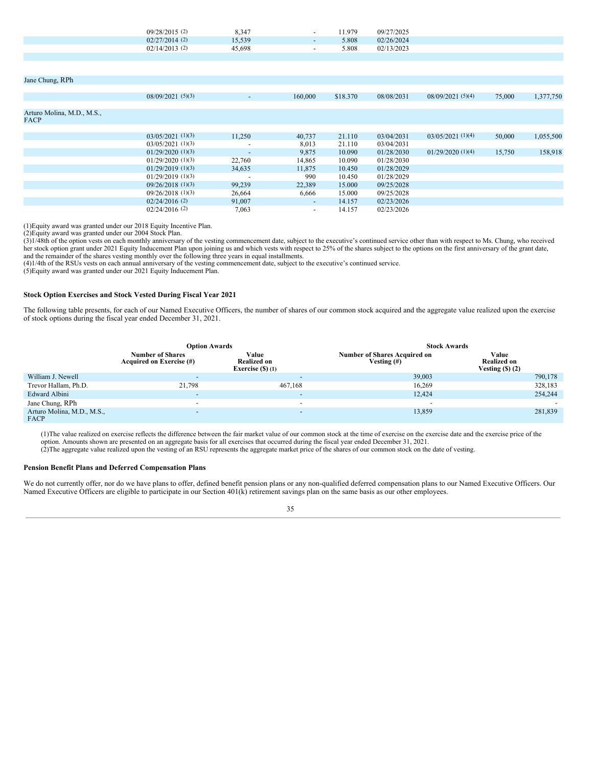| $09/28/2015$ (2) | 8.347  | $\overline{\phantom{0}}$ | 1.979 | 09/27/2025 |
|------------------|--------|--------------------------|-------|------------|
| $02/27/2014$ (2) | 15,539 | $\sim$                   | 5.808 | 02/26/2024 |
| $02/14/2013$ (2) | 45.698 | $\overline{\phantom{0}}$ | 5.808 | 02/13/2023 |
|                  |        |                          |       |            |

| Jane Chung, RPh            |                     |                          |         |          |            |                     |        |           |
|----------------------------|---------------------|--------------------------|---------|----------|------------|---------------------|--------|-----------|
|                            |                     |                          |         |          |            |                     |        |           |
|                            | 08/09/2021(5)(3)    | $\sim$                   | 160,000 | \$18.370 | 08/08/2031 | 08/09/2021(5)(4)    | 75,000 | 1,377,750 |
|                            |                     |                          |         |          |            |                     |        |           |
| Arturo Molina, M.D., M.S., |                     |                          |         |          |            |                     |        |           |
| <b>FACP</b>                |                     |                          |         |          |            |                     |        |           |
|                            |                     |                          |         |          |            |                     |        |           |
|                            | $03/05/2021$ (1)(3) | 11,250                   | 40,737  | 21.110   | 03/04/2031 | $03/05/2021$ (1)(4) | 50,000 | 1,055,500 |
|                            | $03/05/2021$ (1)(3) | $\overline{\phantom{0}}$ | 8,013   | 21.110   | 03/04/2031 |                     |        |           |
|                            | $01/29/2020$ (1)(3) | $\overline{\phantom{a}}$ | 9,875   | 10.090   | 01/28/2030 | 01/29/2020(1)(4)    | 15,750 | 158,918   |
|                            | $01/29/2020$ (1)(3) | 22,760                   | 14,865  | 10.090   | 01/28/2030 |                     |        |           |
|                            | $01/29/2019$ (1)(3) | 34,635                   | 11,875  | 10.450   | 01/28/2029 |                     |        |           |
|                            | $01/29/2019$ (1)(3) |                          | 990     | 10.450   | 01/28/2029 |                     |        |           |
|                            | $09/26/2018$ (1)(3) | 99,239                   | 22,389  | 15,000   | 09/25/2028 |                     |        |           |
|                            | $09/26/2018$ (1)(3) | 26,664                   | 6,666   | 15.000   | 09/25/2028 |                     |        |           |
|                            | $02/24/2016$ (2)    | 91,007                   | $\sim$  | 14.157   | 02/23/2026 |                     |        |           |
|                            | $02/24/2016$ (2)    | 7,063                    | $\sim$  | 14.157   | 02/23/2026 |                     |        |           |

(1)Equity award was granted under our 2018 Equity Incentive Plan.

(2)Equity award was granted under our 2004 Stock Plan.

(3)1/48th of the option vests on each monthly anniversary of the vesting commencement date, subject to the executive's continued service other than with respect to Ms. Chung, who received her stock option grant under 2021 and the remainder of the shares vesting monthly over the following three years in equal installments.

(4)1/4th of the RSUs vests on each annual anniversary of the vesting commencement date, subject to the executive's continued service.

(5)Equity award was granted under our 2021 Equity Inducement Plan.

# **Stock Option Exercises and Stock Vested During Fiscal Year 2021**

The following table presents, for each of our Named Executive Officers, the number of shares of our common stock acquired and the aggregate value realized upon the exercise of stock options during the fiscal year ended December 31, 2021.

|                                    | <b>Option Awards</b>                                |                                                   | <b>Stock Awards</b>                                  |                                                  |  |  |
|------------------------------------|-----------------------------------------------------|---------------------------------------------------|------------------------------------------------------|--------------------------------------------------|--|--|
|                                    | <b>Number of Shares</b><br>Acquired on Exercise (#) | Value<br><b>Realized on</b><br>Exercise $(S)$ (1) | <b>Number of Shares Acquired on</b><br>Vesting $(f)$ | Value<br><b>Realized on</b><br>Vesting $($ ) (2) |  |  |
| William J. Newell                  |                                                     | $\overline{\phantom{a}}$                          | 39,003                                               | 790,178                                          |  |  |
| Trevor Hallam, Ph.D.               | 21,798                                              | 467.168                                           | 16,269                                               | 328,183                                          |  |  |
| Edward Albini                      | $\overline{\phantom{0}}$                            | $\overline{\phantom{a}}$                          | 12,424                                               | 254,244                                          |  |  |
| Jane Chung, RPh                    | $\overline{\phantom{a}}$                            | $\overline{\phantom{a}}$                          |                                                      |                                                  |  |  |
| Arturo Molina, M.D., M.S.,<br>FACP | $\overline{\phantom{0}}$                            | $\overline{\phantom{a}}$                          | 13,859                                               | 281,839                                          |  |  |

(1)The value realized on exercise reflects the difference between the fair market value of our common stock at the time of exercise on the exercise date and the exercise price of the option. Amounts shown are presented on an aggregate basis for all exercises that occurred during the fiscal year ended December 31, 2021.

(2)The aggregate value realized upon the vesting of an RSU represents the aggregate market price of the shares of our common stock on the date of vesting.

# **Pension Benefit Plans and Deferred Compensation Plans**

We do not currently offer, nor do we have plans to offer, defined benefit pension plans or any non-qualified deferred compensation plans to our Named Executive Officers. Our Named Executive Officers are eligible to participate in our Section 401(k) retirement savings plan on the same basis as our other employees.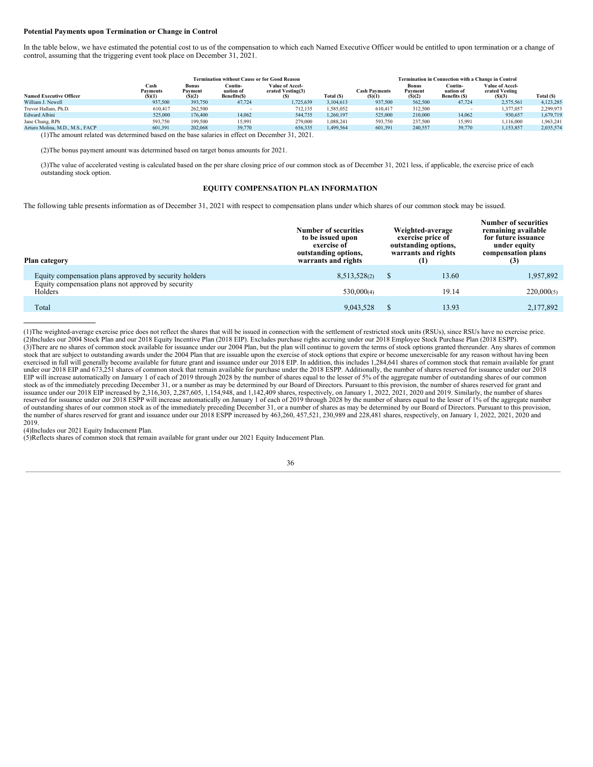### **Potential Payments upon Termination or Change in Control**

In the table below, we have estimated the potential cost to us of the compensation to which each Named Executive Officer would be entitled to upon termination or a change of control, assuming that the triggering event took place on December 31, 2021.

|                                 | <b>Termination without Cause or for Good Reason</b>                                              |                            |                                      |                                             |            |                                | <b>Termination in Connection with a Change in Control</b> |                                       |                                             |            |  |
|---------------------------------|--------------------------------------------------------------------------------------------------|----------------------------|--------------------------------------|---------------------------------------------|------------|--------------------------------|-----------------------------------------------------------|---------------------------------------|---------------------------------------------|------------|--|
| <b>Named Executive Officer</b>  | Cash<br><b>Payments</b><br>(S)(1)                                                                | Bonus<br>Payment<br>(S)(2) | Contin-<br>uation of<br>Benefits(\$) | Value of Accel-<br>erated Vesting(3)<br>(S) | Total (\$) | <b>Cash Payments</b><br>(S)(1) | <b>Bonus</b><br>Payment<br>(S)(2)                         | Contin-<br>uation of<br>Benefits (\$) | Value of Accel-<br>erated Vesting<br>(S)(3) | Total (\$) |  |
| William J. Newell               | 937,500                                                                                          | 393,750                    | 47,724                               | 1.725.639                                   | 3.104.613  | 937,500                        | 562,500                                                   | 47,724                                | 2,575,561                                   | 4,123,285  |  |
| Trevor Hallam, Ph.D.            | 610.417                                                                                          | 262,500                    | $\overline{\phantom{a}}$             | 712.135                                     | 1.585.052  | 610,417                        | 312,500                                                   |                                       | 1,377,057                                   | 2,299,973  |  |
| <b>Edward Albini</b>            | 525,000                                                                                          | 176,400                    | 14.062                               | 544,735                                     | 1,260,197  | 525,000                        | 210,000                                                   | 14,062                                | 930,657                                     | 1,679,719  |  |
| Jane Chung, RPh                 | 593,750                                                                                          | 199,500                    | 15.991                               | 279,000                                     | 1.088.241  | 593,750                        | 237,500                                                   | 15.991                                | 1.116.000                                   | 1,963,241  |  |
| Arturo Molina, M.D., M.S., FACP | 601.391                                                                                          | 202,068                    | 39,770                               | 656.335                                     | 1.499.564  | 601.391                        | 240,557                                                   | 39,770                                | 1,153,857                                   | 2,035,574  |  |
|                                 | (1) The amount related was determined based on the base salaries in effect on December 31, 2021. |                            |                                      |                                             |            |                                |                                                           |                                       |                                             |            |  |

(2)The bonus payment amount was determined based on target bonus amounts for 2021.

(3)The value of accelerated vesting is calculated based on the per share closing price of our common stock as of December 31, 2021 less, if applicable, the exercise price of each outstanding stock option.

#### **EQUITY COMPENSATION PLAN INFORMATION**

<span id="page-39-0"></span>The following table presents information as of December 31, 2021 with respect to compensation plans under which shares of our common stock may be issued.

| Plan category                                                 | <b>Number of securities</b><br>to be issued upon<br>exercise of<br>outstanding options,<br>warrants and rights |  | Weighted-average<br>exercise price of<br>outstanding options,<br>warrants and rights<br>(1) | <b>Number of securities</b><br>remaining available<br>for future issuance<br>under equity<br>compensation plans<br>(3) |  |
|---------------------------------------------------------------|----------------------------------------------------------------------------------------------------------------|--|---------------------------------------------------------------------------------------------|------------------------------------------------------------------------------------------------------------------------|--|
| Equity compensation plans approved by security holders        | 8,513,528(2)                                                                                                   |  | 13.60                                                                                       | 1,957,892                                                                                                              |  |
| Equity compensation plans not approved by security<br>Holders | 530,000(4)                                                                                                     |  | 19.14                                                                                       | 220,000(5)                                                                                                             |  |
| Total                                                         | 9,043,528                                                                                                      |  | 13.93                                                                                       | 2,177,892                                                                                                              |  |

(1)The weighted-average exercise price does not reflect the shares that will be issued in connection with the settlement of restricted stock units (RSUs), since RSUs have no exercise price. (2)Includes our 2004 Stock Plan and our 2018 Equity Incentive Plan (2018 EIP). Excludes purchase rights accruing under our 2018 Employee Stock Purchase Plan (2018 ESPP). (3)There are no shares of common stock available for issuance under our 2004 Plan, but the plan will continue to govern the terms of stock options granted thereunder. Any shares of common stock that are subject to outstanding awards under the 2004 Plan that are issuable upon the exercise of stock options that expire or become unexercisable for any reason without having been exercised in full will generally become available for future grant and issuance under our 2018 EIP. In addition, this includes 1,284,641 shares of common stock that remain available for grant under our 2018 EIP and 673,251 shares of common stock that remain available for purchase under the 2018 ESPP. Additionally, the number of shares reserved for issuance under our 2018 EIP will increase automatically on January 1 of each of 2019 through 2028 by the number of shares equal to the lesser of 5% of the aggregate number of outstanding shares of our common stock as of the immediately preceding December 31, or a number as may be determined by our Board of Directors. Pursuant to this provision, the number of shares reserved for grant and issuance under our 2018 EIP increased by 2,316,303, 2,287,605, 1,154,948, and 1,142,409 shares, respectively, on January 1, 2022, 2021, 2020 and 2019. Similarly, the number of shares of a hares equal to the lesser of 1% of of outstanding shares of our common stock as of the immediately preceding December 31, or a number of shares as may be determined by our Board of Directors. Pursuant to this provision, the number of shares reserved for grant and issuance under our 2018 ESPP increased by 463,260, 457,521, 230,989 and 228,481 shares, respectively, on January 1, 2022, 2021, 2020 and 2019.

(4)Includes our 2021 Equity Inducement Plan.

(5)Reflects shares of common stock that remain available for grant under our 2021 Equity Inducement Plan.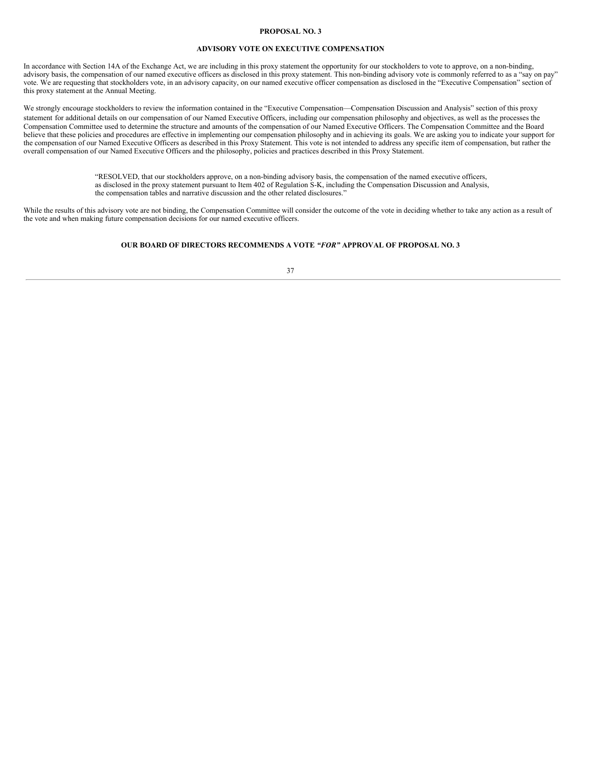# **PROPOSAL NO. 3**

# **ADVISORY VOTE ON EXECUTIVE COMPENSATION**

<span id="page-40-0"></span>In accordance with Section 14A of the Exchange Act, we are including in this proxy statement the opportunity for our stockholders to vote to approve, on a non-binding, advisory basis, the compensation of our named executive officers as disclosed in this proxy statement. This non-binding advisory vote is commonly referred to as a "say on pay" vote. We are requesting that stockholders vote, in an advisory capacity, on our named executive officer compensation as disclosed in the "Executive Compensation" section of this proxy statement at the Annual Meeting.

We strongly encourage stockholders to review the information contained in the "Executive Compensation—Compensation Discussion and Analysis" section of this proxy statement for additional details on our compensation of our Named Executive Officers, including our compensation philosophy and objectives, as well as the processes the Compensation Committee used to determine the structure and amounts of the compensation of our Named Executive Officers. The Compensation Committee and the Board believe that these policies and procedures are effective in implementing our compensation philosophy and in achieving its goals. We are asking you to indicate your support for the compensation of our Named Executive Officers as described in this Proxy Statement. This vote is not intended to address any specific item of compensation, but rather the overall compensation of our Named Executive Officers and the philosophy, policies and practices described in this Proxy Statement.

> "RESOLVED, that our stockholders approve, on a non-binding advisory basis, the compensation of the named executive officers, as disclosed in the proxy statement pursuant to Item 402 of Regulation S-K, including the Compensation Discussion and Analysis, the compensation tables and narrative discussion and the other related disclosures."

While the results of this advisory vote are not binding, the Compensation Committee will consider the outcome of the vote in deciding whether to take any action as a result of the vote and when making future compensation decisions for our named executive officers.

# **OUR BOARD OF DIRECTORS RECOMMENDS A VOTE** *"FOR"* **APPROVAL OF PROPOSAL NO. 3**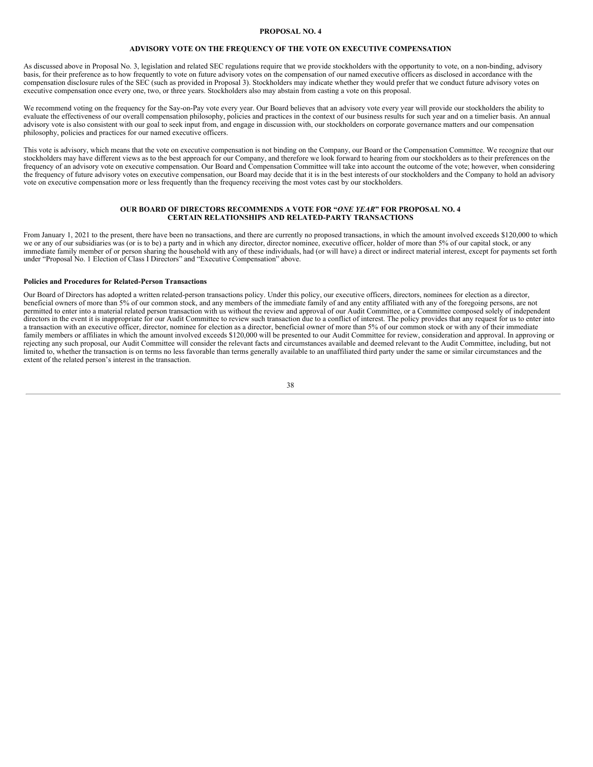# **PROPOSAL NO. 4**

# **ADVISORY VOTE ON THE FREQUENCY OF THE VOTE ON EXECUTIVE COMPENSATION**

<span id="page-41-0"></span>As discussed above in Proposal No. 3, legislation and related SEC regulations require that we provide stockholders with the opportunity to vote, on a non-binding, advisory basis, for their preference as to how frequently to vote on future advisory votes on the compensation of our named executive officers as disclosed in accordance with the compensation disclosure rules of the SEC (such as provided in Proposal 3). Stockholders may indicate whether they would prefer that we conduct future advisory votes on executive compensation once every one, two, or three years. Stockholders also may abstain from casting a vote on this proposal.

We recommend voting on the frequency for the Say-on-Pay vote every year. Our Board believes that an advisory vote every year will provide our stockholders the ability to evaluate the effectiveness of our overall compensation philosophy, policies and practices in the context of our business results for such year and on a timelier basis. An annual advisory vote is also consistent with our goal to seek input from, and engage in discussion with, our stockholders on corporate governance matters and our compensation philosophy, policies and practices for our named executive officers.

This vote is advisory, which means that the vote on executive compensation is not binding on the Company, our Board or the Compensation Committee. We recognize that our stockholders may have different views as to the best approach for our Company, and therefore we look forward to hearing from our stockholders as to their preferences on the frequency of an advisory vote on executive compensation. Our Board and Compensation Committee will take into account the outcome of the vote; however, when considering the frequency of future advisory votes on executive compensation, our Board may decide that it is in the best interests of our stockholders and the Company to hold an advisory vote on executive compensation more or less frequently than the frequency receiving the most votes cast by our stockholders.

### **OUR BOARD OF DIRECTORS RECOMMENDS A VOTE FOR "***ONE YEAR***" FOR PROPOSAL NO. 4 CERTAIN RELATIONSHIPS AND RELATED-PARTY TRANSACTIONS**

<span id="page-41-1"></span>From January 1, 2021 to the present, there have been no transactions, and there are currently no proposed transactions, in which the amount involved exceeds \$120,000 to which we or any of our subsidiaries was (or is to be) a party and in which any director, director nominee, executive officer, holder of more than 5% of our capital stock, or any immediate family member of or person sharing the household with any of these individuals, had (or will have) a direct or indirect material interest, except for payments set forth under "Proposal No. 1 Election of Class I Directors" and "Executive Compensation" above.

# **Policies and Procedures for Related-Person Transactions**

Our Board of Directors has adopted a written related-person transactions policy. Under this policy, our executive officers, directors, nominees for election as a director, beneficial owners of more than 5% of our common stock, and any members of the immediate family of and any entity affiliated with any of the foregoing persons, are not permitted to enter into a material related person transaction with us without the review and approval of our Audit Committee, or a Committee composed solely of independent directors in the event it is inappropriate for our Audit Committee to review such transaction due to a conflict of interest. The policy provides that any request for us to enter into a transaction with an executive officer, director, nominee for election as a director, beneficial owner of more than 5% of our common stock or with any of their immediate family members or affiliates in which the amount involved exceeds \$120,000 will be presented to our Audit Committee for review, consideration and approval. In approving or rejecting any such proposal, our Audit Committee will consider the relevant facts and circumstances available and deemed relevant to the Audit Committee, including, but not limited to, whether the transaction is on terms no less favorable than terms generally available to an unaffiliated third party under the same or similar circumstances and the extent of the related person's interest in the transaction.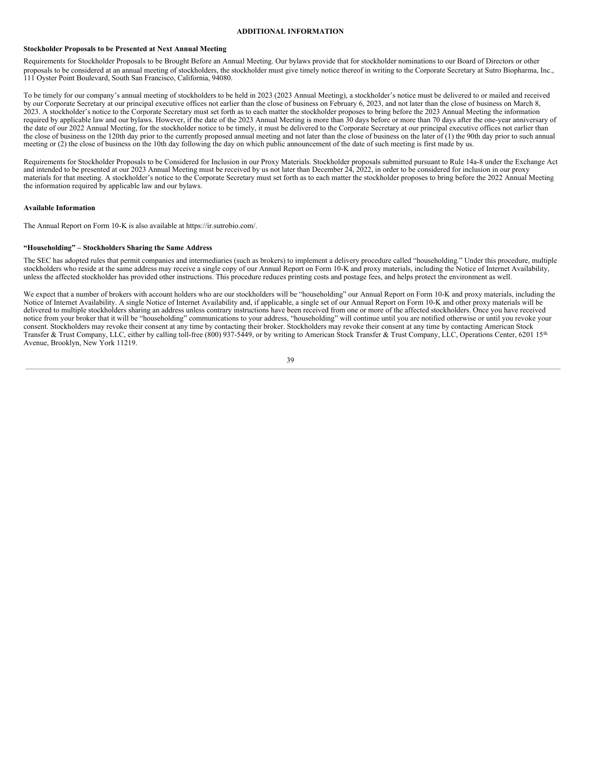### **ADDITIONAL INFORMATION**

### <span id="page-42-0"></span>**Stockholder Proposals to be Presented at Next Annual Meeting**

Requirements for Stockholder Proposals to be Brought Before an Annual Meeting. Our bylaws provide that for stockholder nominations to our Board of Directors or other proposals to be considered at an annual meeting of stockholders, the stockholder must give timely notice thereof in writing to the Corporate Secretary at Sutro Biopharma, Inc., 111 Oyster Point Boulevard, South San Francisco, California, 94080.

To be timely for our company's annual meeting of stockholders to be held in 2023 (2023 Annual Meeting), a stockholder's notice must be delivered to or mailed and received by our Corporate Secretary at our principal executive offices not earlier than the close of business on February 6, 2023, and not later than the close of business on March 8, 2023. A stockholder's notice to the Corporate Secretary must set forth as to each matter the stockholder proposes to bring before the 2023 Annual Meeting the information required by applicable law and our bylaws. However, if the date of the 2023 Annual Meeting is more than 30 days before or more than 70 days after the one-year anniversary of the date of our 2022 Annual Meeting, for the stockholder notice to be timely, it must be delivered to the Corporate Secretary at our principal executive offices not earlier than the close of business on the 120th day prior to the currently proposed annual meeting and not later than the close of business on the later of (1) the 90th day prior to such annual meeting or (2) the close of business on the 10th day following the day on which public announcement of the date of such meeting is first made by us.

Requirements for Stockholder Proposals to be Considered for Inclusion in our Proxy Materials. Stockholder proposals submitted pursuant to Rule 14a-8 under the Exchange Act and intended to be presented at our 2023 Annual Meeting must be received by us not later than December 24, 2022, in order to be considered for inclusion in our proxy materials for that meeting. A stockholder's notice to the Corporate Secretary must set forth as to each matter the stockholder proposes to bring before the 2022 Annual Meeting the information required by applicable law and our bylaws.

#### **Available Information**

The Annual Report on Form 10-K is also available at https://ir.sutrobio.com/.

#### **"Householding" – Stockholders Sharing the Same Address**

The SEC has adopted rules that permit companies and intermediaries (such as brokers) to implement a delivery procedure called "householding." Under this procedure, multiple stockholders who reside at the same address may receive a single copy of our Annual Report on Form 10-K and proxy materials, including the Notice of Internet Availability, unless the affected stockholder has provided other instructions. This procedure reduces printing costs and postage fees, and helps protect the environment as well.

We expect that a number of brokers with account holders who are our stockholders will be "householding" our Annual Report on Form 10-K and proxy materials, including the Notice of Internet Availability. A single Notice of Internet Availability and, if applicable, a single set of our Annual Report on Form 10-K and other proxy materials will be delivered to multiple stockholders sharing an address unless contrary instructions have been received from one or more of the affected stockholders. Once you have received notice from your broker that it will be "householding" communications to your address, "householding" will continue until you are notified otherwise or until you revoke your consent. Stockholders may revoke their consent at any time by contacting their broker. Stockholders may revoke their consent at any time by contacting American Stock Transfer & Trust Company, LLC, either by calling toll-free (800) 937-5449, or by writing to American Stock Transfer & Trust Company, LLC, Operations Center, 6201 15<sup>th</sup> Avenue, Brooklyn, New York 11219.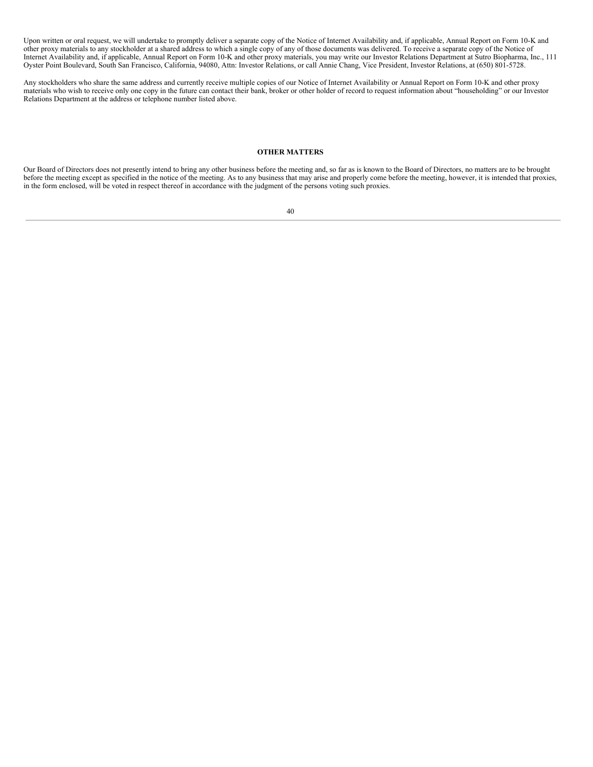Upon written or oral request, we will undertake to promptly deliver a separate copy of the Notice of Internet Availability and, if applicable, Annual Report on Form 10-K and other proxy materials to any stockholder at a shared address to which a single copy of any of those documents was delivered. To receive a separate copy of the Notice of Internet Availability and, if applicable, Annual Report on Form 10-K and other proxy materials, you may write our Investor Relations Department at Sutro Biopharma, Inc., 111 Oyster Point Boulevard, South San Francisco, California, 94080, Attn: Investor Relations, or call Annie Chang, Vice President, Investor Relations, at (650) 801-5728.

Any stockholders who share the same address and currently receive multiple copies of our Notice of Internet Availability or Annual Report on Form 10-K and other proxy materials who wish to receive only one copy in the future can contact their bank, broker or other holder of record to request information about "householding" or our Investor Relations Department at the address or telephone number listed above.

# **OTHER MATTERS**

<span id="page-43-0"></span>Our Board of Directors does not presently intend to bring any other business before the meeting and, so far as is known to the Board of Directors, no matters are to be brought before the meeting except as specified in the notice of the meeting. As to any business that may arise and properly come before the meeting, however, it is intended that proxies, in the form enclosed, will be voted in respect thereof in accordance with the judgment of the persons voting such proxies.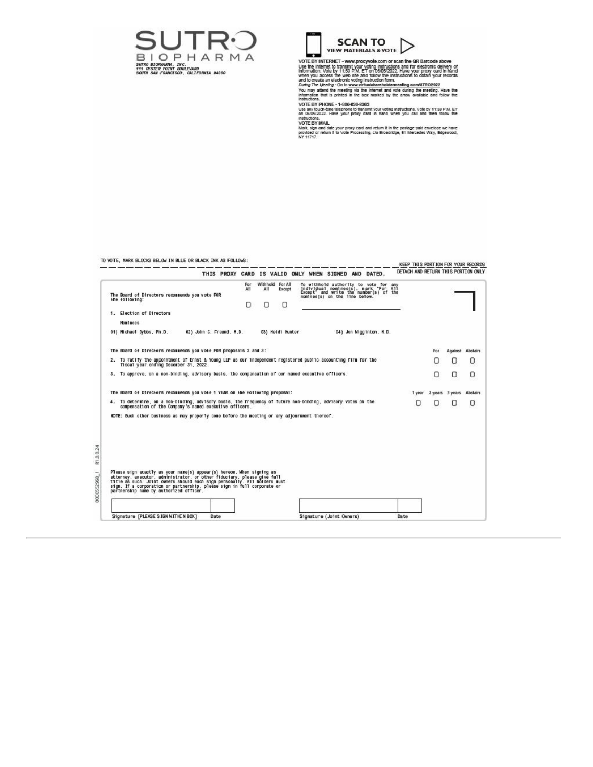



VIEW MATERIALS & VOTE<br>
USE TO THE VEHICLE AND CONSIDER THE GREATER BEFORE THE INTERNATION USE IN THIS PART WAS USED TO SERVER THE INTERNATION TO THE INTERNATION CONSIDERATION IN THE MATERIAL STATE IN THE MATERIAL CONSIDERA

information that is printed in the box marked by the arrow available and follow the linetnuclions.<br>Instructions. <br>NoTE BY PHONE - 1-800-630-6303<br>VOTE BY PHONE - 1-800-630-6303<br>We are your protect prince to framently voting

TO VOTE, MARK BLOCKS BELOW IN BLUE OR BLACK INK AS FOLLOWS:

| THIS PROXY CARD IS VALID ONLY WHEN SIGNED AND DATED.                                                                                                                                                                                                                                                                                                |                          |  |                 |          |                                 |                          |                                                                                                                                                          |  |                         |      | DETACH AND RETURN THIS PORTION ONLY |     |                 |         |  |
|-----------------------------------------------------------------------------------------------------------------------------------------------------------------------------------------------------------------------------------------------------------------------------------------------------------------------------------------------------|--------------------------|--|-----------------|----------|---------------------------------|--------------------------|----------------------------------------------------------------------------------------------------------------------------------------------------------|--|-------------------------|------|-------------------------------------|-----|-----------------|---------|--|
| The Board of Directors recommends you vote FOR<br>the following:                                                                                                                                                                                                                                                                                    |                          |  | For<br>All<br>н | All<br>Π | Withhold For All<br>Except<br>Ω |                          | To withhold authority to vote for any<br>individual nominac(s), mark "For All<br>Except" and write the number(s) of the<br>nominee(s) on the line below. |  |                         |      |                                     |     |                 |         |  |
| 1. Election of Directors                                                                                                                                                                                                                                                                                                                            |                          |  |                 |          |                                 |                          |                                                                                                                                                          |  |                         |      |                                     |     |                 |         |  |
| Nominees<br>01) Michael Dybbs, Ph.D.                                                                                                                                                                                                                                                                                                                | 02) John G. Freund, M.D. |  |                 |          | 03) Heidi Hunter                |                          |                                                                                                                                                          |  | 04) Jon Wigginton, N.D. |      |                                     |     |                 |         |  |
| The Board of Directors recommends you vote FOR proposals 2 and 3:                                                                                                                                                                                                                                                                                   |                          |  |                 |          |                                 |                          |                                                                                                                                                          |  |                         |      |                                     | For | Against Abstain |         |  |
| 2. To ratify the appointment of Ernst & Young LLP as our independent registered public accounting firm for the<br>fiscal year ending December 31, 2022.                                                                                                                                                                                             |                          |  |                 |          |                                 |                          |                                                                                                                                                          |  |                         |      | O                                   | о   | O               |         |  |
| 3. To approve, on a non-binding, advisory basis, the compensation of our named executive officers.                                                                                                                                                                                                                                                  |                          |  |                 |          |                                 |                          |                                                                                                                                                          |  |                         |      |                                     | ο   | ο               | O       |  |
| The Board of Directors recommends you vote 1 YEAR on the following proposal:                                                                                                                                                                                                                                                                        |                          |  |                 |          |                                 |                          |                                                                                                                                                          |  |                         |      | 1 year                              |     | 2 years 3 years | Abstain |  |
| 4. To determine, on a non-binding, advisory basis, the frequency of future non-binding, advisory votes on the<br>compensation of the Company's named executive officers.                                                                                                                                                                            |                          |  |                 |          |                                 |                          |                                                                                                                                                          |  |                         |      |                                     | Ω   | Ω               | Ω       |  |
| WOTE: Such other business as may properly come before the meeting or any adjournment thereof.                                                                                                                                                                                                                                                       |                          |  |                 |          |                                 |                          |                                                                                                                                                          |  |                         |      |                                     |     |                 |         |  |
|                                                                                                                                                                                                                                                                                                                                                     |                          |  |                 |          |                                 |                          |                                                                                                                                                          |  |                         |      |                                     |     |                 |         |  |
|                                                                                                                                                                                                                                                                                                                                                     |                          |  |                 |          |                                 |                          |                                                                                                                                                          |  |                         |      |                                     |     |                 |         |  |
| Please sign exactly as your name(s) appear(s) hereon. When signing as<br>attorney, executor, administrator, or other fiduciary, please give full<br>title as such. Joint owners should each sign personally. All holders must<br>sign. If a corporation or partnership, please sign in full corporate or<br>partnership name by authorized officer. |                          |  |                 |          |                                 |                          |                                                                                                                                                          |  |                         |      |                                     |     |                 |         |  |
|                                                                                                                                                                                                                                                                                                                                                     |                          |  |                 |          |                                 |                          |                                                                                                                                                          |  |                         |      |                                     |     |                 |         |  |
| Signature [PLEASE SIGN WITHIN BOX]                                                                                                                                                                                                                                                                                                                  | Date                     |  |                 |          |                                 | Signature (Joint Owners) |                                                                                                                                                          |  |                         | Date |                                     |     |                 |         |  |